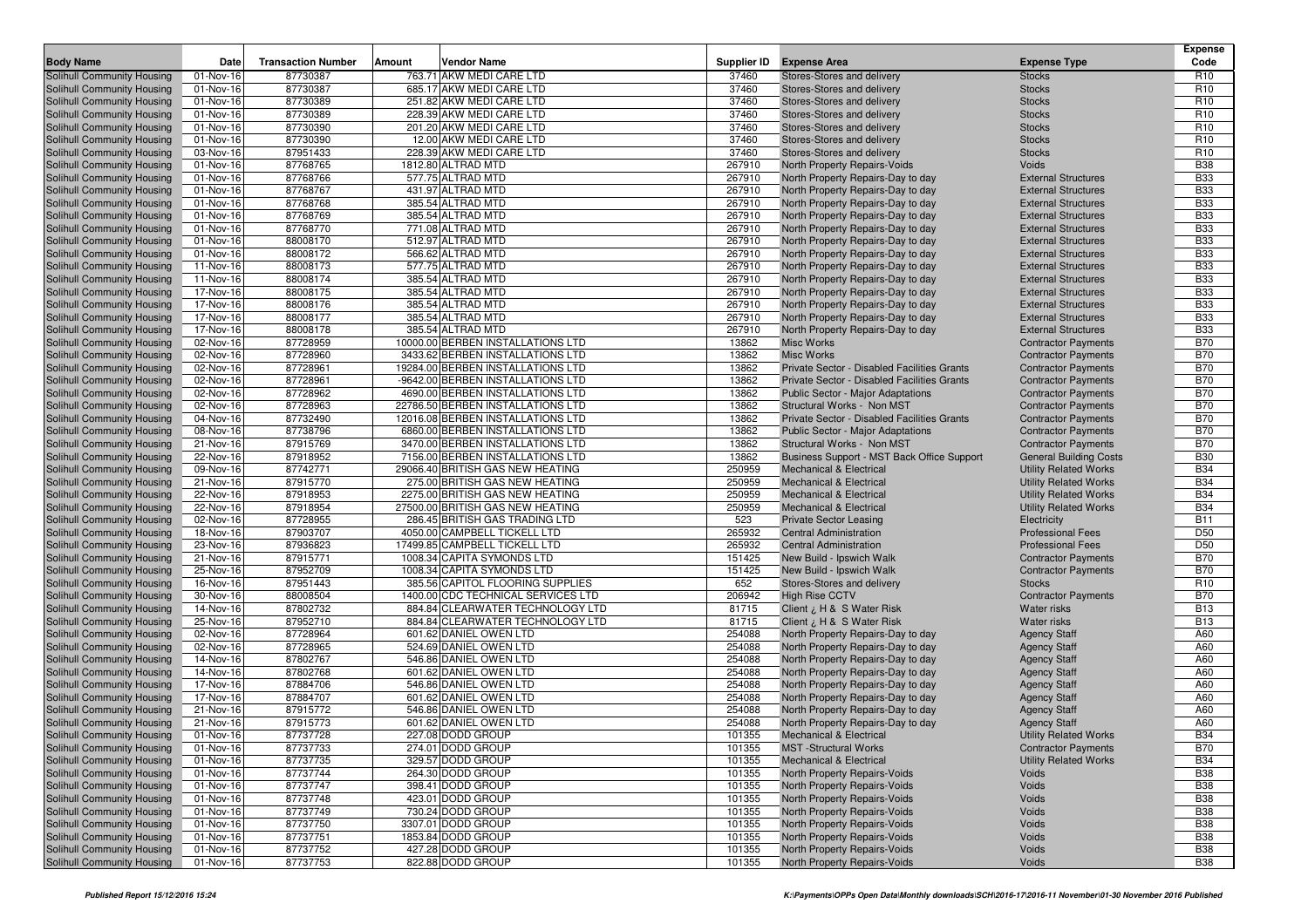|                                                                 |                        |                           |        |                                                                    |                  |                                                                          |                                                              | <b>Expense</b>                     |
|-----------------------------------------------------------------|------------------------|---------------------------|--------|--------------------------------------------------------------------|------------------|--------------------------------------------------------------------------|--------------------------------------------------------------|------------------------------------|
| <b>Body Name</b>                                                | Date                   | <b>Transaction Number</b> | Amount | <b>Vendor Name</b>                                                 | Supplier ID      | <b>Expense Area</b>                                                      | <b>Expense Type</b>                                          | Code                               |
| Solihull Community Housing                                      | 01-Nov-16              | 87730387                  |        | 763.71 AKW MEDI CARE LTD                                           | 37460            | Stores-Stores and delivery                                               | <b>Stocks</b>                                                | R <sub>10</sub>                    |
| Solihull Community Housing                                      | 01-Nov-16              | 87730387                  |        | 685.17 AKW MEDI CARE LTD                                           | 37460            | Stores-Stores and delivery                                               | <b>Stocks</b>                                                | R <sub>10</sub>                    |
| Solihull Community Housing                                      | 01-Nov-16              | 87730389                  |        | 251.82 AKW MEDI CARE LTD                                           | 37460            | Stores-Stores and delivery                                               | <b>Stocks</b>                                                | R <sub>10</sub>                    |
| Solihull Community Housing                                      | 01-Nov-16              | 87730389                  |        | 228.39 AKW MEDI CARE LTD                                           | 37460            | Stores-Stores and delivery                                               | <b>Stocks</b>                                                | R <sub>10</sub>                    |
| Solihull Community Housing<br>Solihull Community Housing        | 01-Nov-16<br>01-Nov-16 | 87730390<br>87730390      |        | 201.20 AKW MEDI CARE LTD<br>12.00 AKW MEDI CARE LTD                | 37460<br>37460   | Stores-Stores and delivery<br>Stores-Stores and delivery                 | <b>Stocks</b><br><b>Stocks</b>                               | R <sub>10</sub><br>R <sub>10</sub> |
| Solihull Community Housing                                      | 03-Nov-16              | 87951433                  |        | 228.39 AKW MEDI CARE LTD                                           | 37460            | Stores-Stores and delivery                                               | <b>Stocks</b>                                                | R <sub>10</sub>                    |
| Solihull Community Housing                                      | 01-Nov-16              | 87768765                  |        | 1812.80 ALTRAD MTD                                                 | 267910           | North Property Repairs-Voids                                             | Voids                                                        | <b>B38</b>                         |
| Solihull Community Housing                                      | 01-Nov-16              | 87768766                  |        | 577.75 ALTRAD MTD                                                  | 267910           | North Property Repairs-Day to day                                        | <b>External Structures</b>                                   | <b>B33</b>                         |
| Solihull Community Housing                                      | 01-Nov-16              | 87768767                  |        | 431.97 ALTRAD MTD                                                  | 267910           | North Property Repairs-Day to day                                        | <b>External Structures</b>                                   | <b>B33</b>                         |
| Solihull Community Housing                                      | 01-Nov-16              | 87768768                  |        | 385.54 ALTRAD MTD                                                  | 267910           | North Property Repairs-Day to day                                        | <b>External Structures</b>                                   | <b>B33</b>                         |
| Solihull Community Housing                                      | 01-Nov-16              | 87768769                  |        | 385.54 ALTRAD MTD                                                  | 267910           | North Property Repairs-Day to day                                        | <b>External Structures</b>                                   | <b>B33</b>                         |
| Solihull Community Housing                                      | 01-Nov-16              | 87768770                  |        | 771.08 ALTRAD MTD                                                  | 267910           | North Property Repairs-Day to day                                        | <b>External Structures</b>                                   | <b>B33</b>                         |
| Solihull Community Housing                                      | 01-Nov-16              | 88008170                  |        | 512.97 ALTRAD MTD                                                  | 267910           | North Property Repairs-Day to day                                        | <b>External Structures</b>                                   | <b>B33</b>                         |
| Solihull Community Housing                                      | 01-Nov-16              | 88008172                  |        | 566.62 ALTRAD MTD                                                  | 267910           | North Property Repairs-Day to day                                        | <b>External Structures</b>                                   | <b>B33</b>                         |
| Solihull Community Housing                                      | 11-Nov-16              | 88008173                  |        | 577.75 ALTRAD MTD                                                  | 267910           | North Property Repairs-Day to day                                        | <b>External Structures</b>                                   | <b>B33</b>                         |
| Solihull Community Housing                                      | 11-Nov-16              | 88008174                  |        | 385.54 ALTRAD MTD                                                  | 267910           | North Property Repairs-Day to day                                        | <b>External Structures</b>                                   | <b>B33</b>                         |
| Solihull Community Housing                                      | 17-Nov-16              | 88008175                  |        | 385.54 ALTRAD MTD                                                  | 267910           | North Property Repairs-Day to day                                        | <b>External Structures</b>                                   | <b>B33</b>                         |
| Solihull Community Housing                                      | 17-Nov-16              | 88008176                  |        | 385.54 ALTRAD MTD                                                  | 267910           | North Property Repairs-Day to day                                        | <b>External Structures</b>                                   | <b>B33</b>                         |
| Solihull Community Housing                                      | 17-Nov-16              | 88008177                  |        | 385.54 ALTRAD MTD                                                  | 267910           | North Property Repairs-Day to day                                        | <b>External Structures</b>                                   | <b>B33</b>                         |
| Solihull Community Housing                                      | 17-Nov-16              | 88008178                  |        | 385.54 ALTRAD MTD                                                  | 267910           | North Property Repairs-Day to day                                        | <b>External Structures</b>                                   | <b>B33</b>                         |
| Solihull Community Housing                                      | 02-Nov-16              | 87728959                  |        | 10000.00 BERBEN INSTALLATIONS LTD                                  | 13862            | Misc Works                                                               | <b>Contractor Payments</b>                                   | <b>B70</b>                         |
| Solihull Community Housing                                      | 02-Nov-16              | 87728960                  |        | 3433.62 BERBEN INSTALLATIONS LTD                                   | 13862            | Misc Works                                                               | <b>Contractor Payments</b>                                   | <b>B70</b>                         |
| Solihull Community Housing                                      | 02-Nov-16              | 87728961                  |        | 19284.00 BERBEN INSTALLATIONS LTD                                  | 13862            | Private Sector - Disabled Facilities Grants                              | <b>Contractor Payments</b>                                   | <b>B70</b>                         |
| Solihull Community Housing                                      | 02-Nov-16              | 87728961                  |        | -9642.00 BERBEN INSTALLATIONS LTD                                  | 13862            | Private Sector - Disabled Facilities Grants                              | <b>Contractor Payments</b>                                   | <b>B70</b>                         |
| Solihull Community Housing                                      | 02-Nov-16              | 87728962                  |        | 4690.00 BERBEN INSTALLATIONS LTD                                   | 13862            | Public Sector - Major Adaptations                                        | <b>Contractor Payments</b>                                   | <b>B70</b>                         |
| Solihull Community Housing                                      | 02-Nov-16              | 87728963                  |        | 22786.50 BERBEN INSTALLATIONS LTD                                  | 13862            | Structural Works - Non MST                                               | <b>Contractor Payments</b>                                   | <b>B70</b>                         |
| Solihull Community Housing                                      | 04-Nov-16              | 87732490                  |        | 12016.08 BERBEN INSTALLATIONS LTD                                  | 13862            | Private Sector - Disabled Facilities Grants                              | <b>Contractor Payments</b>                                   | <b>B70</b>                         |
| Solihull Community Housing                                      | 08-Nov-16              | 87738796                  |        | 6860.00 BERBEN INSTALLATIONS LTD                                   | 13862            | Public Sector - Major Adaptations                                        | <b>Contractor Payments</b>                                   | <b>B70</b>                         |
| Solihull Community Housing                                      | 21-Nov-16              | 87915769                  |        | 3470.00 BERBEN INSTALLATIONS LTD                                   | 13862            | Structural Works - Non MST                                               | <b>Contractor Payments</b>                                   | <b>B70</b>                         |
| Solihull Community Housing                                      | 22-Nov-16              | 87918952                  |        | 7156.00 BERBEN INSTALLATIONS LTD                                   | 13862            | Business Support - MST Back Office Support                               | <b>General Building Costs</b>                                | <b>B30</b><br><b>B34</b>           |
| Solihull Community Housing<br>Solihull Community Housing        | 09-Nov-16<br>21-Nov-16 | 87742771<br>87915770      |        | 29066.40 BRITISH GAS NEW HEATING<br>275.00 BRITISH GAS NEW HEATING | 250959<br>250959 | <b>Mechanical &amp; Electrical</b><br><b>Mechanical &amp; Electrical</b> | <b>Utility Related Works</b><br><b>Utility Related Works</b> | <b>B34</b>                         |
| Solihull Community Housing                                      | 22-Nov-16              | 87918953                  |        | 2275.00 BRITISH GAS NEW HEATING                                    | 250959           | <b>Mechanical &amp; Electrical</b>                                       | <b>Utility Related Works</b>                                 | <b>B34</b>                         |
| Solihull Community Housing                                      | 22-Nov-16              | 87918954                  |        | 27500.00 BRITISH GAS NEW HEATING                                   | 250959           | <b>Mechanical &amp; Electrical</b>                                       | <b>Utility Related Works</b>                                 | <b>B34</b>                         |
| Solihull Community Housing                                      | 02-Nov-16              | 87728955                  |        | 286.45 BRITISH GAS TRADING LTD                                     | 523              | <b>Private Sector Leasing</b>                                            | Electricity                                                  | <b>B11</b>                         |
| Solihull Community Housing                                      | 18-Nov-16              | 87903707                  |        | 4050.00 CAMPBELL TICKELL LTD                                       | 265932           | <b>Central Administration</b>                                            | <b>Professional Fees</b>                                     | D <sub>50</sub>                    |
| Solihull Community Housing                                      | 23-Nov-16              | 87936823                  |        | 17499.85 CAMPBELL TICKELL LTD                                      | 265932           | <b>Central Administration</b>                                            | <b>Professional Fees</b>                                     | D <sub>50</sub>                    |
| Solihull Community Housing                                      | 21-Nov-16              | 87915771                  |        | 1008.34 CAPITA SYMONDS LTD                                         | 151425           | New Build - Ipswich Walk                                                 | <b>Contractor Payments</b>                                   | <b>B70</b>                         |
| Solihull Community Housing                                      | 25-Nov-16              | 87952709                  |        | 1008.34 CAPITA SYMONDS LTD                                         | 151425           | New Build - Ipswich Walk                                                 | <b>Contractor Payments</b>                                   | <b>B70</b>                         |
| Solihull Community Housing                                      | 16-Nov-16              | 87951443                  |        | 385.56 CAPITOL FLOORING SUPPLIES                                   | 652              | Stores-Stores and delivery                                               | <b>Stocks</b>                                                | R <sub>10</sub>                    |
| Solihull Community Housing                                      | 30-Nov-16              | 88008504                  |        | 1400.00 CDC TECHNICAL SERVICES LTD                                 | 206942           | <b>High Rise CCTV</b>                                                    | <b>Contractor Payments</b>                                   | <b>B70</b>                         |
| Solihull Community Housing                                      | 14-Nov-16              | 87802732                  |        | 884.84 CLEARWATER TECHNOLOGY LTD                                   | 81715            | Client ¿ H & S Water Risk                                                | Water risks                                                  | <b>B13</b>                         |
| Solihull Community Housing                                      | 25-Nov-16              | 87952710                  |        | 884.84 CLEARWATER TECHNOLOGY LTD                                   | 81715            | Client ¿ H & S Water Risk                                                | <b>Water risks</b>                                           | <b>B13</b>                         |
| Solihull Community Housing                                      | 02-Nov-16              | 87728964                  |        | 601.62 DANIEL OWEN LTD                                             | 254088           | North Property Repairs-Day to day                                        | <b>Agency Staff</b>                                          | A60                                |
| Solihull Community Housing                                      | 02-Nov-16              | 87728965                  |        | 524.69 DANIEL OWEN LTD                                             | 254088           | North Property Repairs-Day to day                                        | <b>Agency Staff</b>                                          | A60                                |
| Solihull Community Housing                                      | 14-Nov-16              | 87802767                  |        | 546.86 DANIEL OWEN LTD                                             | 254088           | North Property Repairs-Day to day                                        | <b>Agency Staff</b>                                          | A60                                |
| Solihull Community Housing                                      | 14-Nov-16              | 87802768                  |        | 601.62 DANIEL OWEN LTD                                             | 254088           | North Property Repairs-Day to day                                        | <b>Agency Staff</b>                                          | A60                                |
| Solihull Community Housing                                      | 17-Nov-16              | 87884706                  |        | 546.86 DANIEL OWEN LTD                                             | 254088           | North Property Repairs-Day to day                                        | <b>Agency Staff</b>                                          | A60                                |
| Solihull Community Housing                                      | 17-Nov-16              | 87884707                  |        | 601.62 DANIEL OWEN LTD                                             | 254088           | North Property Repairs-Day to day                                        | <b>Agency Staff</b>                                          | A60                                |
| Solihull Community Housing                                      | 21-Nov-16              | 87915772                  |        | 546.86 DANIEL OWEN LTD                                             | 254088           | North Property Repairs-Day to day                                        | <b>Agency Staff</b>                                          | A60                                |
| Solihull Community Housing                                      | 21-Nov-16              | 87915773                  |        | 601.62 DANIEL OWEN LTD                                             | 254088           | North Property Repairs-Day to day                                        | <b>Agency Staff</b>                                          | A60                                |
| Solihull Community Housing                                      | 01-Nov-16              | 87737728                  |        | 227.08 DODD GROUP                                                  | 101355           | <b>Mechanical &amp; Electrical</b>                                       | <b>Utility Related Works</b>                                 | <b>B34</b>                         |
| Solihull Community Housing                                      | 01-Nov-16              | 87737733                  |        | 274.01 DODD GROUP<br>329.57 DODD GROUP                             | 101355           | <b>MST</b> -Structural Works<br><b>Mechanical &amp; Electrical</b>       | <b>Contractor Payments</b>                                   | <b>B70</b>                         |
| Solihull Community Housing                                      | 01-Nov-16              | 87737735                  |        |                                                                    | 101355           |                                                                          | <b>Utility Related Works</b>                                 | <b>B34</b>                         |
| Solihull Community Housing                                      | 01-Nov-16<br>01-Nov-16 | 87737744<br>87737747      |        | 264.30 DODD GROUP<br>398.41 DODD GROUP                             | 101355<br>101355 | North Property Repairs-Voids                                             | Voids<br>Voids                                               | <b>B38</b><br><b>B38</b>           |
| Solihull Community Housing<br><b>Solihull Community Housing</b> | 01-Nov-16              | 87737748                  |        | 423.01 DODD GROUP                                                  | 101355           | North Property Repairs-Voids<br>North Property Repairs-Voids             | Voids                                                        | <b>B38</b>                         |
| Solihull Community Housing                                      | 01-Nov-16              | 87737749                  |        | 730.24 DODD GROUP                                                  | 101355           | North Property Repairs-Voids                                             | Voids                                                        | <b>B38</b>                         |
| Solihull Community Housing                                      | 01-Nov-16              | 87737750                  |        | 3307.01 DODD GROUP                                                 | 101355           | North Property Repairs-Voids                                             | Voids                                                        | <b>B38</b>                         |
| Solihull Community Housing                                      | 01-Nov-16              | 87737751                  |        | 1853.84 DODD GROUP                                                 | 101355           | North Property Repairs-Voids                                             | Voids                                                        | <b>B38</b>                         |
| Solihull Community Housing                                      | 01-Nov-16              | 87737752                  |        | 427.28 DODD GROUP                                                  | 101355           | North Property Repairs-Voids                                             | Voids                                                        | <b>B38</b>                         |
| Solihull Community Housing                                      | 01-Nov-16              | 87737753                  |        | 822.88 DODD GROUP                                                  | 101355           | North Property Repairs-Voids                                             | Voids                                                        | <b>B38</b>                         |
|                                                                 |                        |                           |        |                                                                    |                  |                                                                          |                                                              |                                    |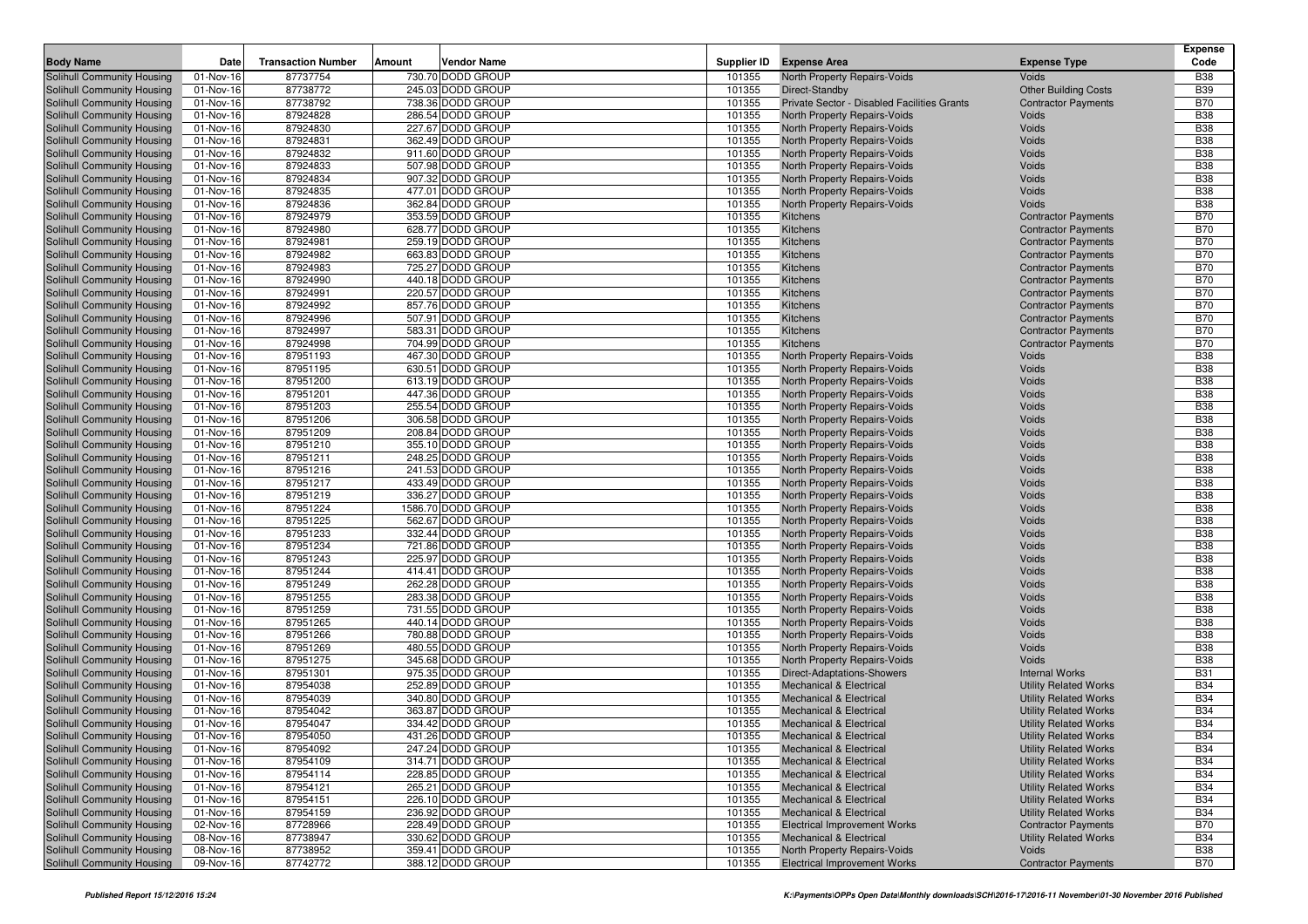|                                                          |                                      | <b>Transaction Number</b> |        | <b>Vendor Name</b>                     |                  |                                                                          |                                                              | <b>Expense</b><br>Code   |
|----------------------------------------------------------|--------------------------------------|---------------------------|--------|----------------------------------------|------------------|--------------------------------------------------------------------------|--------------------------------------------------------------|--------------------------|
| <b>Body Name</b>                                         | Date                                 | 87737754                  | Amount | 730.70 DODD GROUP                      | Supplier ID      | <b>Expense Area</b>                                                      | <b>Expense Type</b>                                          |                          |
| Solihull Community Housing                               | $\overline{0}$ 1-Nov-16<br>01-Nov-16 | 87738772                  |        | 245.03 DODD GROUP                      | 101355<br>101355 | North Property Repairs-Voids                                             | Voids<br><b>Other Building Costs</b>                         | <b>B38</b><br><b>B39</b> |
| Solihull Community Housing<br>Solihull Community Housing | 01-Nov-16                            | 87738792                  |        | 738.36 DODD GROUP                      | 101355           | Direct-Standby<br>Private Sector - Disabled Facilities Grants            | <b>Contractor Payments</b>                                   | <b>B70</b>               |
| Solihull Community Housing                               | 01-Nov-16                            | 87924828                  |        | 286.54 DODD GROUP                      | 101355           | North Property Repairs-Voids                                             | Voids                                                        | <b>B38</b>               |
| Solihull Community Housing                               | 01-Nov-16                            | 87924830                  |        | 227.67 DODD GROUP                      | 101355           | North Property Repairs-Voids                                             | Voids                                                        | <b>B38</b>               |
| Solihull Community Housing                               | 01-Nov-16                            | 87924831                  |        | 362.49 DODD GROUP                      | 101355           | North Property Repairs-Voids                                             | Voids                                                        | <b>B38</b>               |
| Solihull Community Housing                               | 01-Nov-16                            | 87924832                  |        | 911.60 DODD GROUP                      | 101355           | North Property Repairs-Voids                                             | Voids                                                        | <b>B38</b>               |
| Solihull Community Housing                               | 01-Nov-16                            | 87924833                  |        | 507.98 DODD GROUP                      | 101355           | North Property Repairs-Voids                                             | Voids                                                        | <b>B38</b>               |
| Solihull Community Housing                               | 01-Nov-16                            | 87924834                  |        | 907.32 DODD GROUP                      | 101355           | North Property Repairs-Voids                                             | Voids                                                        | <b>B38</b>               |
| Solihull Community Housing                               | 01-Nov-16                            | 87924835                  |        | 477.01 DODD GROUP                      | 101355           | North Property Repairs-Voids                                             | Voids                                                        | <b>B38</b>               |
| Solihull Community Housing                               | 01-Nov-16                            | 87924836                  |        | 362.84 DODD GROUP                      | 101355           | <b>North Property Repairs-Voids</b>                                      | Voids                                                        | <b>B38</b>               |
| Solihull Community Housing                               | 01-Nov-16                            | 87924979                  |        | 353.59 DODD GROUP                      | 101355           | Kitchens                                                                 | <b>Contractor Payments</b>                                   | <b>B70</b>               |
| Solihull Community Housing                               | 01-Nov-16                            | 87924980                  |        | 628.77 DODD GROUP                      | 101355           | Kitchens                                                                 | <b>Contractor Payments</b>                                   | <b>B70</b>               |
| Solihull Community Housing                               | 01-Nov-16                            | 87924981                  |        | 259.19 DODD GROUP                      | 101355           | Kitchens                                                                 | <b>Contractor Payments</b>                                   | <b>B70</b>               |
| Solihull Community Housing                               | 01-Nov-16                            | 87924982                  |        | 663.83 DODD GROUP                      | 101355           | Kitchens                                                                 | <b>Contractor Payments</b>                                   | <b>B70</b>               |
| Solihull Community Housing                               | 01-Nov-16                            | 87924983                  |        | 725.27 DODD GROUP                      | 101355           | Kitchens                                                                 | <b>Contractor Payments</b>                                   | <b>B70</b>               |
| <b>Solihull Community Housing</b>                        | 01-Nov-16                            | 87924990                  |        | 440.18 DODD GROUP                      | 101355           | Kitchens                                                                 | <b>Contractor Payments</b>                                   | <b>B70</b>               |
| Solihull Community Housing                               | 01-Nov-16                            | 87924991                  |        | 220.57 DODD GROUP                      | 101355           | Kitchens                                                                 | <b>Contractor Payments</b>                                   | <b>B70</b>               |
| Solihull Community Housing                               | 01-Nov-16                            | 87924992                  |        | 857.76 DODD GROUP                      | 101355           | Kitchens                                                                 | <b>Contractor Payments</b>                                   | <b>B70</b>               |
| Solihull Community Housing                               | 01-Nov-16                            | 87924996                  |        | 507.91 DODD GROUP                      | 101355           | Kitchens                                                                 | <b>Contractor Payments</b>                                   | <b>B70</b>               |
| Solihull Community Housing                               | 01-Nov-16                            | 87924997                  |        | 583.31 DODD GROUP                      | 101355           | Kitchens                                                                 | <b>Contractor Payments</b>                                   | <b>B70</b>               |
| Solihull Community Housing                               | 01-Nov-16                            | 87924998                  |        | 704.99 DODD GROUP                      | 101355           | Kitchens                                                                 | <b>Contractor Payments</b>                                   | <b>B70</b>               |
| Solihull Community Housing                               | 01-Nov-16                            | 87951193                  |        | 467.30 DODD GROUP                      | 101355           | North Property Repairs-Voids                                             | Voids                                                        | <b>B38</b>               |
| Solihull Community Housing                               | 01-Nov-16                            | 87951195                  |        | 630.51 DODD GROUP                      | 101355           | <b>North Property Repairs-Voids</b>                                      | Voids                                                        | <b>B38</b>               |
| <b>Solihull Community Housing</b>                        | 01-Nov-16                            | 87951200                  |        | 613.19 DODD GROUP                      | 101355           | <b>North Property Repairs-Voids</b>                                      | Voids                                                        | <b>B38</b>               |
| Solihull Community Housing                               | 01-Nov-16                            | 87951201                  |        | 447.36 DODD GROUP                      | 101355           | North Property Repairs-Voids                                             | Voids                                                        | <b>B38</b><br><b>B38</b> |
| Solihull Community Housing<br>Solihull Community Housing | 01-Nov-16                            | 87951203<br>87951206      |        | 255.54 DODD GROUP<br>306.58 DODD GROUP | 101355           | <b>North Property Repairs-Voids</b>                                      | Voids<br>Voids                                               | <b>B38</b>               |
| Solihull Community Housing                               | 01-Nov-16<br>01-Nov-16               | 87951209                  |        | 208.84 DODD GROUP                      | 101355<br>101355 | North Property Repairs-Voids<br><b>North Property Repairs-Voids</b>      | Voids                                                        | <b>B38</b>               |
| Solihull Community Housing                               | 01-Nov-16                            | 87951210                  |        | 355.10 DODD GROUP                      | 101355           | North Property Repairs-Voids                                             | Voids                                                        | <b>B38</b>               |
| Solihull Community Housing                               | 01-Nov-16                            | 87951211                  |        | 248.25 DODD GROUP                      | 101355           | North Property Repairs-Voids                                             | Voids                                                        | <b>B38</b>               |
| Solihull Community Housing                               | 01-Nov-16                            | 87951216                  |        | 241.53 DODD GROUP                      | 101355           | North Property Repairs-Voids                                             | Voids                                                        | <b>B38</b>               |
| Solihull Community Housing                               | 01-Nov-16                            | 87951217                  |        | 433.49 DODD GROUP                      | 101355           | North Property Repairs-Voids                                             | Voids                                                        | <b>B38</b>               |
| Solihull Community Housing                               | 01-Nov-16                            | 87951219                  |        | 336.27 DODD GROUP                      | 101355           | North Property Repairs-Voids                                             | Voids                                                        | <b>B38</b>               |
| Solihull Community Housing                               | 01-Nov-16                            | 87951224                  |        | 1586.70 DODD GROUP                     | 101355           | North Property Repairs-Voids                                             | Voids                                                        | <b>B38</b>               |
| Solihull Community Housing                               | 01-Nov-16                            | 87951225                  |        | 562.67 DODD GROUP                      | 101355           | North Property Repairs-Voids                                             | Voids                                                        | <b>B38</b>               |
| Solihull Community Housing                               | 01-Nov-16                            | 87951233                  |        | 332.44 DODD GROUP                      | 101355           | North Property Repairs-Voids                                             | Voids                                                        | <b>B38</b>               |
| Solihull Community Housing                               | 01-Nov-16                            | 87951234                  |        | 721.86 DODD GROUP                      | 101355           | North Property Repairs-Voids                                             | Voids                                                        | <b>B38</b>               |
| Solihull Community Housing                               | 01-Nov-16                            | 87951243                  |        | 225.97 DODD GROUP                      | 101355           | North Property Repairs-Voids                                             | Voids                                                        | <b>B38</b>               |
| Solihull Community Housing                               | 01-Nov-16                            | 87951244                  |        | 414.41 DODD GROUP                      | 101355           | North Property Repairs-Voids                                             | Voids                                                        | <b>B38</b>               |
| Solihull Community Housing                               | 01-Nov-16                            | 87951249                  |        | 262.28 DODD GROUP                      | 101355           | North Property Repairs-Voids                                             | Voids                                                        | <b>B38</b>               |
| Solihull Community Housing                               | 01-Nov-16                            | 87951255                  |        | 283.38 DODD GROUP                      | 101355           | North Property Repairs-Voids                                             | Voids                                                        | <b>B38</b>               |
| Solihull Community Housing                               | 01-Nov-16                            | 87951259                  |        | 731.55 DODD GROUP                      | 101355           | North Property Repairs-Voids                                             | Voids                                                        | <b>B38</b>               |
| Solihull Community Housing                               | 01-Nov-16                            | 87951265                  |        | 440.14 DODD GROUP                      | 101355           | North Property Repairs-Voids                                             | Voids                                                        | <b>B38</b>               |
| Solihull Community Housing                               | 01-Nov-16                            | 87951266                  |        | 780.88 DODD GROUP                      | 101355           | North Property Repairs-Voids                                             | Voids                                                        | <b>B38</b>               |
| Solihull Community Housing                               | 01-Nov-16                            | 87951269                  |        | 480.55 DODD GROUP                      | 101355           | <b>North Property Repairs-Voids</b>                                      | Voids                                                        | <b>B38</b>               |
| Solihull Community Housing                               | 01-Nov-16                            | 87951275                  |        | 345.68 DODD GROUP                      | 101355           | North Property Repairs-Voids                                             | Voids                                                        | <b>B38</b>               |
| Solihull Community Housing                               | 01-Nov-16                            | 87951301                  |        | 975.35 DODD GROUP                      | 101355           | Direct-Adaptations-Showers                                               | <b>Internal Works</b>                                        | <b>B31</b>               |
| Solihull Community Housing                               | 01-Nov-16                            | 87954038                  |        | 252.89 DODD GROUP<br>340.80 DODD GROUP | 101355           | <b>Mechanical &amp; Electrical</b>                                       | <b>Utility Related Works</b>                                 | <b>B34</b>               |
| Solihull Community Housing                               | 01-Nov-16<br>01-Nov-16               | 87954039<br>87954042      |        | 363.87 DODD GROUP                      | 101355<br>101355 | <b>Mechanical &amp; Electrical</b><br><b>Mechanical &amp; Electrical</b> | <b>Utility Related Works</b><br><b>Utility Related Works</b> | <b>B34</b><br><b>B34</b> |
| Solihull Community Housing<br>Solihull Community Housing | 01-Nov-16                            | 87954047                  |        | 334.42 DODD GROUP                      | 101355           | <b>Mechanical &amp; Electrical</b>                                       | <b>Utility Related Works</b>                                 | <b>B34</b>               |
| Solihull Community Housing                               | 01-Nov-16                            | 87954050                  |        | 431.26 DODD GROUP                      | 101355           | <b>Mechanical &amp; Electrical</b>                                       | <b>Utility Related Works</b>                                 | <b>B34</b>               |
| Solihull Community Housing                               | 01-Nov-16                            | 87954092                  |        | 247.24 DODD GROUP                      | 101355           | <b>Mechanical &amp; Electrical</b>                                       | <b>Utility Related Works</b>                                 | <b>B34</b>               |
| Solihull Community Housing                               | 01-Nov-16                            | 87954109                  |        | 314.71 DODD GROUP                      | 101355           | <b>Mechanical &amp; Electrical</b>                                       | <b>Utility Related Works</b>                                 | <b>B34</b>               |
| <b>Solihull Community Housing</b>                        | 01-Nov-16                            | 87954114                  |        | 228.85 DODD GROUP                      | 101355           | <b>Mechanical &amp; Electrical</b>                                       | <b>Utility Related Works</b>                                 | <b>B34</b>               |
| Solihull Community Housing                               | 01-Nov-16                            | 87954121                  |        | 265.21 DODD GROUP                      | 101355           | <b>Mechanical &amp; Electrical</b>                                       | <b>Utility Related Works</b>                                 | <b>B34</b>               |
| Solihull Community Housing                               | 01-Nov-16                            | 87954151                  |        | 226.10 DODD GROUP                      | 101355           | <b>Mechanical &amp; Electrical</b>                                       | <b>Utility Related Works</b>                                 | <b>B34</b>               |
| Solihull Community Housing                               | 01-Nov-16                            | 87954159                  |        | 236.92 DODD GROUP                      | 101355           | <b>Mechanical &amp; Electrical</b>                                       | <b>Utility Related Works</b>                                 | <b>B34</b>               |
| Solihull Community Housing                               | 02-Nov-16                            | 87728966                  |        | 228.49 DODD GROUP                      | 101355           | <b>Electrical Improvement Works</b>                                      | <b>Contractor Payments</b>                                   | <b>B70</b>               |
| Solihull Community Housing                               | 08-Nov-16                            | 87738947                  |        | 330.62 DODD GROUP                      | 101355           | <b>Mechanical &amp; Electrical</b>                                       | <b>Utility Related Works</b>                                 | <b>B34</b>               |
| Solihull Community Housing                               | 08-Nov-16                            | 87738952                  |        | 359.41 DODD GROUP                      | 101355           | North Property Repairs-Voids                                             | Voids                                                        | <b>B38</b>               |
| Solihull Community Housing                               | 09-Nov-16                            | 87742772                  |        | 388.12 DODD GROUP                      | 101355           | <b>Electrical Improvement Works</b>                                      | <b>Contractor Payments</b>                                   | <b>B70</b>               |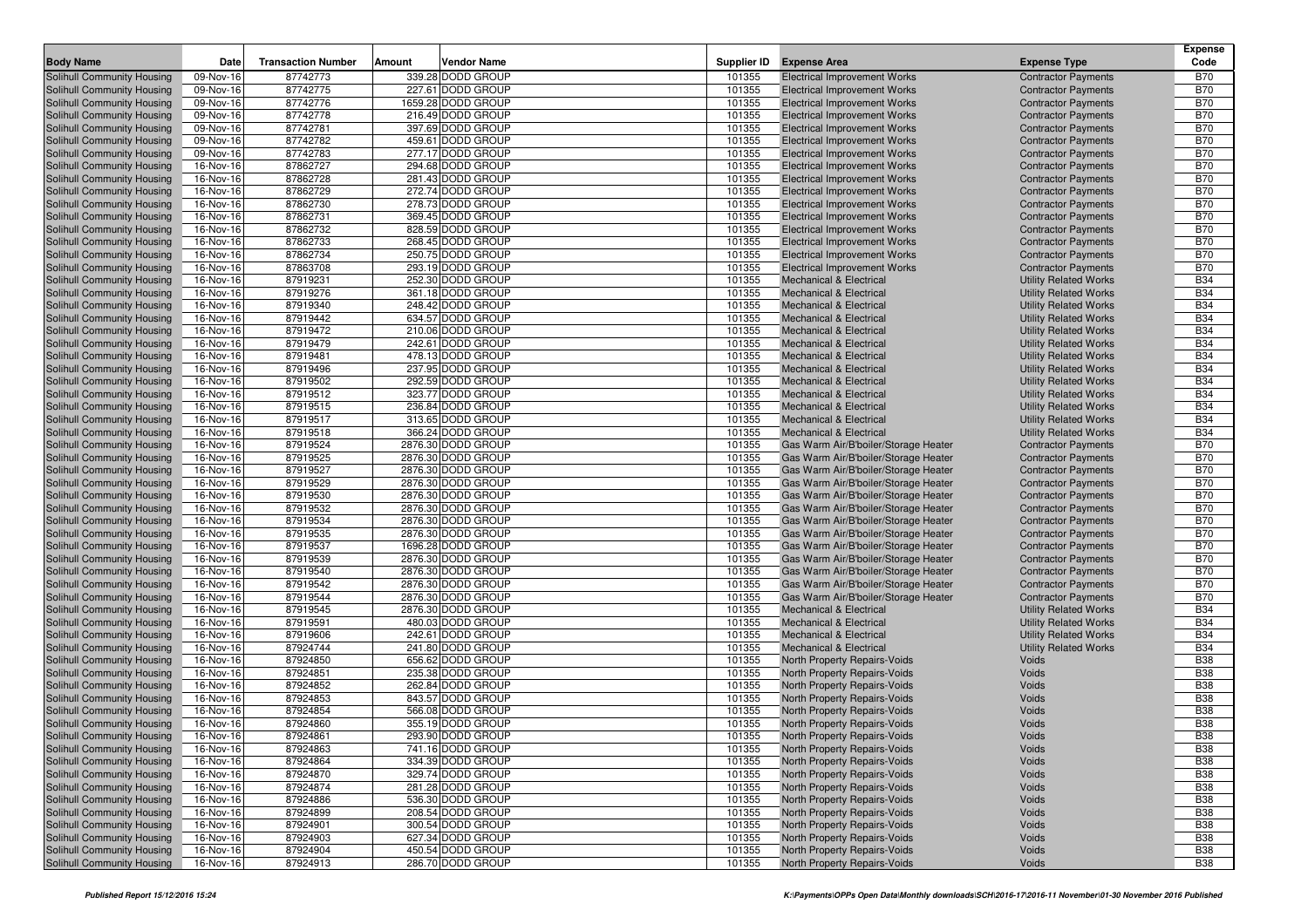|                                                          |                        |                           |        |                                          |                  |                                                                              |                                                          | <b>Expense</b>           |
|----------------------------------------------------------|------------------------|---------------------------|--------|------------------------------------------|------------------|------------------------------------------------------------------------------|----------------------------------------------------------|--------------------------|
| <b>Body Name</b>                                         | Date                   | <b>Transaction Number</b> | Amount | Vendor Name                              | Supplier ID      | <b>Expense Area</b>                                                          | <b>Expense Type</b>                                      | Code                     |
| Solihull Community Housing                               | $\overline{0}9-Nov-16$ | 87742773                  |        | 339.28 DODD GROUP                        | 101355           | <b>Electrical Improvement Works</b>                                          | <b>Contractor Payments</b>                               | <b>B70</b>               |
| Solihull Community Housing                               | 09-Nov-16              | 87742775                  |        | 227.61 DODD GROUP                        | 101355           | <b>Electrical Improvement Works</b>                                          | <b>Contractor Payments</b>                               | <b>B70</b>               |
| Solihull Community Housing                               | 09-Nov-16              | 87742776                  |        | 1659.28 DODD GROUP                       | 101355           | <b>Electrical Improvement Works</b>                                          | <b>Contractor Payments</b>                               | <b>B70</b>               |
| Solihull Community Housing<br>Solihull Community Housing | 09-Nov-16              | 87742778<br>87742781      |        | 216.49 DODD GROUP                        | 101355           | <b>Electrical Improvement Works</b>                                          | <b>Contractor Payments</b>                               | <b>B70</b><br><b>B70</b> |
|                                                          | 09-Nov-16              | 87742782                  |        | 397.69 DODD GROUP<br>459.61 DODD GROUP   | 101355<br>101355 | <b>Electrical Improvement Works</b>                                          | <b>Contractor Payments</b>                               | <b>B70</b>               |
| Solihull Community Housing<br>Solihull Community Housing | 09-Nov-16<br>09-Nov-16 | 87742783                  |        | 277.17 DODD GROUP                        | 101355           | <b>Electrical Improvement Works</b><br><b>Electrical Improvement Works</b>   | <b>Contractor Payments</b><br><b>Contractor Payments</b> | <b>B70</b>               |
| Solihull Community Housing                               | 16-Nov-16              | 87862727                  |        | 294.68 DODD GROUP                        | 101355           | <b>Electrical Improvement Works</b>                                          | <b>Contractor Payments</b>                               | <b>B70</b>               |
| Solihull Community Housing                               | 16-Nov-16              | 87862728                  |        | 281.43 DODD GROUP                        | 101355           | <b>Electrical Improvement Works</b>                                          | <b>Contractor Payments</b>                               | <b>B70</b>               |
| Solihull Community Housing                               | 16-Nov-16              | 87862729                  |        | 272.74 DODD GROUP                        | 101355           | <b>Electrical Improvement Works</b>                                          | <b>Contractor Payments</b>                               | <b>B70</b>               |
| Solihull Community Housing                               | 16-Nov-16              | 87862730                  |        | 278.73 DODD GROUP                        | 101355           | <b>Electrical Improvement Works</b>                                          | <b>Contractor Payments</b>                               | <b>B70</b>               |
| Solihull Community Housing                               | 16-Nov-16              | 87862731                  |        | 369.45 DODD GROUP                        | 101355           | <b>Electrical Improvement Works</b>                                          | <b>Contractor Payments</b>                               | <b>B70</b>               |
| Solihull Community Housing                               | 16-Nov-16              | 87862732                  |        | 828.59 DODD GROUP                        | 101355           | <b>Electrical Improvement Works</b>                                          | <b>Contractor Payments</b>                               | <b>B70</b>               |
| Solihull Community Housing                               | 16-Nov-16              | 87862733                  |        | 268.45 DODD GROUP                        | 101355           | <b>Electrical Improvement Works</b>                                          | <b>Contractor Payments</b>                               | <b>B70</b>               |
| Solihull Community Housing                               | 16-Nov-16              | 87862734                  |        | 250.75 DODD GROUP                        | 101355           | <b>Electrical Improvement Works</b>                                          | <b>Contractor Payments</b>                               | <b>B70</b>               |
| Solihull Community Housing                               | 16-Nov-16              | 87863708                  |        | 293.19 DODD GROUP                        | 101355           | <b>Electrical Improvement Works</b>                                          | <b>Contractor Payments</b>                               | <b>B70</b>               |
| Solihull Community Housing                               | 16-Nov-16              | 87919231                  |        | 252.30 DODD GROUP                        | 101355           | <b>Mechanical &amp; Electrical</b>                                           | <b>Utility Related Works</b>                             | <b>B34</b>               |
| Solihull Community Housing                               | 16-Nov-16              | 87919276                  |        | 361.18 DODD GROUP                        | 101355           | <b>Mechanical &amp; Electrical</b>                                           | <b>Utility Related Works</b>                             | <b>B34</b>               |
| Solihull Community Housing                               | 16-Nov-16              | 87919340                  |        | 248.42 DODD GROUP                        | 101355           | <b>Mechanical &amp; Electrical</b>                                           | <b>Utility Related Works</b>                             | <b>B34</b>               |
| Solihull Community Housing                               | 16-Nov-16              | 87919442                  |        | 634.57 DODD GROUP                        | 101355           | <b>Mechanical &amp; Electrical</b>                                           | <b>Utility Related Works</b>                             | <b>B34</b>               |
| Solihull Community Housing                               | 16-Nov-16              | 87919472                  |        | 210.06 DODD GROUP                        | 101355           | <b>Mechanical &amp; Electrical</b>                                           | <b>Utility Related Works</b>                             | <b>B34</b>               |
| Solihull Community Housing                               | 16-Nov-16              | 87919479                  |        | 242.61 DODD GROUP                        | 101355           | <b>Mechanical &amp; Electrical</b>                                           | <b>Utility Related Works</b>                             | <b>B34</b>               |
| Solihull Community Housing                               | 16-Nov-16              | 87919481                  |        | 478.13 DODD GROUP                        | 101355           | <b>Mechanical &amp; Electrical</b>                                           | <b>Utility Related Works</b>                             | <b>B34</b>               |
| Solihull Community Housing                               | 16-Nov-16              | 87919496                  |        | 237.95 DODD GROUP                        | 101355           | <b>Mechanical &amp; Electrical</b>                                           | <b>Utility Related Works</b>                             | <b>B34</b>               |
| Solihull Community Housing                               | 16-Nov-16              | 87919502                  |        | 292.59 DODD GROUP                        | 101355           | <b>Mechanical &amp; Electrical</b>                                           | <b>Utility Related Works</b>                             | <b>B34</b>               |
| Solihull Community Housing                               | 16-Nov-16              | 87919512                  |        | 323.77 DODD GROUP                        | 101355           | <b>Mechanical &amp; Electrical</b>                                           | <b>Utility Related Works</b>                             | <b>B34</b>               |
| Solihull Community Housing                               | 16-Nov-16              | 87919515                  |        | 236.84 DODD GROUP                        | 101355           | <b>Mechanical &amp; Electrical</b>                                           | <b>Utility Related Works</b>                             | <b>B34</b>               |
| Solihull Community Housing                               | 16-Nov-16              | 87919517                  |        | 313.65 DODD GROUP                        | 101355           | <b>Mechanical &amp; Electrical</b>                                           | <b>Utility Related Works</b>                             | <b>B34</b>               |
| Solihull Community Housing                               | 16-Nov-16              | 87919518                  |        | 366.24 DODD GROUP                        | 101355           | <b>Mechanical &amp; Electrical</b>                                           | <b>Utility Related Works</b>                             | <b>B34</b>               |
| Solihull Community Housing                               | 16-Nov-16              | 87919524                  |        | 2876.30 DODD GROUP                       | 101355           | Gas Warm Air/B'boiler/Storage Heater                                         | <b>Contractor Payments</b>                               | <b>B70</b>               |
| Solihull Community Housing                               | 16-Nov-16              | 87919525                  |        | 2876.30 DODD GROUP                       | 101355           | Gas Warm Air/B'boiler/Storage Heater                                         | <b>Contractor Payments</b>                               | <b>B70</b>               |
| Solihull Community Housing                               | 16-Nov-16              | 87919527                  |        | 2876.30 DODD GROUP                       | 101355           | Gas Warm Air/B'boiler/Storage Heater                                         | <b>Contractor Payments</b>                               | <b>B70</b>               |
| Solihull Community Housing                               | 16-Nov-16              | 87919529                  |        | 2876.30 DODD GROUP                       | 101355           | Gas Warm Air/B'boiler/Storage Heater                                         | <b>Contractor Payments</b>                               | <b>B70</b>               |
| Solihull Community Housing                               | 16-Nov-16              | 87919530                  |        | 2876.30 DODD GROUP                       | 101355           | Gas Warm Air/B'boiler/Storage Heater                                         | <b>Contractor Payments</b>                               | <b>B70</b>               |
| Solihull Community Housing                               | 16-Nov-16              | 87919532                  |        | 2876.30 DODD GROUP                       | 101355           | Gas Warm Air/B'boiler/Storage Heater                                         | <b>Contractor Payments</b>                               | <b>B70</b>               |
| Solihull Community Housing                               | 16-Nov-16              | 87919534                  |        | 2876.30 DODD GROUP                       | 101355           | Gas Warm Air/B'boiler/Storage Heater                                         | <b>Contractor Payments</b>                               | <b>B70</b><br><b>B70</b> |
| Solihull Community Housing<br>Solihull Community Housing | 16-Nov-16<br>16-Nov-16 | 87919535<br>87919537      |        | 2876.30 DODD GROUP<br>1696.28 DODD GROUP | 101355<br>101355 | Gas Warm Air/B'boiler/Storage Heater<br>Gas Warm Air/B'boiler/Storage Heater | <b>Contractor Payments</b>                               | <b>B70</b>               |
| Solihull Community Housing                               | 16-Nov-16              | 87919539                  |        | 2876.30 DODD GROUP                       | 101355           | Gas Warm Air/B'boiler/Storage Heater                                         | <b>Contractor Payments</b><br><b>Contractor Payments</b> | <b>B70</b>               |
| Solihull Community Housing                               | 16-Nov-16              | 87919540                  |        | 2876.30 DODD GROUP                       | 101355           | Gas Warm Air/B'boiler/Storage Heater                                         | <b>Contractor Payments</b>                               | <b>B70</b>               |
| Solihull Community Housing                               | 16-Nov-16              | 87919542                  |        | 2876.30 DODD GROUP                       | 101355           | Gas Warm Air/B'boiler/Storage Heater                                         | <b>Contractor Payments</b>                               | <b>B70</b>               |
| Solihull Community Housing                               | 16-Nov-16              | 87919544                  |        | 2876.30 DODD GROUP                       | 101355           | Gas Warm Air/B'boiler/Storage Heater                                         | <b>Contractor Payments</b>                               | <b>B70</b>               |
| Solihull Community Housing                               | 16-Nov-16              | 87919545                  |        | 2876.30 DODD GROUP                       | 101355           | Mechanical & Electrical                                                      | <b>Utility Related Works</b>                             | <b>B34</b>               |
| Solihull Community Housing                               | 16-Nov-16              | 87919591                  |        | 480.03 DODD GROUP                        | 101355           | <b>Mechanical &amp; Electrical</b>                                           | <b>Utility Related Works</b>                             | <b>B34</b>               |
| Solihull Community Housing                               | 16-Nov-16              | 87919606                  |        | 242.61 DODD GROUP                        | 101355           | <b>Mechanical &amp; Electrical</b>                                           | <b>Utility Related Works</b>                             | <b>B34</b>               |
| Solihull Community Housing                               | 16-Nov-16              | 87924744                  |        | 241.80 DODD GROUP                        | 101355           | <b>Mechanical &amp; Electrical</b>                                           | <b>Utility Related Works</b>                             | <b>B34</b>               |
| Solihull Community Housing                               | 16-Nov-16              | 87924850                  |        | 656.62 DODD GROUP                        | 101355           | North Property Repairs-Voids                                                 | Voids                                                    | <b>B38</b>               |
| Solihull Community Housing                               | 16-Nov-16              | 87924851                  |        | 235.38 DODD GROUP                        | 101355           | North Property Repairs-Voids                                                 | Voids                                                    | <b>B38</b>               |
| Solihull Community Housing                               | 16-Nov-16              | 87924852                  |        | 262.84 DODD GROUP                        | 101355           | North Property Repairs-Voids                                                 | Voids                                                    | <b>B38</b>               |
| <b>Solihull Community Housing</b>                        | 16-Nov-16              | 87924853                  |        | 843.57 DODD GROUP                        | 101355           | <b>North Property Repairs-Voids</b>                                          | Voids                                                    | <b>B38</b>               |
| Solihull Community Housing                               | 16-Nov-16              | 87924854                  |        | 566.08 DODD GROUP                        | 101355           | North Property Repairs-Voids                                                 | Voids                                                    | <b>B38</b>               |
| Solihull Community Housing                               | 16-Nov-16              | 87924860                  |        | 355.19 DODD GROUP                        | 101355           | North Property Repairs-Voids                                                 | Voids                                                    | <b>B38</b>               |
| <b>Solihull Community Housing</b>                        | 16-Nov-16              | 87924861                  |        | 293.90 DODD GROUP                        | 101355           | North Property Repairs-Voids                                                 | Voids                                                    | <b>B38</b>               |
| Solihull Community Housing                               | 16-Nov-16              | 87924863                  |        | 741.16 DODD GROUP                        | 101355           | North Property Repairs-Voids                                                 | Voids                                                    | <b>B38</b>               |
| Solihull Community Housing                               | 16-Nov-16              | 87924864                  |        | 334.39 DODD GROUP                        | 101355           | North Property Repairs-Voids                                                 | Voids                                                    | <b>B38</b>               |
| Solihull Community Housing                               | 16-Nov-16              | 87924870                  |        | 329.74 DODD GROUP                        | 101355           | North Property Repairs-Voids                                                 | Voids                                                    | <b>B38</b>               |
| Solihull Community Housing                               | 16-Nov-16              | 87924874                  |        | 281.28 DODD GROUP                        | 101355           | North Property Repairs-Voids                                                 | Voids                                                    | <b>B38</b>               |
| Solihull Community Housing                               | 16-Nov-16              | 87924886                  |        | 536.30 DODD GROUP                        | 101355           | North Property Repairs-Voids                                                 | Voids                                                    | <b>B38</b>               |
| <b>Solihull Community Housing</b>                        | 16-Nov-16              | 87924899                  |        | 208.54 DODD GROUP                        | 101355           | North Property Repairs-Voids                                                 | Voids                                                    | <b>B38</b>               |
| Solihull Community Housing                               | 16-Nov-16              | 87924901                  |        | 300.54 DODD GROUP                        | 101355           | North Property Repairs-Voids                                                 | Voids                                                    | <b>B38</b>               |
| Solihull Community Housing                               | 16-Nov-16              | 87924903                  |        | 627.34 DODD GROUP                        | 101355           | North Property Repairs-Voids                                                 | Voids                                                    | <b>B38</b>               |
| Solihull Community Housing                               | 16-Nov-16              | 87924904                  |        | 450.54 DODD GROUP                        | 101355           | North Property Repairs-Voids                                                 | Voids                                                    | <b>B38</b>               |
| Solihull Community Housing                               | 16-Nov-16              | 87924913                  |        | 286.70 DODD GROUP                        | 101355           | North Property Repairs-Voids                                                 | Voids                                                    | <b>B38</b>               |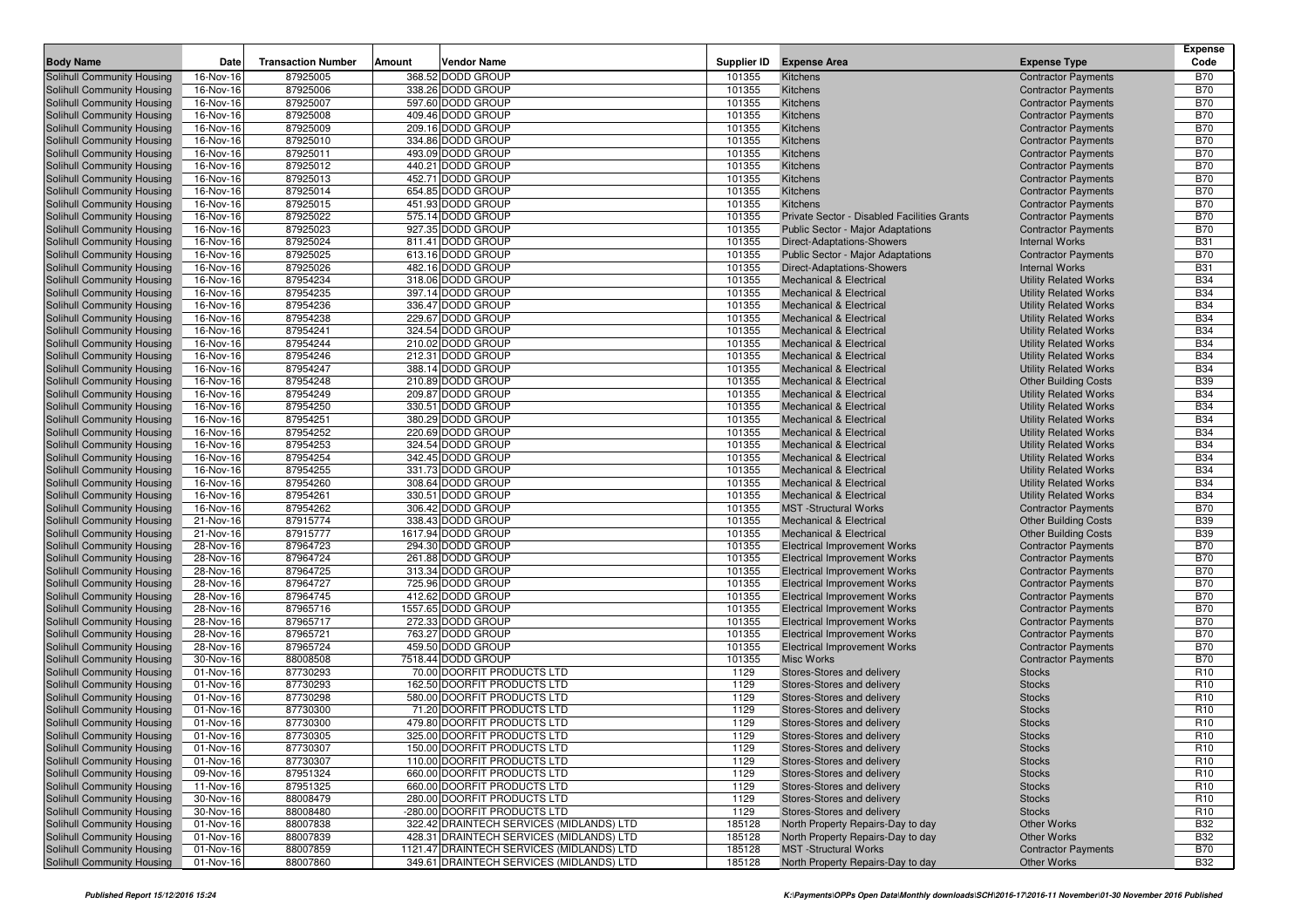|                                                          |                        |                           |                                           |                  |                                                                          |                                                             | <b>Expense</b>           |
|----------------------------------------------------------|------------------------|---------------------------|-------------------------------------------|------------------|--------------------------------------------------------------------------|-------------------------------------------------------------|--------------------------|
| <b>Body Name</b>                                         | Date                   | <b>Transaction Number</b> | Amount<br><b>Vendor Name</b>              | Supplier ID      | <b>Expense Area</b>                                                      | <b>Expense Type</b>                                         | Code                     |
| Solihull Community Housing                               | 16-Nov-16              | 87925005                  | 368.52 DODD GROUP                         | 101355           | Kitchens                                                                 | <b>Contractor Payments</b>                                  | <b>B70</b>               |
| Solihull Community Housing                               | 16-Nov-16              | 87925006                  | 338.26 DODD GROUP                         | 101355           | Kitchens                                                                 | <b>Contractor Payments</b>                                  | <b>B70</b>               |
| Solihull Community Housing                               | 16-Nov-16              | 87925007                  | 597.60 DODD GROUP                         | 101355           | Kitchens                                                                 | <b>Contractor Payments</b>                                  | <b>B70</b>               |
| Solihull Community Housing                               | 16-Nov-16              | 87925008                  | 409.46 DODD GROUP                         | 101355           | Kitchens                                                                 | <b>Contractor Payments</b>                                  | <b>B70</b>               |
| Solihull Community Housing                               | 16-Nov-16              | 87925009                  | 209.16 DODD GROUP                         | 101355           | Kitchens                                                                 | <b>Contractor Payments</b>                                  | <b>B70</b>               |
| Solihull Community Housing                               | 16-Nov-16              | 87925010                  | 334.86 DODD GROUP                         | 101355           | Kitchens                                                                 | <b>Contractor Payments</b>                                  | <b>B70</b>               |
| Solihull Community Housing                               | 16-Nov-16              | 87925011                  | 493.09 DODD GROUP                         | 101355           | Kitchens                                                                 | <b>Contractor Payments</b>                                  | <b>B70</b>               |
| Solihull Community Housing                               | 16-Nov-16              | 87925012                  | 440.21 DODD GROUP                         | 101355           | Kitchens                                                                 | <b>Contractor Payments</b>                                  | <b>B70</b>               |
| <b>Solihull Community Housing</b>                        | 16-Nov-16              | 87925013                  | 452.71 DODD GROUP                         | 101355           | Kitchens                                                                 | <b>Contractor Payments</b>                                  | <b>B70</b>               |
| Solihull Community Housing                               | 16-Nov-16              | 87925014                  | 654.85 DODD GROUP                         | 101355           | Kitchens                                                                 | <b>Contractor Payments</b>                                  | <b>B70</b>               |
| Solihull Community Housing                               | 16-Nov-16              | 87925015                  | 451.93 DODD GROUP                         | 101355           | Kitchens                                                                 | <b>Contractor Payments</b>                                  | <b>B70</b>               |
| Solihull Community Housing                               | 16-Nov-16              | 87925022                  | 575.14 DODD GROUP                         | 101355           | <b>Private Sector - Disabled Facilities Grants</b>                       | <b>Contractor Payments</b>                                  | <b>B70</b>               |
| Solihull Community Housing                               | 16-Nov-16              | 87925023                  | 927.35 DODD GROUP                         | 101355           | Public Sector - Major Adaptations                                        | <b>Contractor Payments</b>                                  | <b>B70</b>               |
| Solihull Community Housing                               | 16-Nov-16              | 87925024                  | 811.41 DODD GROUP                         | 101355           | <b>Direct-Adaptations-Showers</b>                                        | <b>Internal Works</b>                                       | <b>B31</b>               |
| Solihull Community Housing                               | 16-Nov-16              | 87925025                  | 613.16 DODD GROUP                         | 101355           | <b>Public Sector - Major Adaptations</b>                                 | <b>Contractor Payments</b>                                  | <b>B70</b>               |
| Solihull Community Housing                               | 16-Nov-16              | 87925026                  | 482.16 DODD GROUP                         | 101355           | Direct-Adaptations-Showers                                               | <b>Internal Works</b>                                       | <b>B31</b>               |
| Solihull Community Housing                               | 16-Nov-16              | 87954234                  | 318.06 DODD GROUP                         | 101355           | <b>Mechanical &amp; Electrical</b>                                       | <b>Utility Related Works</b>                                | <b>B34</b>               |
| Solihull Community Housing                               | 16-Nov-16              | 87954235                  | 397.14 DODD GROUP                         | 101355           | <b>Mechanical &amp; Electrical</b>                                       | <b>Utility Related Works</b>                                | <b>B34</b>               |
| Solihull Community Housing                               | 16-Nov-16              | 87954236                  | 336.47 DODD GROUP                         | 101355           | <b>Mechanical &amp; Electrical</b>                                       | <b>Utility Related Works</b>                                | <b>B34</b>               |
| Solihull Community Housing                               | 16-Nov-16              | 87954238                  | 229.67 DODD GROUP                         | 101355           | <b>Mechanical &amp; Electrical</b>                                       | <b>Utility Related Works</b>                                | <b>B34</b>               |
| Solihull Community Housing                               | 16-Nov-16              | 87954241<br>87954244      | 324.54 DODD GROUP<br>210.02 DODD GROUP    | 101355<br>101355 | <b>Mechanical &amp; Electrical</b>                                       | <b>Utility Related Works</b>                                | <b>B34</b><br><b>B34</b> |
| Solihull Community Housing                               | 16-Nov-16<br>16-Nov-16 | 87954246                  | 212.31 DODD GROUP                         | 101355           | <b>Mechanical &amp; Electrical</b>                                       | <b>Utility Related Works</b>                                | <b>B34</b>               |
| Solihull Community Housing                               | 16-Nov-16              | 87954247                  | 388.14 DODD GROUP                         | 101355           | <b>Mechanical &amp; Electrical</b><br><b>Mechanical &amp; Electrical</b> | <b>Utility Related Works</b>                                | <b>B34</b>               |
| Solihull Community Housing                               | 16-Nov-16              | 87954248                  | 210.89 DODD GROUP                         | 101355           | <b>Mechanical &amp; Electrical</b>                                       | <b>Utility Related Works</b>                                | <b>B39</b>               |
| Solihull Community Housing<br>Solihull Community Housing | 16-Nov-16              | 87954249                  | 209.87 DODD GROUP                         | 101355           | <b>Mechanical &amp; Electrical</b>                                       | <b>Other Building Costs</b><br><b>Utility Related Works</b> | <b>B34</b>               |
| Solihull Community Housing                               | 16-Nov-16              | 87954250                  | 330.51 DODD GROUP                         | 101355           | <b>Mechanical &amp; Electrical</b>                                       | <b>Utility Related Works</b>                                | <b>B34</b>               |
| Solihull Community Housing                               | 16-Nov-16              | 87954251                  | 380.29 DODD GROUP                         | 101355           | <b>Mechanical &amp; Electrical</b>                                       | <b>Utility Related Works</b>                                | <b>B34</b>               |
| Solihull Community Housing                               | 16-Nov-16              | 87954252                  | 220.69 DODD GROUP                         | 101355           | <b>Mechanical &amp; Electrical</b>                                       | <b>Utility Related Works</b>                                | <b>B34</b>               |
| Solihull Community Housing                               | 16-Nov-16              | 87954253                  | 324.54 DODD GROUP                         | 101355           | <b>Mechanical &amp; Electrical</b>                                       | <b>Utility Related Works</b>                                | <b>B34</b>               |
| Solihull Community Housing                               | 16-Nov-16              | 87954254                  | 342.45 DODD GROUP                         | 101355           | <b>Mechanical &amp; Electrical</b>                                       | <b>Utility Related Works</b>                                | <b>B34</b>               |
| Solihull Community Housing                               | 16-Nov-16              | 87954255                  | 331.73 DODD GROUP                         | 101355           | <b>Mechanical &amp; Electrical</b>                                       | <b>Utility Related Works</b>                                | <b>B34</b>               |
| Solihull Community Housing                               | 16-Nov-16              | 87954260                  | 308.64 DODD GROUP                         | 101355           | <b>Mechanical &amp; Electrical</b>                                       | <b>Utility Related Works</b>                                | <b>B34</b>               |
| <b>Solihull Community Housing</b>                        | 16-Nov-16              | 87954261                  | 330.51 DODD GROUP                         | 101355           | <b>Mechanical &amp; Electrical</b>                                       | <b>Utility Related Works</b>                                | <b>B34</b>               |
| Solihull Community Housing                               | 16-Nov-16              | 87954262                  | 306.42 DODD GROUP                         | 101355           | <b>MST</b> -Structural Works                                             | <b>Contractor Payments</b>                                  | <b>B70</b>               |
| Solihull Community Housing                               | 21-Nov-16              | 87915774                  | 338.43 DODD GROUP                         | 101355           | <b>Mechanical &amp; Electrical</b>                                       | <b>Other Building Costs</b>                                 | <b>B39</b>               |
| Solihull Community Housing                               | 21-Nov-16              | 87915777                  | 1617.94 DODD GROUP                        | 101355           | <b>Mechanical &amp; Electrical</b>                                       | <b>Other Building Costs</b>                                 | <b>B39</b>               |
| Solihull Community Housing                               | 28-Nov-16              | 87964723                  | 294.30 DODD GROUP                         | 101355           | <b>Electrical Improvement Works</b>                                      | <b>Contractor Payments</b>                                  | <b>B70</b>               |
| Solihull Community Housing                               | 28-Nov-16              | 87964724                  | 261.88 DODD GROUP                         | 101355           | <b>Electrical Improvement Works</b>                                      | <b>Contractor Payments</b>                                  | <b>B70</b>               |
| Solihull Community Housing                               | 28-Nov-16              | 87964725                  | 313.34 DODD GROUP                         | 101355           | <b>Electrical Improvement Works</b>                                      | <b>Contractor Payments</b>                                  | <b>B70</b>               |
| Solihull Community Housing                               | 28-Nov-16              | 87964727                  | 725.96 DODD GROUP                         | 101355           | <b>Electrical Improvement Works</b>                                      | <b>Contractor Payments</b>                                  | <b>B70</b>               |
| Solihull Community Housing                               | 28-Nov-16              | 87964745                  | 412.62 DODD GROUP                         | 101355           | <b>Electrical Improvement Works</b>                                      | <b>Contractor Payments</b>                                  | <b>B70</b>               |
| Solihull Community Housing                               | 28-Nov-16              | 87965716                  | 1557.65 DODD GROUP                        | 101355           | <b>Electrical Improvement Works</b>                                      | <b>Contractor Payments</b>                                  | <b>B70</b>               |
| Solihull Community Housing                               | 28-Nov-16              | 87965717                  | 272.33 DODD GROUP                         | 101355           | <b>Electrical Improvement Works</b>                                      | <b>Contractor Payments</b>                                  | <b>B70</b>               |
| Solihull Community Housing                               | 28-Nov-16              | 87965721                  | 763.27 DODD GROUP                         | 101355           | <b>Electrical Improvement Works</b>                                      | <b>Contractor Payments</b>                                  | <b>B70</b>               |
| Solihull Community Housing                               | 28-Nov-16              | 87965724                  | 459.50 DODD GROUP                         | 101355           | <b>Electrical Improvement Works</b>                                      | <b>Contractor Payments</b>                                  | <b>B70</b>               |
| Solihull Community Housing                               | 30-Nov-16              | 88008508                  | 7518.44 DODD GROUP                        | 101355           | <b>Misc Works</b>                                                        | <b>Contractor Payments</b>                                  | <b>B70</b>               |
| Solihull Community Housing                               | 01-Nov-16              | 87730293                  | 70.00 DOORFIT PRODUCTS LTD                | 1129             | Stores-Stores and delivery                                               | <b>Stocks</b>                                               | R <sub>10</sub>          |
| Solihull Community Housing                               | 01-Nov-16              | 87730293                  | 162.50 DOORFIT PRODUCTS LTD               | 1129             | Stores-Stores and delivery                                               | <b>Stocks</b>                                               | R <sub>10</sub>          |
| Solihull Community Housing                               | 01-Nov-16              | 87730298                  | 580.00 DOORFIT PRODUCTS LTD               | 1129             | Stores-Stores and delivery                                               | <b>Stocks</b>                                               | R <sub>10</sub>          |
| Solihull Community Housing                               | 01-Nov-16              | 87730300                  | 71.20 DOORFIT PRODUCTS LTD                | 1129             | Stores-Stores and delivery                                               | <b>Stocks</b>                                               | R <sub>10</sub>          |
| Solihull Community Housing                               | 01-Nov-16              | 87730300                  | 479.80 DOORFIT PRODUCTS LTD               | 1129             | Stores-Stores and delivery                                               | <b>Stocks</b>                                               | R <sub>10</sub>          |
| Solihull Community Housing                               | 01-Nov-16              | 87730305                  | 325.00 DOORFIT PRODUCTS LTD               | 1129             | Stores-Stores and delivery                                               | <b>Stocks</b>                                               | R <sub>10</sub>          |
| Solihull Community Housing                               | 01-Nov-16              | 87730307                  | 150.00 DOORFIT PRODUCTS LTD               | 1129             | Stores-Stores and delivery                                               | <b>Stocks</b>                                               | R <sub>10</sub>          |
| Solihull Community Housing                               | 01-Nov-16              | 87730307                  | 110.00 DOORFIT PRODUCTS LTD               | 1129             | Stores-Stores and delivery                                               | <b>Stocks</b>                                               | R <sub>10</sub>          |
| Solihull Community Housing                               | 09-Nov-16              | 87951324                  | 660.00 DOORFIT PRODUCTS LTD               | 1129             | Stores-Stores and delivery                                               | <b>Stocks</b>                                               | R <sub>10</sub>          |
| Solihull Community Housing                               | 11-Nov-16              | 87951325                  | 660.00 DOORFIT PRODUCTS LTD               | 1129             | Stores-Stores and delivery                                               | <b>Stocks</b>                                               | R <sub>10</sub>          |
| Solihull Community Housing                               | 30-Nov-16              | 88008479                  | 280.00 DOORFIT PRODUCTS LTD               | 1129             | Stores-Stores and delivery                                               | <b>Stocks</b>                                               | R <sub>10</sub>          |
| Solihull Community Housing                               | 30-Nov-16              | 88008480                  | -280.00 DOORFIT PRODUCTS LTD              | 1129             | Stores-Stores and delivery                                               | <b>Stocks</b>                                               | R <sub>10</sub>          |
| Solihull Community Housing                               | 01-Nov-16              | 88007838                  | 322.42 DRAINTECH SERVICES (MIDLANDS) LTD  | 185128           | North Property Repairs-Day to day                                        | <b>Other Works</b>                                          | <b>B32</b>               |
| Solihull Community Housing                               | 01-Nov-16              | 88007839                  | 428.31 DRAINTECH SERVICES (MIDLANDS) LTD  | 185128           | North Property Repairs-Day to day                                        | <b>Other Works</b>                                          | <b>B32</b>               |
| Solihull Community Housing                               | 01-Nov-16              | 88007859                  | 1121.47 DRAINTECH SERVICES (MIDLANDS) LTD | 185128           | <b>MST</b> -Structural Works                                             | <b>Contractor Payments</b>                                  | <b>B70</b>               |
| Solihull Community Housing                               | 01-Nov-16              | 88007860                  | 349.61 DRAINTECH SERVICES (MIDLANDS) LTD  | 185128           | North Property Repairs-Day to day                                        | Other Works                                                 | <b>B32</b>               |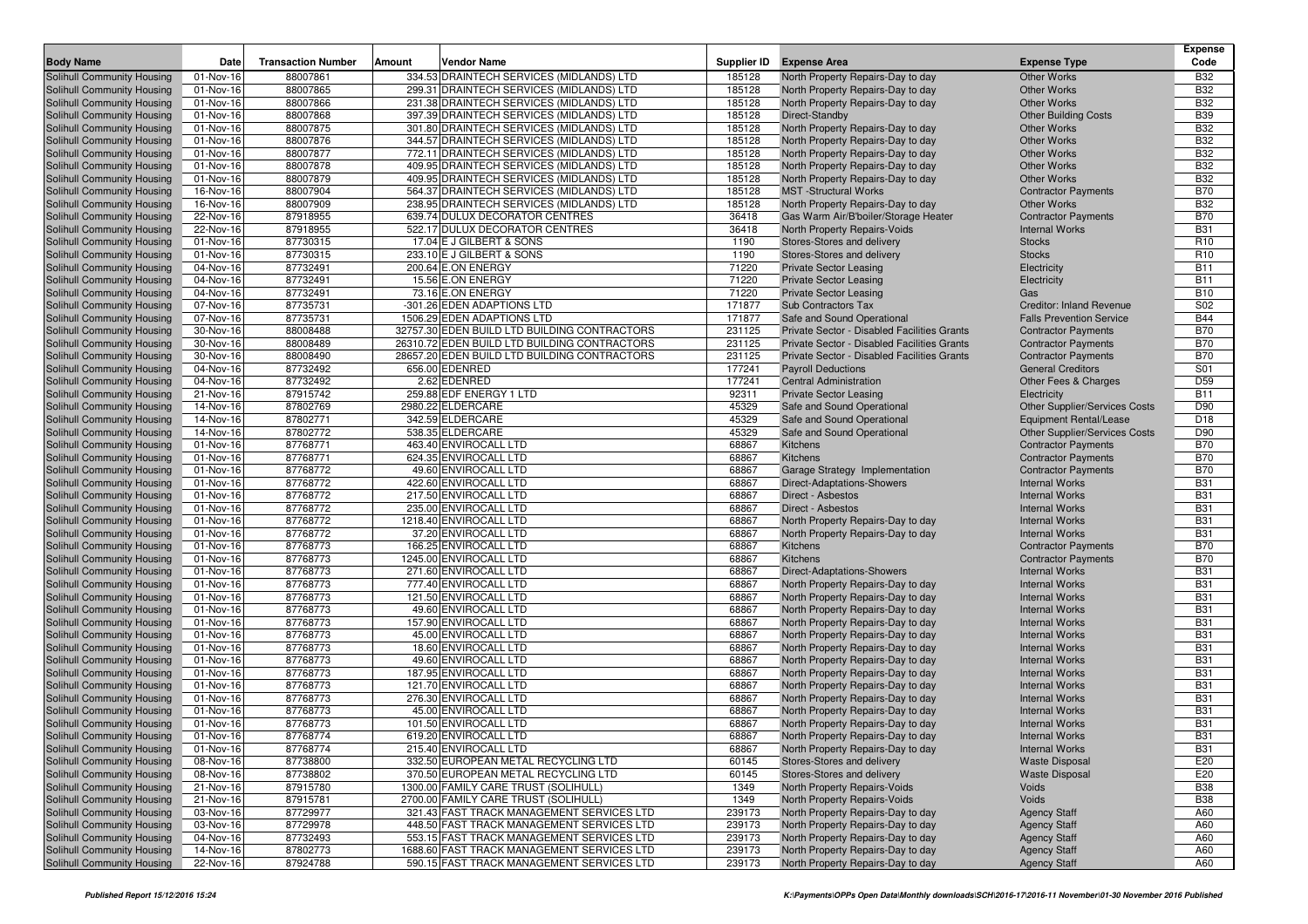|                                                          | Date                   | <b>Transaction Number</b> |        | <b>Vendor Name</b>                                                                   |                  |                                                                        |                                                   | <b>Expense</b><br>Code   |
|----------------------------------------------------------|------------------------|---------------------------|--------|--------------------------------------------------------------------------------------|------------------|------------------------------------------------------------------------|---------------------------------------------------|--------------------------|
| <b>Body Name</b>                                         |                        |                           | Amount |                                                                                      | Supplier ID      | <b>Expense Area</b>                                                    | <b>Expense Type</b>                               |                          |
| Solihull Community Housing                               | 01-Nov-16              | 88007861                  |        | 334.53 DRAINTECH SERVICES (MIDLANDS) LTD                                             | 185128           | North Property Repairs-Day to day                                      | <b>Other Works</b>                                | <b>B32</b>               |
| Solihull Community Housing                               | 01-Nov-16              | 88007865                  |        | 299.31 DRAINTECH SERVICES (MIDLANDS) LTD                                             | 185128           | North Property Repairs-Day to day                                      | <b>Other Works</b>                                | <b>B32</b>               |
| Solihull Community Housing<br>Solihull Community Housing | 01-Nov-16<br>01-Nov-16 | 88007866<br>88007868      |        | 231.38 DRAINTECH SERVICES (MIDLANDS) LTD<br>397.39 DRAINTECH SERVICES (MIDLANDS) LTD | 185128<br>185128 | North Property Repairs-Day to day                                      | <b>Other Works</b>                                | <b>B32</b><br><b>B39</b> |
| Solihull Community Housing                               | 01-Nov-16              | 88007875                  |        | 301.80 DRAINTECH SERVICES (MIDLANDS) LTD                                             | 185128           | Direct-Standby<br>North Property Repairs-Day to day                    | <b>Other Building Costs</b><br><b>Other Works</b> | <b>B32</b>               |
| Solihull Community Housing                               | 01-Nov-16              | 88007876                  |        | 344.57 DRAINTECH SERVICES (MIDLANDS) LTD                                             | 185128           | North Property Repairs-Day to day                                      | <b>Other Works</b>                                | <b>B32</b>               |
| Solihull Community Housing                               | 01-Nov-16              | 88007877                  |        | 772.11 DRAINTECH SERVICES (MIDLANDS) LTD                                             | 185128           | North Property Repairs-Day to day                                      | <b>Other Works</b>                                | <b>B32</b>               |
| Solihull Community Housing                               | 01-Nov-16              | 88007878                  |        | 409.95 DRAINTECH SERVICES (MIDLANDS) LTD                                             | 185128           | North Property Repairs-Day to day                                      | <b>Other Works</b>                                | <b>B32</b>               |
| Solihull Community Housing                               | 01-Nov-16              | 88007879                  |        | 409.95 DRAINTECH SERVICES (MIDLANDS) LTD                                             | 185128           | North Property Repairs-Day to day                                      | <b>Other Works</b>                                | <b>B32</b>               |
| Solihull Community Housing                               | 16-Nov-16              | 88007904                  |        | 564.37 DRAINTECH SERVICES (MIDLANDS) LTD                                             | 185128           | <b>MST</b> -Structural Works                                           | <b>Contractor Payments</b>                        | <b>B70</b>               |
| Solihull Community Housing                               | 16-Nov-16              | 88007909                  |        | 238.95 DRAINTECH SERVICES (MIDLANDS) LTD                                             | 185128           | North Property Repairs-Day to day                                      | <b>Other Works</b>                                | <b>B32</b>               |
| Solihull Community Housing                               | 22-Nov-16              | 87918955                  |        | 639.74 DULUX DECORATOR CENTRES                                                       | 36418            | Gas Warm Air/B'boiler/Storage Heater                                   | <b>Contractor Payments</b>                        | <b>B70</b>               |
| Solihull Community Housing                               | 22-Nov-16              | 87918955                  |        | 522.17 DULUX DECORATOR CENTRES                                                       | 36418            | North Property Repairs-Voids                                           | <b>Internal Works</b>                             | <b>B31</b>               |
| Solihull Community Housing                               | 01-Nov-16              | 87730315                  |        | 17.04 E J GILBERT & SONS                                                             | 1190             | Stores-Stores and delivery                                             | <b>Stocks</b>                                     | R <sub>10</sub>          |
| Solihull Community Housing                               | 01-Nov-16              | 87730315                  |        | 233.10 E J GILBERT & SONS                                                            | 1190             | Stores-Stores and delivery                                             | <b>Stocks</b>                                     | R <sub>10</sub>          |
| <b>Solihull Community Housing</b>                        | 04-Nov-16              | 87732491                  |        | 200.64 E.ON ENERGY                                                                   | 71220            | <b>Private Sector Leasing</b>                                          | Electricity                                       | <b>B11</b>               |
| Solihull Community Housing                               | 04-Nov-16              | 87732491                  |        | 15.56 E.ON ENERGY                                                                    | 71220            | <b>Private Sector Leasing</b>                                          | Electricity                                       | <b>B11</b>               |
| Solihull Community Housing                               | 04-Nov-16              | 87732491                  |        | 73.16 E.ON ENERGY                                                                    | 71220            | <b>Private Sector Leasing</b>                                          | Gas                                               | <b>B10</b>               |
| <b>Solihull Community Housing</b>                        | 07-Nov-16              | 87735731                  |        | -301.26 EDEN ADAPTIONS LTD                                                           | 171877           | <b>Sub Contractors Tax</b>                                             | <b>Creditor: Inland Revenue</b>                   | S <sub>02</sub>          |
| Solihull Community Housing                               | 07-Nov-16              | 87735731                  |        | 1506.29 EDEN ADAPTIONS LTD                                                           | 171877           | Safe and Sound Operational                                             | <b>Falls Prevention Service</b>                   | <b>B44</b>               |
| Solihull Community Housing                               | 30-Nov-16              | 88008488                  |        | 32757.30 EDEN BUILD LTD BUILDING CONTRACTORS                                         | 231125           | Private Sector - Disabled Facilities Grants                            | <b>Contractor Payments</b>                        | <b>B70</b>               |
| Solihull Community Housing                               | 30-Nov-16              | 88008489                  |        | 26310.72 EDEN BUILD LTD BUILDING CONTRACTORS                                         | 231125           | Private Sector - Disabled Facilities Grants                            | <b>Contractor Payments</b>                        | <b>B70</b>               |
| Solihull Community Housing                               | 30-Nov-16              | 88008490                  |        | 28657.20 EDEN BUILD LTD BUILDING CONTRACTORS                                         | 231125           | Private Sector - Disabled Facilities Grants                            | <b>Contractor Payments</b>                        | <b>B70</b>               |
| Solihull Community Housing                               | 04-Nov-16              | 87732492                  |        | 656.00 EDENRED                                                                       | 177241           | <b>Payroll Deductions</b>                                              | <b>General Creditors</b>                          | S01                      |
| Solihull Community Housing                               | 04-Nov-16<br>21-Nov-16 | 87732492<br>87915742      |        | 2.62 EDENRED<br>259.88 EDF ENERGY 1 LTD                                              | 177241<br>92311  | <b>Central Administration</b><br><b>Private Sector Leasing</b>         | Other Fees & Charges                              | D59<br><b>B11</b>        |
| Solihull Community Housing<br>Solihull Community Housing | 14-Nov-16              | 87802769                  |        | 2980.22 ELDERCARE                                                                    | 45329            | Safe and Sound Operational                                             | Electricity<br>Other Supplier/Services Costs      | D90                      |
| Solihull Community Housing                               | 14-Nov-16              | 87802771                  |        | 342.59 ELDERCARE                                                                     | 45329            | Safe and Sound Operational                                             | <b>Equipment Rental/Lease</b>                     | D <sub>18</sub>          |
| Solihull Community Housing                               | 14-Nov-16              | 87802772                  |        | 538.35 ELDERCARE                                                                     | 45329            | Safe and Sound Operational                                             | <b>Other Supplier/Services Costs</b>              | D90                      |
| Solihull Community Housing                               | 01-Nov-16              | 87768771                  |        | 463.40 ENVIROCALL LTD                                                                | 68867            | Kitchens                                                               | <b>Contractor Payments</b>                        | <b>B70</b>               |
| Solihull Community Housing                               | 01-Nov-16              | 87768771                  |        | 624.35 ENVIROCALL LTD                                                                | 68867            | Kitchens                                                               | <b>Contractor Payments</b>                        | <b>B70</b>               |
| Solihull Community Housing                               | 01-Nov-16              | 87768772                  |        | 49.60 ENVIROCALL LTD                                                                 | 68867            | Garage Strategy Implementation                                         | <b>Contractor Payments</b>                        | <b>B70</b>               |
| Solihull Community Housing                               | 01-Nov-16              | 87768772                  |        | 422.60 ENVIROCALL LTD                                                                | 68867            | Direct-Adaptations-Showers                                             | <b>Internal Works</b>                             | <b>B31</b>               |
| Solihull Community Housing                               | 01-Nov-16              | 87768772                  |        | 217.50 ENVIROCALL LTD                                                                | 68867            | Direct - Asbestos                                                      | <b>Internal Works</b>                             | <b>B31</b>               |
| Solihull Community Housing                               | 01-Nov-16              | 87768772                  |        | 235.00 ENVIROCALL LTD                                                                | 68867            | Direct - Asbestos                                                      | <b>Internal Works</b>                             | <b>B31</b>               |
| Solihull Community Housing                               | 01-Nov-16              | 87768772                  |        | 1218.40 ENVIROCALL LTD                                                               | 68867            | North Property Repairs-Day to day                                      | <b>Internal Works</b>                             | <b>B31</b>               |
| Solihull Community Housing                               | 01-Nov-16              | 87768772                  |        | 37.20 ENVIROCALL LTD                                                                 | 68867            | North Property Repairs-Day to day                                      | <b>Internal Works</b>                             | <b>B31</b>               |
| Solihull Community Housing                               | 01-Nov-16              | 87768773                  |        | 166.25 ENVIROCALL LTD                                                                | 68867            | Kitchens                                                               | <b>Contractor Payments</b>                        | <b>B70</b>               |
| Solihull Community Housing                               | 01-Nov-16              | 87768773                  |        | 1245.00 ENVIROCALL LTD                                                               | 68867            | Kitchens                                                               | <b>Contractor Payments</b>                        | <b>B70</b>               |
| Solihull Community Housing                               | 01-Nov-16              | 87768773                  |        | 271.60 ENVIROCALL LTD                                                                | 68867            | Direct-Adaptations-Showers                                             | <b>Internal Works</b>                             | <b>B31</b>               |
| Solihull Community Housing                               | 01-Nov-16              | 87768773                  |        | 777.40 ENVIROCALL LTD                                                                | 68867            | North Property Repairs-Day to day                                      | <b>Internal Works</b>                             | <b>B31</b>               |
| Solihull Community Housing                               | 01-Nov-16              | 87768773                  |        | 121.50 ENVIROCALL LTD                                                                | 68867            | North Property Repairs-Day to day                                      | <b>Internal Works</b>                             | <b>B31</b>               |
| Solihull Community Housing                               | 01-Nov-16              | 87768773                  |        | 49.60 ENVIROCALL LTD                                                                 | 68867            | North Property Repairs-Day to day                                      | <b>Internal Works</b>                             | <b>B31</b>               |
| Solihull Community Housing                               | 01-Nov-16              | 87768773<br>87768773      |        | 157.90 ENVIROCALL LTD                                                                | 68867<br>68867   | North Property Repairs-Day to day                                      | <b>Internal Works</b>                             | <b>B31</b><br><b>B31</b> |
| Solihull Community Housing<br>Solihull Community Housing | 01-Nov-16<br>01-Nov-16 | 87768773                  |        | 45.00 ENVIROCALL LTD<br>18.60 ENVIROCALL LTD                                         | 68867            | North Property Repairs-Day to day<br>North Property Repairs-Day to day | <b>Internal Works</b><br><b>Internal Works</b>    | <b>B31</b>               |
| Solihull Community Housing                               | 01-Nov-16              | 87768773                  |        | 49.60 ENVIROCALL LTD                                                                 | 68867            | North Property Repairs-Day to day                                      | <b>Internal Works</b>                             | <b>B31</b>               |
| Solihull Community Housing                               | 01-Nov-16              | 87768773                  |        | 187.95 ENVIROCALL LTD                                                                | 68867            | North Property Repairs-Day to day                                      | <b>Internal Works</b>                             | <b>B31</b>               |
| Solihull Community Housing                               | 01-Nov-16              | 87768773                  |        | 121.70 ENVIROCALL LTD                                                                | 68867            | North Property Repairs-Day to day                                      | <b>Internal Works</b>                             | <b>B31</b>               |
| Solihull Community Housing                               | 01-Nov-16              | 87768773                  |        | 276.30 ENVIROCALL LTD                                                                | 68867            | North Property Repairs-Day to day                                      | <b>Internal Works</b>                             | <b>B31</b>               |
| Solihull Community Housing                               | 01-Nov-16              | 87768773                  |        | 45.00 ENVIROCALL LTD                                                                 | 68867            | North Property Repairs-Day to day                                      | <b>Internal Works</b>                             | <b>B31</b>               |
| Solihull Community Housing                               | 01-Nov-16              | 87768773                  |        | 101.50 ENVIROCALL LTD                                                                | 68867            | North Property Repairs-Day to day                                      | <b>Internal Works</b>                             | <b>B31</b>               |
| Solihull Community Housing                               | 01-Nov-16              | 87768774                  |        | 619.20 ENVIROCALL LTD                                                                | 68867            | North Property Repairs-Day to day                                      | <b>Internal Works</b>                             | <b>B31</b>               |
| Solihull Community Housing                               | 01-Nov-16              | 87768774                  |        | 215.40 ENVIROCALL LTD                                                                | 68867            | North Property Repairs-Day to day                                      | <b>Internal Works</b>                             | <b>B31</b>               |
| Solihull Community Housing                               | 08-Nov-16              | 87738800                  |        | 332.50 EUROPEAN METAL RECYCLING LTD                                                  | 60145            | Stores-Stores and delivery                                             | <b>Waste Disposal</b>                             | E20                      |
| Solihull Community Housing                               | 08-Nov-16              | 87738802                  |        | 370.50 EUROPEAN METAL RECYCLING LTD                                                  | 60145            | Stores-Stores and delivery                                             | <b>Waste Disposal</b>                             | E20                      |
| Solihull Community Housing                               | 21-Nov-16              | 87915780                  |        | 1300.00 FAMILY CARE TRUST (SOLIHULL)                                                 | 1349             | North Property Repairs-Voids                                           | Voids                                             | <b>B38</b>               |
| Solihull Community Housing                               | 21-Nov-16              | 87915781                  |        | 2700.00 FAMILY CARE TRUST (SOLIHULL)                                                 | 1349             | North Property Repairs-Voids                                           | Voids                                             | <b>B38</b>               |
| Solihull Community Housing                               | 03-Nov-16              | 87729977                  |        | 321.43 FAST TRACK MANAGEMENT SERVICES LTD                                            | 239173           | North Property Repairs-Day to day                                      | <b>Agency Staff</b>                               | A60                      |
| Solihull Community Housing                               | 03-Nov-16              | 87729978                  |        | 448.50 FAST TRACK MANAGEMENT SERVICES LTD                                            | 239173           | North Property Repairs-Day to day                                      | <b>Agency Staff</b>                               | A60                      |
| Solihull Community Housing                               | 04-Nov-16              | 87732493                  |        | 553.15 FAST TRACK MANAGEMENT SERVICES LTD                                            | 239173           | North Property Repairs-Day to day                                      | <b>Agency Staff</b>                               | A60                      |
| Solihull Community Housing                               | 14-Nov-16              | 87802773                  |        | 1688.60 FAST TRACK MANAGEMENT SERVICES LTD                                           | 239173           | North Property Repairs-Day to day                                      | <b>Agency Staff</b>                               | A60                      |
| Solihull Community Housing                               | 22-Nov-16              | 87924788                  |        | 590.15 FAST TRACK MANAGEMENT SERVICES LTD                                            | 239173           | North Property Repairs-Day to day                                      | <b>Agency Staff</b>                               | A60                      |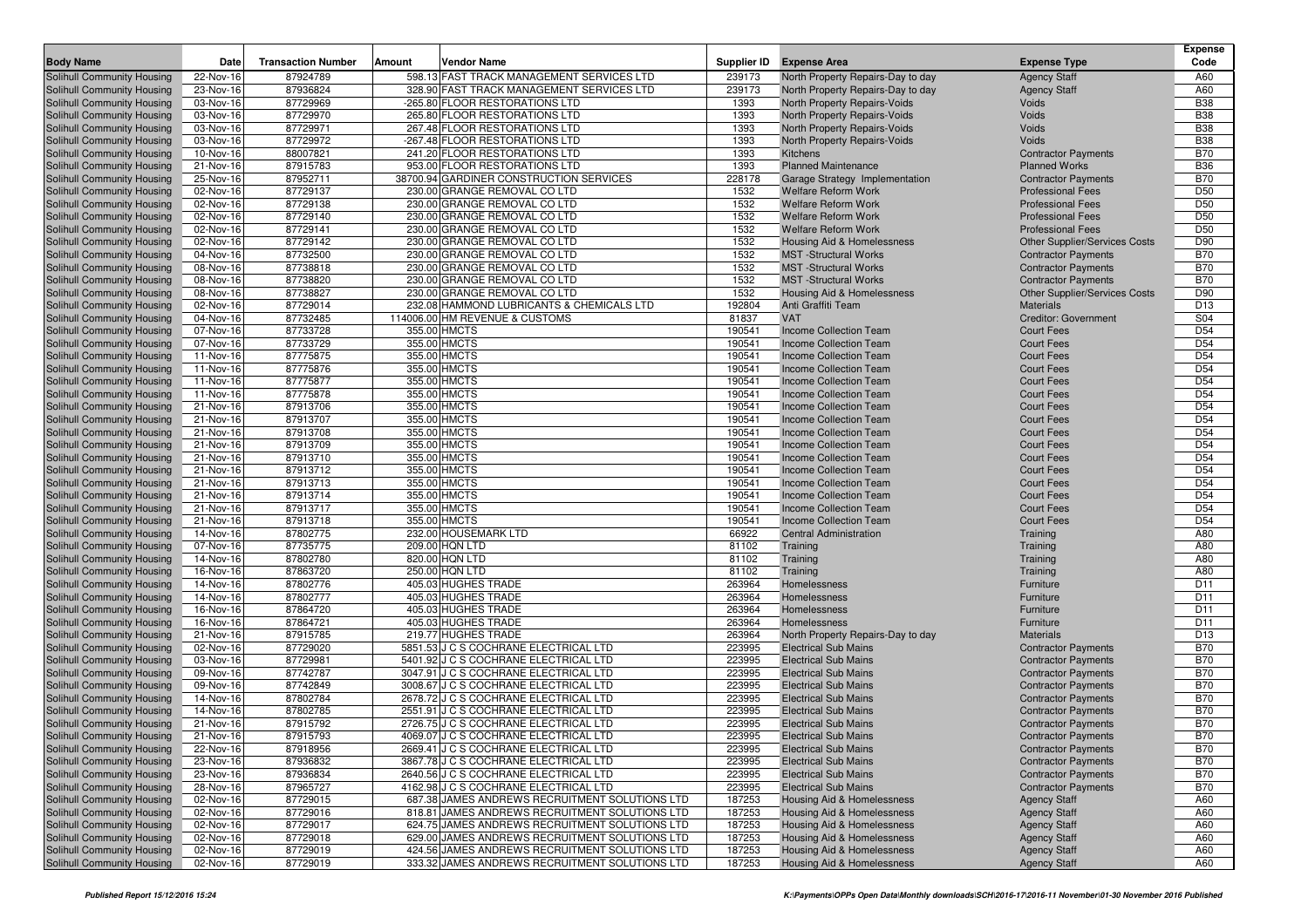|                                                          |                        |                           |                                                              |                  |                                                         |                                        | <b>Expense</b>                     |
|----------------------------------------------------------|------------------------|---------------------------|--------------------------------------------------------------|------------------|---------------------------------------------------------|----------------------------------------|------------------------------------|
| <b>Body Name</b>                                         | Date                   | <b>Transaction Number</b> | Amount<br>Vendor Name                                        | Supplier ID      | <b>Expense Area</b>                                     | <b>Expense Type</b>                    | Code                               |
| Solihull Community Housing                               | 22-Nov-16              | 87924789                  | 598.13 FAST TRACK MANAGEMENT SERVICES LTD                    | 239173           | North Property Repairs-Day to day                       | <b>Agency Staff</b>                    | A60                                |
| Solihull Community Housing                               | 23-Nov-16              | 87936824                  | 328.90 FAST TRACK MANAGEMENT SERVICES LTD                    | 239173           | North Property Repairs-Day to day                       | <b>Agency Staff</b>                    | A60                                |
| Solihull Community Housing                               | 03-Nov-16              | 87729969                  | -265.80 FLOOR RESTORATIONS LTD                               | 1393             | <b>North Property Repairs-Voids</b>                     | Voids                                  | <b>B38</b>                         |
| Solihull Community Housing                               | 03-Nov-16              | 87729970                  | 265.80 FLOOR RESTORATIONS LTD                                | 1393             | <b>North Property Repairs-Voids</b>                     | Voids                                  | <b>B38</b>                         |
| Solihull Community Housing                               | 03-Nov-16              | 87729971                  | 267.48 FLOOR RESTORATIONS LTD                                | 1393             | North Property Repairs-Voids                            | Voids                                  | <b>B38</b>                         |
| Solihull Community Housing                               | 03-Nov-16              | 87729972                  | -267.48 FLOOR RESTORATIONS LTD                               | 1393             | North Property Repairs-Voids                            | Voids                                  | <b>B38</b>                         |
| Solihull Community Housing                               | 10-Nov-16              | 88007821                  | 241.20 FLOOR RESTORATIONS LTD                                | 1393             | Kitchens                                                | <b>Contractor Payments</b>             | <b>B70</b>                         |
| Solihull Community Housing                               | 21-Nov-16              | 87915783                  | 953.00 FLOOR RESTORATIONS LTD                                | 1393             | <b>Planned Maintenance</b>                              | <b>Planned Works</b>                   | <b>B36</b>                         |
| Solihull Community Housing                               | 25-Nov-16              | 87952711                  | 38700.94 GARDINER CONSTRUCTION SERVICES                      | 228178           | Garage Strategy Implementation                          | <b>Contractor Payments</b>             | <b>B70</b>                         |
| Solihull Community Housing                               | 02-Nov-16              | 87729137                  | 230.00 GRANGE REMOVAL CO LTD                                 | 1532             | <b>Welfare Reform Work</b>                              | <b>Professional Fees</b>               | D <sub>50</sub>                    |
| Solihull Community Housing                               | 02-Nov-16              | 87729138                  | 230.00 GRANGE REMOVAL CO LTD                                 | 1532             | <b>Welfare Reform Work</b>                              | <b>Professional Fees</b>               | D <sub>50</sub>                    |
| Solihull Community Housing                               | 02-Nov-16              | 87729140                  | 230.00 GRANGE REMOVAL CO LTD                                 | 1532             | <b>Welfare Reform Work</b>                              | <b>Professional Fees</b>               | D <sub>50</sub>                    |
| Solihull Community Housing                               | 02-Nov-16              | 87729141                  | 230.00 GRANGE REMOVAL CO LTD                                 | 1532             | <b>Welfare Reform Work</b>                              | <b>Professional Fees</b>               | D <sub>50</sub>                    |
| Solihull Community Housing                               | 02-Nov-16              | 87729142                  | 230.00 GRANGE REMOVAL CO LTD                                 | 1532             | Housing Aid & Homelessness                              | Other Supplier/Services Costs          | D90                                |
| Solihull Community Housing                               | 04-Nov-16              | 87732500                  | 230.00 GRANGE REMOVAL CO LTD<br>230.00 GRANGE REMOVAL CO LTD | 1532             | <b>MST</b> -Structural Works                            | <b>Contractor Payments</b>             | <b>B70</b>                         |
| Solihull Community Housing                               | 08-Nov-16              | 87738818                  |                                                              | 1532             | <b>MST</b> -Structural Works                            | <b>Contractor Payments</b>             | <b>B70</b><br><b>B70</b>           |
| Solihull Community Housing                               | 08-Nov-16              | 87738820<br>87738827      | 230.00 GRANGE REMOVAL CO LTD<br>230.00 GRANGE REMOVAL CO LTD | 1532<br>1532     | <b>MST</b> -Structural Works                            | <b>Contractor Payments</b>             | D90                                |
| Solihull Community Housing                               | 08-Nov-16              |                           |                                                              |                  | Housing Aid & Homelessness                              | Other Supplier/Services Costs          |                                    |
| Solihull Community Housing                               | 02-Nov-16              | 87729014                  | 232.08 HAMMOND LUBRICANTS & CHEMICALS LTD                    | 192804           | Anti Graffiti Team<br><b>VAT</b>                        | <b>Materials</b>                       | D <sub>13</sub>                    |
| Solihull Community Housing                               | 04-Nov-16              | 87732485                  | 114006.00 HM REVENUE & CUSTOMS                               | 81837            |                                                         | <b>Creditor: Government</b>            | S04                                |
| Solihull Community Housing                               | 07-Nov-16              | 87733728                  | 355.00 HMCTS                                                 | 190541           | <b>Income Collection Team</b>                           | <b>Court Fees</b>                      | D <sub>54</sub>                    |
| Solihull Community Housing                               | 07-Nov-16              | 87733729                  | 355.00 HMCTS                                                 | 190541           | Income Collection Team                                  | <b>Court Fees</b>                      | D <sub>54</sub><br>D <sub>54</sub> |
| Solihull Community Housing                               | 11-Nov-16              | 87775875                  | 355.00 HMCTS                                                 | 190541           | Income Collection Team                                  | <b>Court Fees</b>                      |                                    |
| Solihull Community Housing                               | 11-Nov-16              | 87775876                  | 355.00 HMCTS<br>355.00 HMCTS                                 | 190541           | <b>Income Collection Team</b><br>Income Collection Team | <b>Court Fees</b>                      | D <sub>54</sub><br>D <sub>54</sub> |
| Solihull Community Housing                               | 11-Nov-16<br>11-Nov-16 | 87775877<br>87775878      | 355.00 HMCTS                                                 | 190541<br>190541 |                                                         | <b>Court Fees</b>                      | D <sub>54</sub>                    |
| Solihull Community Housing                               | 21-Nov-16              | 87913706                  | 355.00 HMCTS                                                 | 190541           | Income Collection Team<br>Income Collection Team        | <b>Court Fees</b><br><b>Court Fees</b> | D <sub>54</sub>                    |
| Solihull Community Housing<br>Solihull Community Housing | 21-Nov-16              | 87913707                  | 355.00 HMCTS                                                 | 190541           |                                                         | <b>Court Fees</b>                      | D <sub>54</sub>                    |
| Solihull Community Housing                               | 21-Nov-16              | 87913708                  | 355.00 HMCTS                                                 | 190541           | Income Collection Team<br>Income Collection Team        | <b>Court Fees</b>                      | D <sub>54</sub>                    |
| Solihull Community Housing                               | 21-Nov-16              | 87913709                  | 355.00 HMCTS                                                 | 190541           | Income Collection Team                                  | <b>Court Fees</b>                      | D <sub>54</sub>                    |
| Solihull Community Housing                               | 21-Nov-16              | 87913710                  | 355.00 HMCTS                                                 | 190541           | Income Collection Team                                  | <b>Court Fees</b>                      | D <sub>54</sub>                    |
| Solihull Community Housing                               | 21-Nov-16              | 87913712                  | 355.00 HMCTS                                                 | 190541           | Income Collection Team                                  | <b>Court Fees</b>                      | D <sub>54</sub>                    |
| Solihull Community Housing                               | 21-Nov-16              | 87913713                  | 355.00 HMCTS                                                 | 190541           | Income Collection Team                                  | <b>Court Fees</b>                      | D <sub>54</sub>                    |
| Solihull Community Housing                               | 21-Nov-16              | 87913714                  | 355.00 HMCTS                                                 | 190541           | Income Collection Team                                  | <b>Court Fees</b>                      | D <sub>54</sub>                    |
| Solihull Community Housing                               | 21-Nov-16              | 87913717                  | 355.00 HMCTS                                                 | 190541           | <b>Income Collection Team</b>                           | <b>Court Fees</b>                      | D <sub>54</sub>                    |
| <b>Solihull Community Housing</b>                        | 21-Nov-16              | 87913718                  | 355.00 HMCTS                                                 | 190541           | Income Collection Team                                  | <b>Court Fees</b>                      | D <sub>54</sub>                    |
| Solihull Community Housing                               | 14-Nov-16              | 87802775                  | 232.00 HOUSEMARK LTD                                         | 66922            | <b>Central Administration</b>                           | Training                               | A80                                |
| Solihull Community Housing                               | 07-Nov-16              | 87735775                  | 209.00 HQN LTD                                               | 81102            | Training                                                | Training                               | A80                                |
| Solihull Community Housing                               | 14-Nov-16              | 87802780                  | 820.00 HQN LTD                                               | 81102            | Training                                                | Training                               | A80                                |
| Solihull Community Housing                               | 16-Nov-16              | 87863720                  | 250.00 HQN LTD                                               | 81102            | Training                                                | Training                               | A80                                |
| Solihull Community Housing                               | 14-Nov-16              | 87802776                  | 405.03 HUGHES TRADE                                          | 263964           | Homelessness                                            | Furniture                              | D11                                |
| <b>Solihull Community Housing</b>                        | 14-Nov-16              | 87802777                  | 405.03 HUGHES TRADE                                          | 263964           | Homelessness                                            | Furniture                              | D <sub>11</sub>                    |
| Solihull Community Housing                               | 16-Nov-16              | 87864720                  | 405.03 HUGHES TRADE                                          | 263964           | Homelessness                                            | Furniture                              | D11                                |
| Solihull Community Housing                               | 16-Nov-16              | 87864721                  | 405.03 HUGHES TRADE                                          | 263964           | Homelessness                                            | Furniture                              | D11                                |
| Solihull Community Housing                               | 21-Nov-16              | 87915785                  | 219.77 HUGHES TRADE                                          | 263964           | North Property Repairs-Day to day                       | <b>Materials</b>                       | D <sub>13</sub>                    |
| Solihull Community Housing                               | 02-Nov-16              | 87729020                  | 5851.53 J C S COCHRANE ELECTRICAL LTD                        | 223995           | <b>Electrical Sub Mains</b>                             | <b>Contractor Payments</b>             | <b>B70</b>                         |
| Solihull Community Housing                               | 03-Nov-16              | 87729981                  | 5401.92 J C S COCHRANE ELECTRICAL LTD                        | 223995           | <b>Electrical Sub Mains</b>                             | <b>Contractor Payments</b>             | <b>B70</b>                         |
| Solihull Community Housing                               | 09-Nov-16              | 87742787                  | 3047.91 J C S COCHRANE ELECTRICAL LTD                        | 223995           | <b>Electrical Sub Mains</b>                             | <b>Contractor Payments</b>             | <b>B70</b>                         |
| Solihull Community Housing                               | 09-Nov-16              | 87742849                  | 3008.67 J C S COCHRANE ELECTRICAL LTD                        | 223995           | <b>Electrical Sub Mains</b>                             | <b>Contractor Payments</b>             | <b>B70</b>                         |
| Solihull Community Housing                               | 14-Nov-16              | 87802784                  | 2678.72 J C S COCHRANE ELECTRICAL LTD                        | 223995           | <b>Electrical Sub Mains</b>                             | <b>Contractor Payments</b>             | <b>B70</b>                         |
| Solihull Community Housing                               | 14-Nov-16              | 87802785                  | 2551.91 J C S COCHRANE ELECTRICAL LTD                        | 223995           | <b>Electrical Sub Mains</b>                             | <b>Contractor Payments</b>             | <b>B70</b>                         |
| Solihull Community Housing                               | 21-Nov-16              | 87915792                  | 2726.75 J C S COCHRANE ELECTRICAL LTD                        | 223995           | <b>Electrical Sub Mains</b>                             | <b>Contractor Payments</b>             | <b>B70</b>                         |
| Solihull Community Housing                               | 21-Nov-16              | 87915793                  | 4069.07 J C S COCHRANE ELECTRICAL LTD                        | 223995           | <b>Electrical Sub Mains</b>                             | <b>Contractor Payments</b>             | <b>B70</b>                         |
| Solihull Community Housing                               | 22-Nov-16              | 87918956                  | 2669.41 J C S COCHRANE ELECTRICAL LTD                        | 223995           | <b>Electrical Sub Mains</b>                             | <b>Contractor Payments</b>             | <b>B70</b>                         |
| Solihull Community Housing                               | 23-Nov-16              | 87936832                  | 3867.78 J C S COCHRANE ELECTRICAL LTD                        | 223995           | <b>Electrical Sub Mains</b>                             | <b>Contractor Payments</b>             | <b>B70</b>                         |
| Solihull Community Housing                               | 23-Nov-16              | 87936834                  | 2640.56 J C S COCHRANE ELECTRICAL LTD                        | 223995           | <b>Electrical Sub Mains</b>                             | <b>Contractor Payments</b>             | <b>B70</b>                         |
| Solihull Community Housing                               | 28-Nov-16              | 87965727                  | 4162.98 J C S COCHRANE ELECTRICAL LTD                        | 223995           | <b>Electrical Sub Mains</b>                             | <b>Contractor Payments</b>             | <b>B70</b>                         |
| Solihull Community Housing                               | 02-Nov-16              | 87729015                  | 687.38 JAMES ANDREWS RECRUITMENT SOLUTIONS LTD               | 187253           | <b>Housing Aid &amp; Homelessness</b>                   | <b>Agency Staff</b>                    | A60                                |
| Solihull Community Housing                               | 02-Nov-16              | 87729016                  | 818.81 JAMES ANDREWS RECRUITMENT SOLUTIONS LTD               | 187253           | Housing Aid & Homelessness                              | <b>Agency Staff</b>                    | A60                                |
| Solihull Community Housing                               | 02-Nov-16              | 87729017                  | 624.75 JAMES ANDREWS RECRUITMENT SOLUTIONS LTD               | 187253           | Housing Aid & Homelessness                              | <b>Agency Staff</b>                    | A60                                |
| Solihull Community Housing                               | 02-Nov-16              | 87729018                  | 629.00 JAMES ANDREWS RECRUITMENT SOLUTIONS LTD               | 187253           | <b>Housing Aid &amp; Homelessness</b>                   | <b>Agency Staff</b>                    | A60                                |
| Solihull Community Housing                               | 02-Nov-16              | 87729019                  | 424.56 JAMES ANDREWS RECRUITMENT SOLUTIONS LTD               | 187253           | Housing Aid & Homelessness                              | <b>Agency Staff</b>                    | A60                                |
| Solihull Community Housing                               | 02-Nov-16              | 87729019                  | 333.32 JAMES ANDREWS RECRUITMENT SOLUTIONS LTD               | 187253           | Housing Aid & Homelessness                              | <b>Agency Staff</b>                    | A60                                |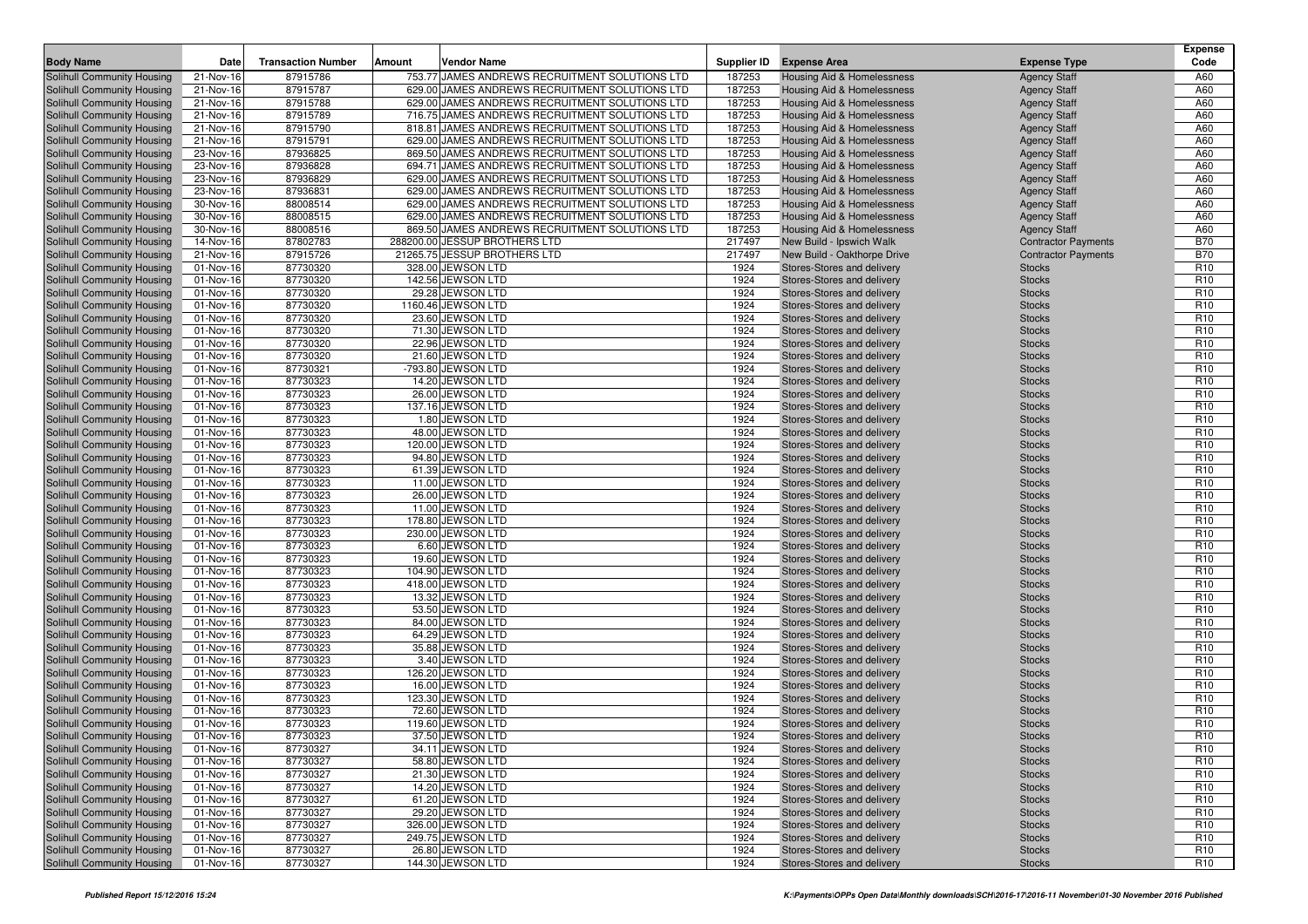| <b>Body Name</b>                                         | Date                   | <b>Transaction Number</b> | Amount | Vendor Name                                    | Supplier ID  | <b>Expense Area</b>                                      | <b>Expense Type</b>            | <b>Expense</b><br>Code             |
|----------------------------------------------------------|------------------------|---------------------------|--------|------------------------------------------------|--------------|----------------------------------------------------------|--------------------------------|------------------------------------|
| Solihull Community Housing                               | 21-Nov-16              | 87915786                  |        | 753.77 JAMES ANDREWS RECRUITMENT SOLUTIONS LTD | 187253       | Housing Aid & Homelessness                               | <b>Agency Staff</b>            | A60                                |
| Solihull Community Housing                               | 21-Nov-16              | 87915787                  |        | 629.00 JAMES ANDREWS RECRUITMENT SOLUTIONS LTD | 187253       | Housing Aid & Homelessness                               | <b>Agency Staff</b>            | A60                                |
| Solihull Community Housing                               | 21-Nov-16              | 87915788                  |        | 629.00 JAMES ANDREWS RECRUITMENT SOLUTIONS LTD | 187253       | Housing Aid & Homelessness                               | <b>Agency Staff</b>            | A60                                |
| Solihull Community Housing                               | 21-Nov-16              | 87915789                  |        | 716.75 JAMES ANDREWS RECRUITMENT SOLUTIONS LTD | 187253       | Housing Aid & Homelessness                               | <b>Agency Staff</b>            | A60                                |
| Solihull Community Housing                               | 21-Nov-16              | 87915790                  |        | 818.81 JAMES ANDREWS RECRUITMENT SOLUTIONS LTD | 187253       | <b>Housing Aid &amp; Homelessness</b>                    | <b>Agency Staff</b>            | A60                                |
| Solihull Community Housing                               | 21-Nov-16              | 87915791                  |        | 629.00 JAMES ANDREWS RECRUITMENT SOLUTIONS LTD | 187253       | <b>Housing Aid &amp; Homelessness</b>                    | <b>Agency Staff</b>            | A60                                |
| Solihull Community Housing                               | 23-Nov-16              | 87936825                  |        | 869.50 JAMES ANDREWS RECRUITMENT SOLUTIONS LTD | 187253       | Housing Aid & Homelessness                               | <b>Agency Staff</b>            | A60                                |
| Solihull Community Housing                               | 23-Nov-16              | 87936828                  |        | 694.71 JAMES ANDREWS RECRUITMENT SOLUTIONS LTD | 187253       | Housing Aid & Homelessness                               | <b>Agency Staff</b>            | A60                                |
| Solihull Community Housing                               | 23-Nov-16              | 87936829                  |        | 629.00 JAMES ANDREWS RECRUITMENT SOLUTIONS LTD | 187253       | Housing Aid & Homelessness                               | <b>Agency Staff</b>            | A60                                |
| Solihull Community Housing                               | 23-Nov-16              | 87936831                  |        | 629.00 JAMES ANDREWS RECRUITMENT SOLUTIONS LTD | 187253       | Housing Aid & Homelessness                               | <b>Agency Staff</b>            | A60                                |
| Solihull Community Housing                               | 30-Nov-16              | 88008514                  |        | 629.00 JAMES ANDREWS RECRUITMENT SOLUTIONS LTD | 187253       | Housing Aid & Homelessness                               | <b>Agency Staff</b>            | A60                                |
| Solihull Community Housing                               | 30-Nov-16              | 88008515                  |        | 629.00 JAMES ANDREWS RECRUITMENT SOLUTIONS LTD | 187253       | Housing Aid & Homelessness                               | <b>Agency Staff</b>            | A60                                |
| Solihull Community Housing                               | 30-Nov-16              | 88008516                  |        | 869.50 JAMES ANDREWS RECRUITMENT SOLUTIONS LTD | 187253       | Housing Aid & Homelessness                               | <b>Agency Staff</b>            | A60                                |
| Solihull Community Housing                               | 14-Nov-16              | 87802783                  |        | 288200.00 JESSUP BROTHERS LTD                  | 217497       | New Build - Ipswich Walk                                 | <b>Contractor Payments</b>     | <b>B70</b>                         |
| Solihull Community Housing                               | 21-Nov-16              | 87915726                  |        | 21265.75 JESSUP BROTHERS LTD                   | 217497       | New Build - Oakthorpe Drive                              | <b>Contractor Payments</b>     | <b>B70</b>                         |
| <b>Solihull Community Housing</b>                        | 01-Nov-16              | 87730320                  |        | 328.00 JEWSON LTD                              | 1924         | Stores-Stores and delivery                               | <b>Stocks</b>                  | R <sub>10</sub>                    |
| Solihull Community Housing                               | 01-Nov-16              | 87730320                  |        | 142.56 JEWSON LTD                              | 1924         | Stores-Stores and delivery                               | <b>Stocks</b>                  | R <sub>10</sub>                    |
| Solihull Community Housing                               | 01-Nov-16              | 87730320                  |        | 29.28 JEWSON LTD                               | 1924         | Stores-Stores and delivery                               | <b>Stocks</b>                  | R <sub>10</sub>                    |
| Solihull Community Housing                               | 01-Nov-16              | 87730320                  |        | 1160.46 JEWSON LTD                             | 1924         | Stores-Stores and delivery                               | <b>Stocks</b>                  | R <sub>10</sub>                    |
| Solihull Community Housing                               | 01-Nov-16              | 87730320                  |        | 23.60 JEWSON LTD                               | 1924         | Stores-Stores and delivery                               | <b>Stocks</b>                  | R <sub>10</sub>                    |
| Solihull Community Housing                               | 01-Nov-16              | 87730320                  |        | 71.30 JEWSON LTD                               | 1924         | Stores-Stores and delivery                               | <b>Stocks</b>                  | R <sub>10</sub>                    |
| Solihull Community Housing                               | 01-Nov-16              | 87730320                  |        | 22.96 JEWSON LTD                               | 1924         | Stores-Stores and delivery                               | <b>Stocks</b>                  | R <sub>10</sub>                    |
| Solihull Community Housing                               | 01-Nov-16              | 87730320                  |        | 21.60 JEWSON LTD                               | 1924         | Stores-Stores and delivery                               | <b>Stocks</b>                  | R <sub>10</sub>                    |
| Solihull Community Housing                               | 01-Nov-16              | 87730321                  |        | -793.80 JEWSON LTD                             | 1924         | Stores-Stores and delivery                               | <b>Stocks</b>                  | R <sub>10</sub>                    |
| Solihull Community Housing                               | 01-Nov-16              | 87730323                  |        | 14.20 JEWSON LTD                               | 1924         | Stores-Stores and delivery                               | <b>Stocks</b>                  | R <sub>10</sub>                    |
| Solihull Community Housing                               | 01-Nov-16              | 87730323                  |        | 26.00 JEWSON LTD                               | 1924         | Stores-Stores and delivery                               | <b>Stocks</b>                  | R <sub>10</sub>                    |
| Solihull Community Housing                               | 01-Nov-16              | 87730323                  |        | 137.16 JEWSON LTD                              | 1924         | Stores-Stores and delivery                               | <b>Stocks</b>                  | R <sub>10</sub>                    |
| Solihull Community Housing                               | 01-Nov-16              | 87730323                  |        | 1.80 JEWSON LTD                                | 1924         | Stores-Stores and delivery                               | <b>Stocks</b>                  | R <sub>10</sub>                    |
| Solihull Community Housing                               | 01-Nov-16              | 87730323                  |        | 48.00 JEWSON LTD                               | 1924         | Stores-Stores and delivery                               | <b>Stocks</b>                  | R <sub>10</sub>                    |
| Solihull Community Housing<br>Solihull Community Housing | 01-Nov-16<br>01-Nov-16 | 87730323<br>87730323      |        | 120.00 JEWSON LTD<br>94.80 JEWSON LTD          | 1924<br>1924 | Stores-Stores and delivery                               | <b>Stocks</b>                  | R <sub>10</sub><br>R <sub>10</sub> |
| Solihull Community Housing                               | 01-Nov-16              | 87730323                  |        | 61.39 JEWSON LTD                               | 1924         | Stores-Stores and delivery<br>Stores-Stores and delivery | <b>Stocks</b><br><b>Stocks</b> | R <sub>10</sub>                    |
| Solihull Community Housing                               | 01-Nov-16              | 87730323                  |        | 11.00 JEWSON LTD                               | 1924         | Stores-Stores and delivery                               | <b>Stocks</b>                  | R <sub>10</sub>                    |
| Solihull Community Housing                               | 01-Nov-16              | 87730323                  |        | 26.00 JEWSON LTD                               | 1924         | Stores-Stores and delivery                               | <b>Stocks</b>                  | R <sub>10</sub>                    |
| Solihull Community Housing                               | 01-Nov-16              | 87730323                  |        | 11.00 JEWSON LTD                               | 1924         | Stores-Stores and delivery                               | <b>Stocks</b>                  | R <sub>10</sub>                    |
| Solihull Community Housing                               | 01-Nov-16              | 87730323                  |        | 178.80 JEWSON LTD                              | 1924         | Stores-Stores and delivery                               | <b>Stocks</b>                  | R <sub>10</sub>                    |
| Solihull Community Housing                               | 01-Nov-16              | 87730323                  |        | 230.00 JEWSON LTD                              | 1924         | Stores-Stores and delivery                               | <b>Stocks</b>                  | R <sub>10</sub>                    |
| Solihull Community Housing                               | 01-Nov-16              | 87730323                  |        | 6.60 JEWSON LTD                                | 1924         | Stores-Stores and delivery                               | <b>Stocks</b>                  | R <sub>10</sub>                    |
| Solihull Community Housing                               | 01-Nov-16              | 87730323                  |        | 19.60 JEWSON LTD                               | 1924         | Stores-Stores and delivery                               | <b>Stocks</b>                  | R <sub>10</sub>                    |
| Solihull Community Housing                               | 01-Nov-16              | 87730323                  |        | 104.90 JEWSON LTD                              | 1924         | Stores-Stores and delivery                               | <b>Stocks</b>                  | R <sub>10</sub>                    |
| Solihull Community Housing                               | 01-Nov-16              | 87730323                  |        | 418.00 JEWSON LTD                              | 1924         | Stores-Stores and delivery                               | <b>Stocks</b>                  | R <sub>10</sub>                    |
| Solihull Community Housing                               | 01-Nov-16              | 87730323                  |        | 13.32 JEWSON LTD                               | 1924         | Stores-Stores and delivery                               | <b>Stocks</b>                  | R <sub>10</sub>                    |
| Solihull Community Housing                               | 01-Nov-16              | 87730323                  |        | 53.50 JEWSON LTD                               | 1924         | Stores-Stores and delivery                               | <b>Stocks</b>                  | R <sub>10</sub>                    |
| Solihull Community Housing                               | 01-Nov-16              | 87730323                  |        | 84.00 JEWSON LTD                               | 1924         | Stores-Stores and delivery                               | <b>Stocks</b>                  | R <sub>10</sub>                    |
| Solihull Community Housing                               | 01-Nov-16              | 87730323                  |        | 64.29 JEWSON LTD                               | 1924         | Stores-Stores and delivery                               | <b>Stocks</b>                  | R <sub>10</sub>                    |
| Solihull Community Housing                               | 01-Nov-16              | 87730323                  |        | 35.88 JEWSON LTD                               | 1924         | Stores-Stores and delivery                               | <b>Stocks</b>                  | R <sub>10</sub>                    |
| Solihull Community Housing                               | 01-Nov-16              | 87730323                  |        | 3.40 JEWSON LTD                                | 1924         | Stores-Stores and delivery                               | <b>Stocks</b>                  | R <sub>10</sub>                    |
| Solihull Community Housing                               | 01-Nov-16              | 87730323                  |        | 126.20 JEWSON LTD                              | 1924         | Stores-Stores and delivery                               | <b>Stocks</b>                  | R <sub>10</sub>                    |
| Solihull Community Housing                               | 01-Nov-16              | 87730323                  |        | 16.00 JEWSON LTD                               | 1924         | Stores-Stores and delivery                               | <b>Stocks</b>                  | R <sub>10</sub>                    |
| Solihull Community Housing                               | 01-Nov-16              | 87730323                  |        | 123.30 JEWSON LTD                              | 1924         | Stores-Stores and delivery                               | <b>Stocks</b>                  | R <sub>10</sub>                    |
| Solihull Community Housing                               | 01-Nov-16              | 87730323                  |        | 72.60 JEWSON LTD                               | 1924         | Stores-Stores and delivery                               | <b>Stocks</b>                  | R <sub>10</sub>                    |
| Solihull Community Housing                               | 01-Nov-16              | 87730323                  |        | 119.60 JEWSON LTD                              | 1924         | Stores-Stores and delivery                               | <b>Stocks</b>                  | R <sub>10</sub>                    |
| Solihull Community Housing                               | 01-Nov-16              | 87730323                  |        | 37.50 JEWSON LTD                               | 1924         | Stores-Stores and delivery                               | <b>Stocks</b>                  | R <sub>10</sub>                    |
| Solihull Community Housing                               | 01-Nov-16              | 87730327                  |        | 34.11 JEWSON LTD                               | 1924         | Stores-Stores and delivery                               | <b>Stocks</b>                  | R <sub>10</sub>                    |
| Solihull Community Housing                               | 01-Nov-16              | 87730327                  |        | 58.80 JEWSON LTD                               | 1924         | Stores-Stores and delivery                               | <b>Stocks</b>                  | R <sub>10</sub>                    |
| Solihull Community Housing                               | 01-Nov-16              | 87730327                  |        | 21.30 JEWSON LTD                               | 1924         | Stores-Stores and delivery                               | <b>Stocks</b>                  | R <sub>10</sub>                    |
| Solihull Community Housing                               | 01-Nov-16              | 87730327                  |        | 14.20 JEWSON LTD                               | 1924         | Stores-Stores and delivery                               | <b>Stocks</b>                  | R <sub>10</sub>                    |
| Solihull Community Housing                               | 01-Nov-16              | 87730327                  |        | 61.20 JEWSON LTD                               | 1924         | Stores-Stores and delivery                               | <b>Stocks</b>                  | R <sub>10</sub>                    |
| Solihull Community Housing                               | 01-Nov-16              | 87730327                  |        | 29.20 JEWSON LTD                               | 1924         | Stores-Stores and delivery                               | <b>Stocks</b>                  | R <sub>10</sub>                    |
| Solihull Community Housing<br>Solihull Community Housing | 01-Nov-16              | 87730327<br>87730327      |        | 326.00 JEWSON LTD<br>249.75 JEWSON LTD         | 1924<br>1924 | Stores-Stores and delivery                               | <b>Stocks</b>                  | R <sub>10</sub><br>R <sub>10</sub> |
| Solihull Community Housing                               | 01-Nov-16<br>01-Nov-16 | 87730327                  |        | 26.80 JEWSON LTD                               | 1924         | Stores-Stores and delivery<br>Stores-Stores and delivery | <b>Stocks</b><br><b>Stocks</b> | R <sub>10</sub>                    |
| Solihull Community Housing                               |                        |                           |        | 144.30 JEWSON LTD                              | 1924         | Stores-Stores and delivery                               |                                | R <sub>10</sub>                    |
|                                                          | 01-Nov-16              | 87730327                  |        |                                                |              |                                                          | <b>Stocks</b>                  |                                    |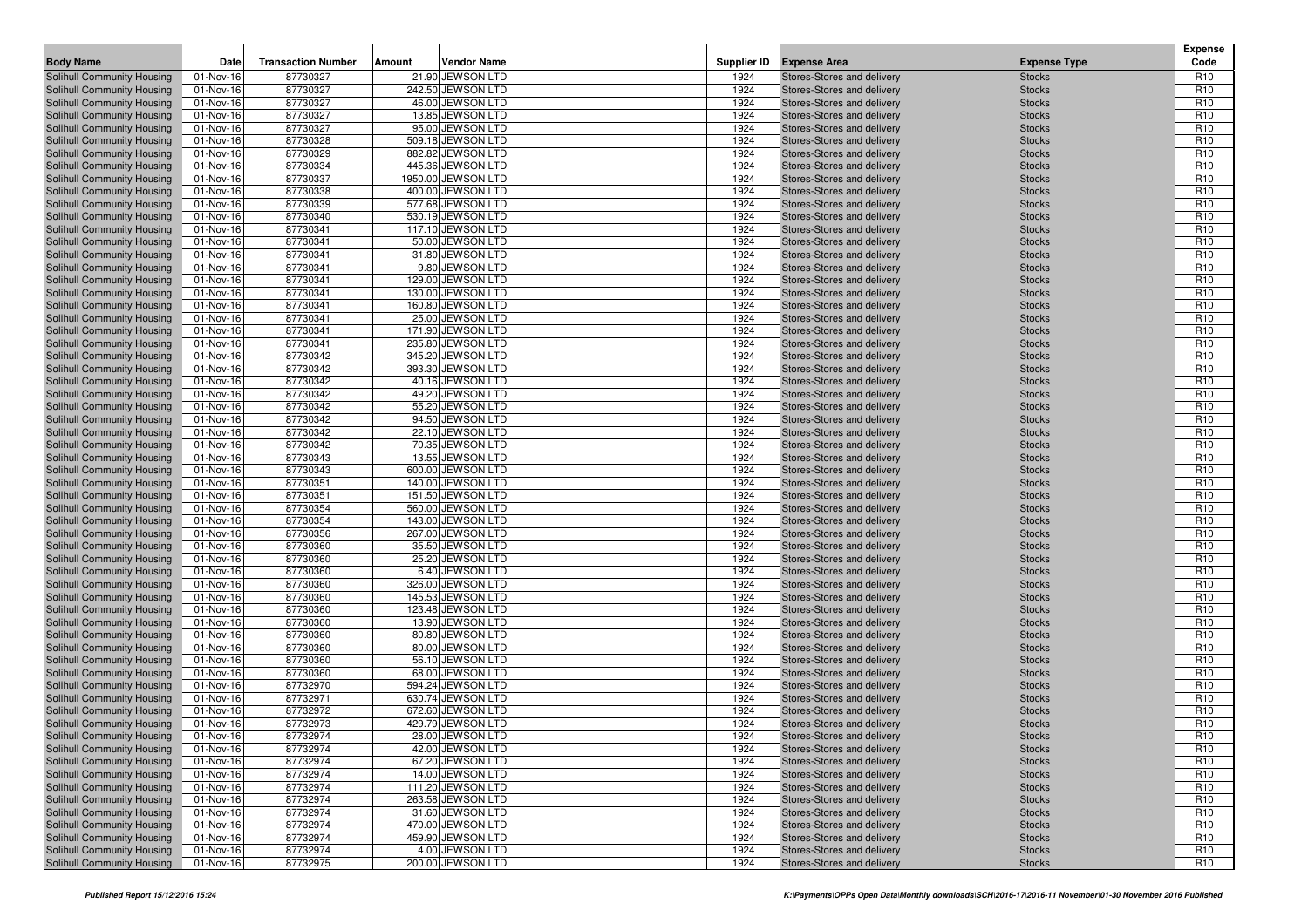|                                                          |                        |                           |        |                                        |              |                                                          |                                | <b>Expense</b>                     |
|----------------------------------------------------------|------------------------|---------------------------|--------|----------------------------------------|--------------|----------------------------------------------------------|--------------------------------|------------------------------------|
| <b>Body Name</b>                                         | Date                   | <b>Transaction Number</b> | Amount | Vendor Name                            | Supplier ID  | <b>Expense Area</b>                                      | <b>Expense Type</b>            | Code                               |
| Solihull Community Housing                               | 01-Nov-16              | 87730327                  |        | 21.90 JEWSON LTD                       | 1924         | Stores-Stores and delivery                               | <b>Stocks</b>                  | R <sub>10</sub>                    |
| Solihull Community Housing                               | 01-Nov-16              | 87730327                  |        | 242.50 JEWSON LTD                      | 1924         | Stores-Stores and delivery                               | <b>Stocks</b>                  | R <sub>10</sub>                    |
| Solihull Community Housing                               | 01-Nov-16              | 87730327                  |        | 46.00 JEWSON LTD                       | 1924         | Stores-Stores and delivery                               | <b>Stocks</b>                  | R <sub>10</sub>                    |
| Solihull Community Housing<br>Solihull Community Housing | 01-Nov-16              | 87730327<br>87730327      |        | 13.85 JEWSON LTD<br>95.00 JEWSON LTD   | 1924<br>1924 | Stores-Stores and delivery                               | <b>Stocks</b>                  | R <sub>10</sub><br>R <sub>10</sub> |
| Solihull Community Housing                               | 01-Nov-16<br>01-Nov-16 | 87730328                  |        | 509.18 JEWSON LTD                      | 1924         | Stores-Stores and delivery<br>Stores-Stores and delivery | <b>Stocks</b><br><b>Stocks</b> | R <sub>10</sub>                    |
| Solihull Community Housing                               | 01-Nov-16              | 87730329                  |        | 882.82 JEWSON LTD                      | 1924         | Stores-Stores and delivery                               | <b>Stocks</b>                  | R <sub>10</sub>                    |
| Solihull Community Housing                               | 01-Nov-16              | 87730334                  |        | 445.36 JEWSON LTD                      | 1924         | Stores-Stores and delivery                               | <b>Stocks</b>                  | R <sub>10</sub>                    |
| Solihull Community Housing                               | 01-Nov-16              | 87730337                  |        | 1950.00 JEWSON LTD                     | 1924         | Stores-Stores and delivery                               | <b>Stocks</b>                  | R <sub>10</sub>                    |
| Solihull Community Housing                               | 01-Nov-16              | 87730338                  |        | 400.00 JEWSON LTD                      | 1924         | Stores-Stores and delivery                               | <b>Stocks</b>                  | R <sub>10</sub>                    |
| Solihull Community Housing                               | 01-Nov-16              | 87730339                  |        | 577.68 JEWSON LTD                      | 1924         | Stores-Stores and delivery                               | <b>Stocks</b>                  | R <sub>10</sub>                    |
| Solihull Community Housing                               | 01-Nov-16              | 87730340                  |        | 530.19 JEWSON LTD                      | 1924         | Stores-Stores and delivery                               | <b>Stocks</b>                  | R <sub>10</sub>                    |
| Solihull Community Housing                               | 01-Nov-16              | 87730341                  |        | 117.10 JEWSON LTD                      | 1924         | Stores-Stores and delivery                               | <b>Stocks</b>                  | R <sub>10</sub>                    |
| Solihull Community Housing                               | 01-Nov-16              | 87730341                  |        | 50.00 JEWSON LTD                       | 1924         | Stores-Stores and delivery                               | <b>Stocks</b>                  | R <sub>10</sub>                    |
| Solihull Community Housing                               | 01-Nov-16              | 87730341                  |        | 31.80 JEWSON LTD                       | 1924         | Stores-Stores and delivery                               | <b>Stocks</b>                  | R <sub>10</sub>                    |
| <b>Solihull Community Housing</b>                        | 01-Nov-16              | 87730341                  |        | 9.80 JEWSON LTD                        | 1924         | Stores-Stores and delivery                               | <b>Stocks</b>                  | R <sub>10</sub>                    |
| Solihull Community Housing                               | 01-Nov-16              | 87730341                  |        | 129.00 JEWSON LTD                      | 1924         | Stores-Stores and delivery                               | <b>Stocks</b>                  | R <sub>10</sub>                    |
| Solihull Community Housing                               | 01-Nov-16              | 87730341                  |        | 130.00 JEWSON LTD                      | 1924         | Stores-Stores and delivery                               | <b>Stocks</b>                  | R <sub>10</sub>                    |
| Solihull Community Housing                               | 01-Nov-16              | 87730341                  |        | 160.80 JEWSON LTD                      | 1924         | Stores-Stores and delivery                               | <b>Stocks</b>                  | R <sub>10</sub>                    |
| Solihull Community Housing                               | 01-Nov-16              | 87730341                  |        | 25.00 JEWSON LTD                       | 1924         | Stores-Stores and delivery                               | <b>Stocks</b>                  | R <sub>10</sub>                    |
| Solihull Community Housing                               | 01-Nov-16              | 87730341                  |        | 171.90 JEWSON LTD                      | 1924         | Stores-Stores and delivery                               | <b>Stocks</b>                  | R <sub>10</sub>                    |
| Solihull Community Housing                               | 01-Nov-16              | 87730341                  |        | 235.80 JEWSON LTD                      | 1924         | Stores-Stores and delivery                               | <b>Stocks</b>                  | R <sub>10</sub>                    |
| Solihull Community Housing                               | 01-Nov-16              | 87730342                  |        | 345.20 JEWSON LTD                      | 1924         | Stores-Stores and delivery                               | <b>Stocks</b>                  | R <sub>10</sub>                    |
| Solihull Community Housing                               | 01-Nov-16              | 87730342                  |        | 393.30 JEWSON LTD                      | 1924         | Stores-Stores and delivery                               | <b>Stocks</b>                  | R <sub>10</sub><br>R <sub>10</sub> |
| Solihull Community Housing<br>Solihull Community Housing | 01-Nov-16<br>01-Nov-16 | 87730342<br>87730342      |        | 40.16 JEWSON LTD<br>49.20 JEWSON LTD   | 1924<br>1924 | Stores-Stores and delivery<br>Stores-Stores and delivery | <b>Stocks</b><br><b>Stocks</b> | R <sub>10</sub>                    |
| Solihull Community Housing                               | 01-Nov-16              | 87730342                  |        | 55.20 JEWSON LTD                       | 1924         | Stores-Stores and delivery                               | <b>Stocks</b>                  | R <sub>10</sub>                    |
| Solihull Community Housing                               | 01-Nov-16              | 87730342                  |        | 94.50 JEWSON LTD                       | 1924         | Stores-Stores and delivery                               | <b>Stocks</b>                  | R <sub>10</sub>                    |
| Solihull Community Housing                               | 01-Nov-16              | 87730342                  |        | 22.10 JEWSON LTD                       | 1924         | Stores-Stores and delivery                               | <b>Stocks</b>                  | R <sub>10</sub>                    |
| Solihull Community Housing                               | 01-Nov-16              | 87730342                  |        | 70.35 JEWSON LTD                       | 1924         | Stores-Stores and delivery                               | <b>Stocks</b>                  | R <sub>10</sub>                    |
| Solihull Community Housing                               | 01-Nov-16              | 87730343                  |        | 13.55 JEWSON LTD                       | 1924         | Stores-Stores and delivery                               | <b>Stocks</b>                  | R <sub>10</sub>                    |
| Solihull Community Housing                               | 01-Nov-16              | 87730343                  |        | 600.00 JEWSON LTD                      | 1924         | Stores-Stores and delivery                               | <b>Stocks</b>                  | R <sub>10</sub>                    |
| Solihull Community Housing                               | 01-Nov-16              | 87730351                  |        | 140.00 JEWSON LTD                      | 1924         | Stores-Stores and delivery                               | <b>Stocks</b>                  | R <sub>10</sub>                    |
| Solihull Community Housing                               | 01-Nov-16              | 87730351                  |        | 151.50 JEWSON LTD                      | 1924         | Stores-Stores and delivery                               | <b>Stocks</b>                  | R <sub>10</sub>                    |
| Solihull Community Housing                               | 01-Nov-16              | 87730354                  |        | 560.00 JEWSON LTD                      | 1924         | Stores-Stores and delivery                               | <b>Stocks</b>                  | R <sub>10</sub>                    |
| Solihull Community Housing                               | 01-Nov-16              | 87730354                  |        | 143.00 JEWSON LTD                      | 1924         | Stores-Stores and delivery                               | <b>Stocks</b>                  | R <sub>10</sub>                    |
| Solihull Community Housing                               | 01-Nov-16              | 87730356                  |        | 267.00 JEWSON LTD                      | 1924         | Stores-Stores and delivery                               | <b>Stocks</b>                  | R <sub>10</sub>                    |
| Solihull Community Housing                               | 01-Nov-16              | 87730360                  |        | 35.50 JEWSON LTD                       | 1924         | Stores-Stores and delivery                               | <b>Stocks</b>                  | R <sub>10</sub>                    |
| Solihull Community Housing                               | 01-Nov-16              | 87730360                  |        | 25.20 JEWSON LTD                       | 1924         | Stores-Stores and delivery                               | <b>Stocks</b>                  | R <sub>10</sub>                    |
| Solihull Community Housing                               | 01-Nov-16              | 87730360                  |        | 6.40 JEWSON LTD                        | 1924         | Stores-Stores and delivery                               | <b>Stocks</b>                  | R <sub>10</sub>                    |
| Solihull Community Housing                               | 01-Nov-16              | 87730360                  |        | 326.00 JEWSON LTD                      | 1924         | Stores-Stores and delivery                               | <b>Stocks</b>                  | R <sub>10</sub>                    |
| Solihull Community Housing<br>Solihull Community Housing | 01-Nov-16<br>01-Nov-16 | 87730360<br>87730360      |        | 145.53 JEWSON LTD<br>123.48 JEWSON LTD | 1924<br>1924 | Stores-Stores and delivery<br>Stores-Stores and delivery | <b>Stocks</b><br><b>Stocks</b> | R <sub>10</sub><br>R <sub>10</sub> |
| Solihull Community Housing                               | 01-Nov-16              | 87730360                  |        | 13.90 JEWSON LTD                       | 1924         | Stores-Stores and delivery                               | <b>Stocks</b>                  | R <sub>10</sub>                    |
| Solihull Community Housing                               | 01-Nov-16              | 87730360                  |        | 80.80 JEWSON LTD                       | 1924         | Stores-Stores and delivery                               | <b>Stocks</b>                  | R <sub>10</sub>                    |
| Solihull Community Housing                               | 01-Nov-16              | 87730360                  |        | 80.00 JEWSON LTD                       | 1924         | Stores-Stores and delivery                               | <b>Stocks</b>                  | R <sub>10</sub>                    |
| Solihull Community Housing                               | 01-Nov-16              | 87730360                  |        | 56.10 JEWSON LTD                       | 1924         | Stores-Stores and delivery                               | <b>Stocks</b>                  | R <sub>10</sub>                    |
| Solihull Community Housing                               | 01-Nov-16              | 87730360                  |        | 68.00 JEWSON LTD                       | 1924         | Stores-Stores and delivery                               | <b>Stocks</b>                  | R <sub>10</sub>                    |
| Solihull Community Housing                               | 01-Nov-16              | 87732970                  |        | 594.24 JEWSON LTD                      | 1924         | Stores-Stores and delivery                               | <b>Stocks</b>                  | R <sub>10</sub>                    |
| Solihull Community Housing                               | 01-Nov-16              | 87732971                  |        | 630.74 JEWSON LTD                      | 1924         | Stores-Stores and delivery                               | <b>Stocks</b>                  | R <sub>10</sub>                    |
| Solihull Community Housing                               | 01-Nov-16              | 87732972                  |        | 672.60 JEWSON LTD                      | 1924         | Stores-Stores and delivery                               | <b>Stocks</b>                  | R <sub>10</sub>                    |
| Solihull Community Housing                               | 01-Nov-16              | 87732973                  |        | 429.79 JEWSON LTD                      | 1924         | Stores-Stores and delivery                               | <b>Stocks</b>                  | R <sub>10</sub>                    |
| Solihull Community Housing                               | 01-Nov-16              | 87732974                  |        | 28.00 JEWSON LTD                       | 1924         | Stores-Stores and delivery                               | <b>Stocks</b>                  | R <sub>10</sub>                    |
| Solihull Community Housing                               | 01-Nov-16              | 87732974                  |        | 42.00 JEWSON LTD                       | 1924         | Stores-Stores and delivery                               | <b>Stocks</b>                  | R <sub>10</sub>                    |
| Solihull Community Housing                               | 01-Nov-16              | 87732974                  |        | 67.20 JEWSON LTD                       | 1924         | Stores-Stores and delivery                               | <b>Stocks</b>                  | R <sub>10</sub>                    |
| Solihull Community Housing                               | 01-Nov-16              | 87732974                  |        | 14.00 JEWSON LTD                       | 1924         | Stores-Stores and delivery                               | <b>Stocks</b>                  | R <sub>10</sub>                    |
| Solihull Community Housing                               | 01-Nov-16              | 87732974                  |        | 111.20 JEWSON LTD                      | 1924         | Stores-Stores and delivery                               | <b>Stocks</b>                  | R <sub>10</sub>                    |
| Solihull Community Housing                               | 01-Nov-16              | 87732974                  |        | 263.58 JEWSON LTD                      | 1924         | Stores-Stores and delivery                               | <b>Stocks</b>                  | R <sub>10</sub>                    |
| Solihull Community Housing                               | 01-Nov-16              | 87732974                  |        | 31.60 JEWSON LTD                       | 1924         | Stores-Stores and delivery                               | <b>Stocks</b>                  | R <sub>10</sub>                    |
| Solihull Community Housing                               | 01-Nov-16              | 87732974                  |        | 470.00 JEWSON LTD                      | 1924         | Stores-Stores and delivery                               | <b>Stocks</b>                  | R <sub>10</sub>                    |
| Solihull Community Housing<br>Solihull Community Housing | 01-Nov-16<br>01-Nov-16 | 87732974                  |        | 459.90 JEWSON LTD<br>4.00 JEWSON LTD   | 1924<br>1924 | Stores-Stores and delivery<br>Stores-Stores and delivery | <b>Stocks</b>                  | R <sub>10</sub><br>R <sub>10</sub> |
| Solihull Community Housing                               | 01-Nov-16              | 87732974<br>87732975      |        | 200.00 JEWSON LTD                      | 1924         | Stores-Stores and delivery                               | <b>Stocks</b><br><b>Stocks</b> | R <sub>10</sub>                    |
|                                                          |                        |                           |        |                                        |              |                                                          |                                |                                    |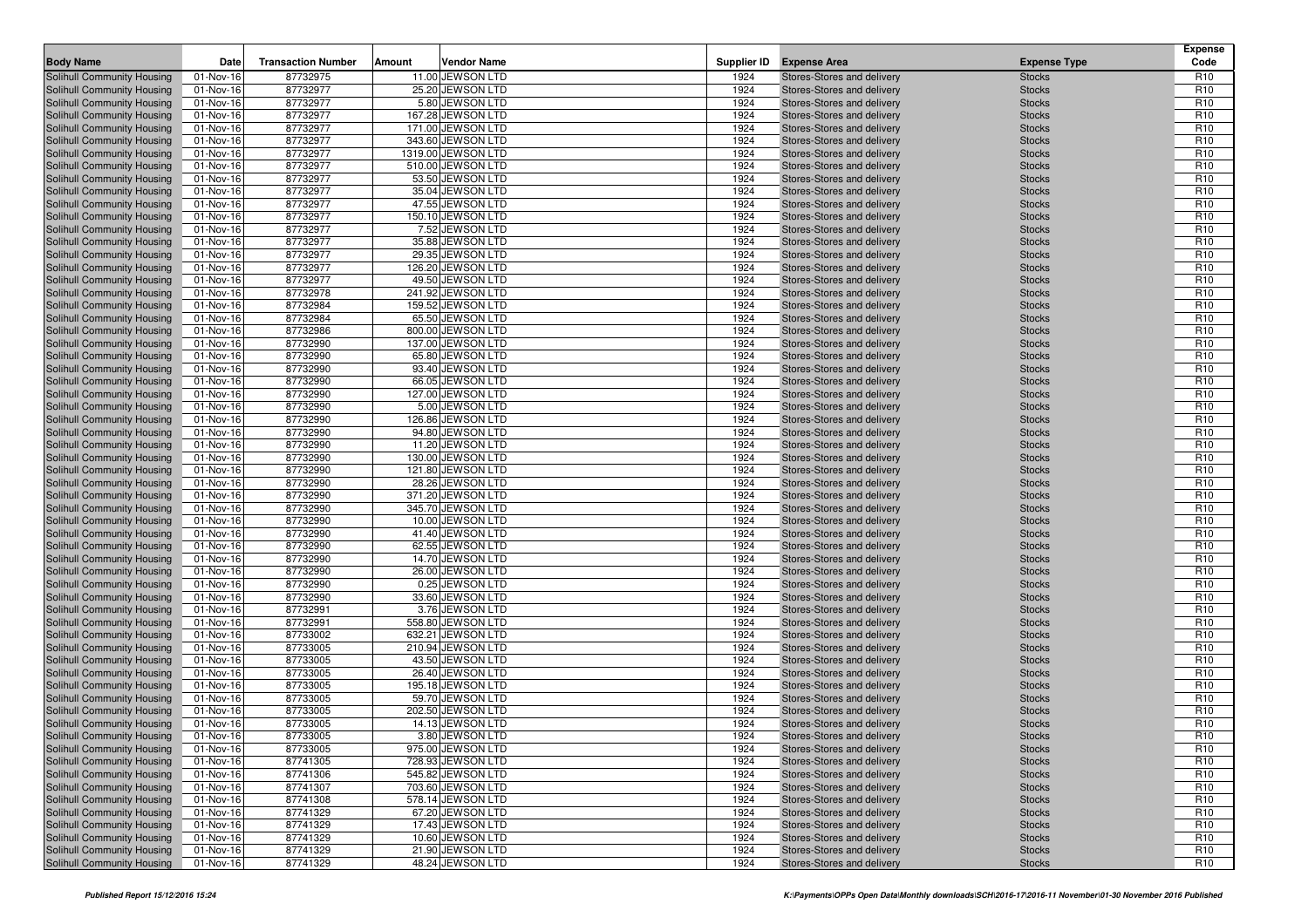| <b>Body Name</b>                                         | Date                   | <b>Transaction Number</b> | Amount<br><b>Vendor Name</b>           | Supplier ID  | <b>Expense Area</b>                                      | <b>Expense Type</b>            | <b>Expense</b><br>Code             |
|----------------------------------------------------------|------------------------|---------------------------|----------------------------------------|--------------|----------------------------------------------------------|--------------------------------|------------------------------------|
|                                                          |                        |                           | 11.00 JEWSON LTD                       |              |                                                          |                                |                                    |
| Solihull Community Housing                               | 01-Nov-16              | 87732975<br>87732977      | 25.20 JEWSON LTD                       | 1924<br>1924 | Stores-Stores and delivery                               | <b>Stocks</b>                  | R <sub>10</sub><br>R <sub>10</sub> |
| Solihull Community Housing<br>Solihull Community Housing | 01-Nov-16<br>01-Nov-16 | 87732977                  | 5.80 JEWSON LTD                        | 1924         | Stores-Stores and delivery<br>Stores-Stores and delivery | <b>Stocks</b><br><b>Stocks</b> | R <sub>10</sub>                    |
| Solihull Community Housing                               | 01-Nov-16              | 87732977                  | 167.28 JEWSON LTD                      | 1924         | Stores-Stores and delivery                               | <b>Stocks</b>                  | R <sub>10</sub>                    |
| Solihull Community Housing                               | 01-Nov-16              | 87732977                  | 171.00 JEWSON LTD                      | 1924         | Stores-Stores and delivery                               | <b>Stocks</b>                  | R <sub>10</sub>                    |
| Solihull Community Housing                               | 01-Nov-16              | 87732977                  | 343.60 JEWSON LTD                      | 1924         | Stores-Stores and delivery                               | <b>Stocks</b>                  | R <sub>10</sub>                    |
| Solihull Community Housing                               | 01-Nov-16              | 87732977                  | 1319.00 JEWSON LTD                     | 1924         | Stores-Stores and delivery                               | <b>Stocks</b>                  | R <sub>10</sub>                    |
| Solihull Community Housing                               | 01-Nov-16              | 87732977                  | 510.00 JEWSON LTD                      | 1924         | Stores-Stores and delivery                               | <b>Stocks</b>                  | R <sub>10</sub>                    |
| Solihull Community Housing                               | 01-Nov-16              | 87732977                  | 53.50 JEWSON LTD                       | 1924         | Stores-Stores and delivery                               | <b>Stocks</b>                  | R <sub>10</sub>                    |
| Solihull Community Housing                               | 01-Nov-16              | 87732977                  | 35.04 JEWSON LTD                       | 1924         | Stores-Stores and delivery                               | <b>Stocks</b>                  | R <sub>10</sub>                    |
| Solihull Community Housing                               | 01-Nov-16              | 87732977                  | 47.55 JEWSON LTD                       | 1924         | Stores-Stores and delivery                               | <b>Stocks</b>                  | R <sub>10</sub>                    |
| Solihull Community Housing                               | 01-Nov-16              | 87732977                  | 150.10 JEWSON LTD                      | 1924         | Stores-Stores and delivery                               | <b>Stocks</b>                  | R <sub>10</sub>                    |
| Solihull Community Housing                               | 01-Nov-16              | 87732977                  | 7.52 JEWSON LTD                        | 1924         | Stores-Stores and delivery                               | <b>Stocks</b>                  | R <sub>10</sub>                    |
| Solihull Community Housing                               | 01-Nov-16              | 87732977                  | 35.88 JEWSON LTD                       | 1924         | Stores-Stores and delivery                               | <b>Stocks</b>                  | R <sub>10</sub>                    |
| Solihull Community Housing                               | 01-Nov-16              | 87732977                  | 29.35 JEWSON LTD                       | 1924         | Stores-Stores and delivery                               | <b>Stocks</b>                  | R <sub>10</sub>                    |
| Solihull Community Housing                               | 01-Nov-16              | 87732977                  | 126.20 JEWSON LTD                      | 1924         | Stores-Stores and delivery                               | <b>Stocks</b>                  | R <sub>10</sub>                    |
| Solihull Community Housing                               | 01-Nov-16              | 87732977                  | 49.50 JEWSON LTD                       | 1924         | Stores-Stores and delivery                               | <b>Stocks</b>                  | R <sub>10</sub>                    |
| Solihull Community Housing                               | 01-Nov-16              | 87732978                  | 241.92 JEWSON LTD                      | 1924         | Stores-Stores and delivery                               | <b>Stocks</b>                  | R <sub>10</sub>                    |
| Solihull Community Housing                               | 01-Nov-16              | 87732984                  | 159.52 JEWSON LTD                      | 1924         | Stores-Stores and delivery                               | <b>Stocks</b>                  | R <sub>10</sub>                    |
| Solihull Community Housing                               | 01-Nov-16              | 87732984                  | 65.50 JEWSON LTD                       | 1924         | Stores-Stores and delivery                               | <b>Stocks</b>                  | R <sub>10</sub>                    |
| Solihull Community Housing<br>Solihull Community Housing | 01-Nov-16<br>01-Nov-16 | 87732986<br>87732990      | 800.00 JEWSON LTD<br>137.00 JEWSON LTD | 1924<br>1924 | Stores-Stores and delivery<br>Stores-Stores and delivery | <b>Stocks</b><br><b>Stocks</b> | R <sub>10</sub><br>R <sub>10</sub> |
| Solihull Community Housing                               | 01-Nov-16              | 87732990                  | 65.80 JEWSON LTD                       | 1924         | Stores-Stores and delivery                               | <b>Stocks</b>                  | R <sub>10</sub>                    |
| Solihull Community Housing                               | 01-Nov-16              | 87732990                  | 93.40 JEWSON LTD                       | 1924         | Stores-Stores and delivery                               | <b>Stocks</b>                  | R <sub>10</sub>                    |
| Solihull Community Housing                               | 01-Nov-16              | 87732990                  | 66.05 JEWSON LTD                       | 1924         | Stores-Stores and delivery                               | <b>Stocks</b>                  | R <sub>10</sub>                    |
| Solihull Community Housing                               | 01-Nov-16              | 87732990                  | 127.00 JEWSON LTD                      | 1924         | Stores-Stores and delivery                               | <b>Stocks</b>                  | R <sub>10</sub>                    |
| Solihull Community Housing                               | 01-Nov-16              | 87732990                  | 5.00 JEWSON LTD                        | 1924         | Stores-Stores and delivery                               | <b>Stocks</b>                  | R <sub>10</sub>                    |
| Solihull Community Housing                               | 01-Nov-16              | 87732990                  | 126.86 JEWSON LTD                      | 1924         | Stores-Stores and delivery                               | <b>Stocks</b>                  | R <sub>10</sub>                    |
| Solihull Community Housing                               | 01-Nov-16              | 87732990                  | 94.80 JEWSON LTD                       | 1924         | Stores-Stores and delivery                               | <b>Stocks</b>                  | R <sub>10</sub>                    |
| Solihull Community Housing                               | 01-Nov-16              | 87732990                  | 11.20 JEWSON LTD                       | 1924         | Stores-Stores and delivery                               | <b>Stocks</b>                  | R <sub>10</sub>                    |
| Solihull Community Housing                               | 01-Nov-16              | 87732990                  | 130.00 JEWSON LTD                      | 1924         | Stores-Stores and delivery                               | <b>Stocks</b>                  | R <sub>10</sub>                    |
| Solihull Community Housing                               | 01-Nov-16              | 87732990                  | 121.80 JEWSON LTD                      | 1924         | Stores-Stores and delivery                               | <b>Stocks</b>                  | R <sub>10</sub>                    |
| Solihull Community Housing                               | 01-Nov-16              | 87732990                  | 28.26 JEWSON LTD                       | 1924         | Stores-Stores and delivery                               | <b>Stocks</b>                  | R <sub>10</sub>                    |
| Solihull Community Housing                               | 01-Nov-16              | 87732990                  | 371.20 JEWSON LTD                      | 1924         | Stores-Stores and delivery                               | <b>Stocks</b>                  | R <sub>10</sub>                    |
| Solihull Community Housing                               | 01-Nov-16              | 87732990                  | 345.70 JEWSON LTD                      | 1924         | Stores-Stores and delivery                               | <b>Stocks</b>                  | R <sub>10</sub>                    |
| Solihull Community Housing                               | 01-Nov-16              | 87732990                  | 10.00 JEWSON LTD                       | 1924         | Stores-Stores and delivery                               | <b>Stocks</b>                  | R <sub>10</sub>                    |
| Solihull Community Housing                               | 01-Nov-16              | 87732990                  | 41.40 JEWSON LTD                       | 1924         | Stores-Stores and delivery                               | <b>Stocks</b>                  | R <sub>10</sub>                    |
| Solihull Community Housing                               | 01-Nov-16              | 87732990                  | 62.55 JEWSON LTD                       | 1924         | Stores-Stores and delivery                               | <b>Stocks</b>                  | R <sub>10</sub><br>R <sub>10</sub> |
| Solihull Community Housing<br>Solihull Community Housing | 01-Nov-16<br>01-Nov-16 | 87732990<br>87732990      | 14.70 JEWSON LTD<br>26.00 JEWSON LTD   | 1924<br>1924 | Stores-Stores and delivery<br>Stores-Stores and delivery | <b>Stocks</b><br><b>Stocks</b> | R <sub>10</sub>                    |
| Solihull Community Housing                               | 01-Nov-16              | 87732990                  | 0.25 JEWSON LTD                        | 1924         | Stores-Stores and delivery                               | <b>Stocks</b>                  | R <sub>10</sub>                    |
| Solihull Community Housing                               | 01-Nov-16              | 87732990                  | 33.60 JEWSON LTD                       | 1924         | Stores-Stores and delivery                               | <b>Stocks</b>                  | R <sub>10</sub>                    |
| Solihull Community Housing                               | 01-Nov-16              | 87732991                  | 3.76 JEWSON LTD                        | 1924         | Stores-Stores and delivery                               | <b>Stocks</b>                  | R <sub>10</sub>                    |
| Solihull Community Housing                               | 01-Nov-16              | 87732991                  | 558.80 JEWSON LTD                      | 1924         | Stores-Stores and delivery                               | <b>Stocks</b>                  | R <sub>10</sub>                    |
| Solihull Community Housing                               | 01-Nov-16              | 87733002                  | 632.21 JEWSON LTD                      | 1924         | Stores-Stores and delivery                               | <b>Stocks</b>                  | R <sub>10</sub>                    |
| Solihull Community Housing                               | 01-Nov-16              | 87733005                  | 210.94 JEWSON LTD                      | 1924         | Stores-Stores and delivery                               | <b>Stocks</b>                  | R <sub>10</sub>                    |
| Solihull Community Housing                               | 01-Nov-16              | 87733005                  | 43.50 JEWSON LTD                       | 1924         | Stores-Stores and delivery                               | <b>Stocks</b>                  | R <sub>10</sub>                    |
| Solihull Community Housing                               | 01-Nov-16              | 87733005                  | 26.40 JEWSON LTD                       | 1924         | Stores-Stores and delivery                               | <b>Stocks</b>                  | R <sub>10</sub>                    |
| Solihull Community Housing                               | 01-Nov-16              | 87733005                  | 195.18 JEWSON LTD                      | 1924         | Stores-Stores and delivery                               | <b>Stocks</b>                  | R <sub>10</sub>                    |
| Solihull Community Housing                               | 01-Nov-16              | 87733005                  | 59.70 JEWSON LTD                       | 1924         | Stores-Stores and delivery                               | <b>Stocks</b>                  | R <sub>10</sub>                    |
| Solihull Community Housing                               | 01-Nov-16              | 87733005                  | 202.50 JEWSON LTD                      | 1924         | Stores-Stores and delivery                               | <b>Stocks</b>                  | R <sub>10</sub>                    |
| Solihull Community Housing                               | 01-Nov-16              | 87733005                  | 14.13 JEWSON LTD                       | 1924         | Stores-Stores and delivery                               | <b>Stocks</b>                  | R <sub>10</sub>                    |
| Solihull Community Housing                               | 01-Nov-16              | 87733005                  | 3.80 JEWSON LTD                        | 1924         | Stores-Stores and delivery                               | <b>Stocks</b>                  | R <sub>10</sub>                    |
| Solihull Community Housing                               | 01-Nov-16              | 87733005                  | 975.00 JEWSON LTD                      | 1924         | Stores-Stores and delivery                               | <b>Stocks</b>                  | R <sub>10</sub>                    |
| Solihull Community Housing                               | 01-Nov-16              | 87741305                  | 728.93 JEWSON LTD                      | 1924         | Stores-Stores and delivery                               | <b>Stocks</b>                  | R <sub>10</sub>                    |
| Solihull Community Housing<br>Solihull Community Housing | 01-Nov-16<br>01-Nov-16 | 87741306<br>87741307      | 545.82 JEWSON LTD<br>703.60 JEWSON LTD | 1924<br>1924 | Stores-Stores and delivery                               | <b>Stocks</b>                  | R <sub>10</sub><br>R <sub>10</sub> |
| Solihull Community Housing                               | 01-Nov-16              | 87741308                  | 578.14 JEWSON LTD                      | 1924         | Stores-Stores and delivery<br>Stores-Stores and delivery | <b>Stocks</b><br><b>Stocks</b> | R <sub>10</sub>                    |
| Solihull Community Housing                               | 01-Nov-16              | 87741329                  | 67.20 JEWSON LTD                       | 1924         | Stores-Stores and delivery                               | <b>Stocks</b>                  | R <sub>10</sub>                    |
| Solihull Community Housing                               | 01-Nov-16              | 87741329                  | 17.43 JEWSON LTD                       | 1924         | Stores-Stores and delivery                               | <b>Stocks</b>                  | R <sub>10</sub>                    |
| Solihull Community Housing                               | 01-Nov-16              | 87741329                  | 10.60 JEWSON LTD                       | 1924         | Stores-Stores and delivery                               | <b>Stocks</b>                  | R <sub>10</sub>                    |
| Solihull Community Housing                               | 01-Nov-16              | 87741329                  | 21.90 JEWSON LTD                       | 1924         | Stores-Stores and delivery                               | <b>Stocks</b>                  | R <sub>10</sub>                    |
| Solihull Community Housing                               | 01-Nov-16              | 87741329                  | 48.24 JEWSON LTD                       | 1924         | Stores-Stores and delivery                               | <b>Stocks</b>                  | R <sub>10</sub>                    |
|                                                          |                        |                           |                                        |              |                                                          |                                |                                    |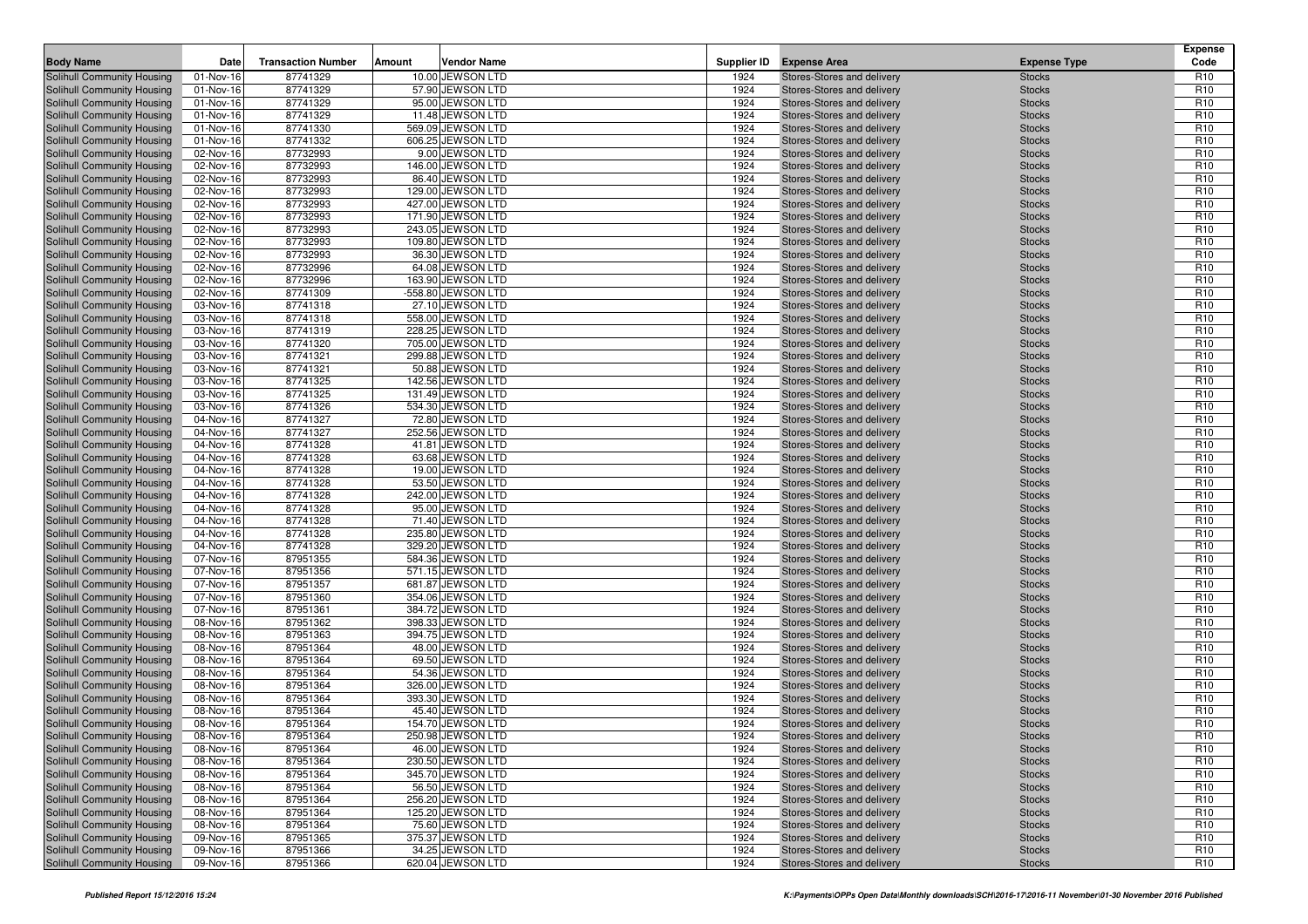|                                                          | Date                   | <b>Transaction Number</b> | Amount                                 |              | <b>Expense Area</b>                                      |                                | <b>Expense</b><br>Code             |
|----------------------------------------------------------|------------------------|---------------------------|----------------------------------------|--------------|----------------------------------------------------------|--------------------------------|------------------------------------|
| <b>Body Name</b>                                         |                        |                           | <b>Vendor Name</b><br>10.00 JEWSON LTD | Supplier ID  |                                                          | <b>Expense Type</b>            |                                    |
| Solihull Community Housing                               | 01-Nov-16              | 87741329<br>87741329      | 57.90 JEWSON LTD                       | 1924<br>1924 | Stores-Stores and delivery                               | <b>Stocks</b>                  | R <sub>10</sub><br>R <sub>10</sub> |
| Solihull Community Housing<br>Solihull Community Housing | 01-Nov-16<br>01-Nov-16 | 87741329                  | 95.00 JEWSON LTD                       | 1924         | Stores-Stores and delivery<br>Stores-Stores and delivery | <b>Stocks</b><br><b>Stocks</b> | R <sub>10</sub>                    |
| Solihull Community Housing                               | 01-Nov-16              | 87741329                  | 11.48 JEWSON LTD                       | 1924         | Stores-Stores and delivery                               | <b>Stocks</b>                  | R <sub>10</sub>                    |
| Solihull Community Housing                               | 01-Nov-16              | 87741330                  | 569.09 JEWSON LTD                      | 1924         | Stores-Stores and delivery                               | <b>Stocks</b>                  | R <sub>10</sub>                    |
| Solihull Community Housing                               | 01-Nov-16              | 87741332                  | 606.25 JEWSON LTD                      | 1924         | Stores-Stores and delivery                               | <b>Stocks</b>                  | R <sub>10</sub>                    |
| Solihull Community Housing                               | 02-Nov-16              | 87732993                  | 9.00 JEWSON LTD                        | 1924         | Stores-Stores and delivery                               | <b>Stocks</b>                  | R <sub>10</sub>                    |
| Solihull Community Housing                               | 02-Nov-16              | 87732993                  | 146.00 JEWSON LTD                      | 1924         | Stores-Stores and delivery                               | <b>Stocks</b>                  | R <sub>10</sub>                    |
| Solihull Community Housing                               | 02-Nov-16              | 87732993                  | 86.40 JEWSON LTD                       | 1924         | Stores-Stores and delivery                               | <b>Stocks</b>                  | R <sub>10</sub>                    |
| Solihull Community Housing                               | 02-Nov-16              | 87732993                  | 129.00 JEWSON LTD                      | 1924         | Stores-Stores and delivery                               | <b>Stocks</b>                  | R <sub>10</sub>                    |
| Solihull Community Housing                               | 02-Nov-16              | 87732993                  | 427.00 JEWSON LTD                      | 1924         | Stores-Stores and delivery                               | <b>Stocks</b>                  | R <sub>10</sub>                    |
| Solihull Community Housing                               | 02-Nov-16              | 87732993                  | 171.90 JEWSON LTD                      | 1924         | Stores-Stores and delivery                               | <b>Stocks</b>                  | R <sub>10</sub>                    |
| Solihull Community Housing                               | 02-Nov-16              | 87732993                  | 243.05 JEWSON LTD                      | 1924         | Stores-Stores and delivery                               | <b>Stocks</b>                  | R <sub>10</sub>                    |
| Solihull Community Housing                               | 02-Nov-16              | 87732993                  | 109.80 JEWSON LTD                      | 1924         | Stores-Stores and delivery                               | <b>Stocks</b>                  | R <sub>10</sub>                    |
| Solihull Community Housing                               | 02-Nov-16              | 87732993                  | 36.30 JEWSON LTD                       | 1924         | Stores-Stores and delivery                               | <b>Stocks</b>                  | R <sub>10</sub>                    |
| Solihull Community Housing                               | 02-Nov-16              | 87732996                  | 64.08 JEWSON LTD                       | 1924         | Stores-Stores and delivery                               | <b>Stocks</b>                  | R <sub>10</sub>                    |
| Solihull Community Housing                               | 02-Nov-16              | 87732996                  | 163.90 JEWSON LTD                      | 1924         | Stores-Stores and delivery                               | <b>Stocks</b>                  | R <sub>10</sub>                    |
| Solihull Community Housing                               | 02-Nov-16              | 87741309                  | -558.80 JEWSON LTD                     | 1924         | Stores-Stores and delivery                               | <b>Stocks</b>                  | R <sub>10</sub>                    |
| Solihull Community Housing                               | 03-Nov-16              | 87741318                  | 27.10 JEWSON LTD                       | 1924         | Stores-Stores and delivery                               | <b>Stocks</b>                  | R <sub>10</sub>                    |
| Solihull Community Housing                               | 03-Nov-16              | 87741318                  | 558.00 JEWSON LTD                      | 1924         | Stores-Stores and delivery                               | <b>Stocks</b>                  | R <sub>10</sub>                    |
| Solihull Community Housing                               | 03-Nov-16              | 87741319                  | 228.25 JEWSON LTD                      | 1924         | Stores-Stores and delivery                               | <b>Stocks</b>                  | R <sub>10</sub>                    |
| Solihull Community Housing                               | 03-Nov-16              | 87741320                  | 705.00 JEWSON LTD                      | 1924         | Stores-Stores and delivery                               | <b>Stocks</b>                  | R <sub>10</sub>                    |
| Solihull Community Housing<br>Solihull Community Housing | 03-Nov-16              | 87741321<br>87741321      | 299.88 JEWSON LTD<br>50.88 JEWSON LTD  | 1924<br>1924 | Stores-Stores and delivery                               | <b>Stocks</b>                  | R <sub>10</sub><br>R <sub>10</sub> |
| Solihull Community Housing                               | 03-Nov-16<br>03-Nov-16 | 87741325                  | 142.56 JEWSON LTD                      | 1924         | Stores-Stores and delivery<br>Stores-Stores and delivery | <b>Stocks</b><br><b>Stocks</b> | R <sub>10</sub>                    |
| Solihull Community Housing                               | 03-Nov-16              | 87741325                  | 131.49 JEWSON LTD                      | 1924         | Stores-Stores and delivery                               | <b>Stocks</b>                  | R <sub>10</sub>                    |
| Solihull Community Housing                               | 03-Nov-16              | 87741326                  | 534.30 JEWSON LTD                      | 1924         | Stores-Stores and delivery                               | <b>Stocks</b>                  | R <sub>10</sub>                    |
| Solihull Community Housing                               | 04-Nov-16              | 87741327                  | 72.80 JEWSON LTD                       | 1924         | Stores-Stores and delivery                               | <b>Stocks</b>                  | R <sub>10</sub>                    |
| Solihull Community Housing                               | 04-Nov-16              | 87741327                  | 252.56 JEWSON LTD                      | 1924         | Stores-Stores and delivery                               | <b>Stocks</b>                  | R <sub>10</sub>                    |
| Solihull Community Housing                               | 04-Nov-16              | 87741328                  | 41.81 JEWSON LTD                       | 1924         | Stores-Stores and delivery                               | <b>Stocks</b>                  | R <sub>10</sub>                    |
| Solihull Community Housing                               | 04-Nov-16              | 87741328                  | 63.68 JEWSON LTD                       | 1924         | Stores-Stores and delivery                               | <b>Stocks</b>                  | R <sub>10</sub>                    |
| Solihull Community Housing                               | 04-Nov-16              | 87741328                  | 19.00 JEWSON LTD                       | 1924         | Stores-Stores and delivery                               | <b>Stocks</b>                  | R <sub>10</sub>                    |
| Solihull Community Housing                               | 04-Nov-16              | 87741328                  | 53.50 JEWSON LTD                       | 1924         | Stores-Stores and delivery                               | <b>Stocks</b>                  | R <sub>10</sub>                    |
| Solihull Community Housing                               | 04-Nov-16              | 87741328                  | 242.00 JEWSON LTD                      | 1924         | Stores-Stores and delivery                               | <b>Stocks</b>                  | R <sub>10</sub>                    |
| Solihull Community Housing                               | 04-Nov-16              | 87741328                  | 95.00 JEWSON LTD                       | 1924         | Stores-Stores and delivery                               | <b>Stocks</b>                  | R <sub>10</sub>                    |
| Solihull Community Housing                               | 04-Nov-16              | 87741328                  | 71.40 JEWSON LTD                       | 1924         | Stores-Stores and delivery                               | <b>Stocks</b>                  | R <sub>10</sub>                    |
| Solihull Community Housing                               | 04-Nov-16              | 87741328                  | 235.80 JEWSON LTD                      | 1924         | Stores-Stores and delivery                               | <b>Stocks</b>                  | R <sub>10</sub>                    |
| Solihull Community Housing                               | 04-Nov-16              | 87741328                  | 329.20 JEWSON LTD                      | 1924         | Stores-Stores and delivery                               | <b>Stocks</b>                  | R <sub>10</sub>                    |
| Solihull Community Housing                               | 07-Nov-16              | 87951355                  | 584.36 JEWSON LTD                      | 1924         | Stores-Stores and delivery                               | <b>Stocks</b>                  | R <sub>10</sub>                    |
| Solihull Community Housing                               | 07-Nov-16              | 87951356                  | 571.15 JEWSON LTD                      | 1924         | Stores-Stores and delivery                               | <b>Stocks</b>                  | R <sub>10</sub>                    |
| Solihull Community Housing                               | 07-Nov-16              | 87951357                  | 681.87 JEWSON LTD                      | 1924         | Stores-Stores and delivery                               | <b>Stocks</b>                  | R <sub>10</sub>                    |
| Solihull Community Housing                               | 07-Nov-16<br>07-Nov-16 | 87951360<br>87951361      | 354.06 JEWSON LTD<br>384.72 JEWSON LTD | 1924<br>1924 | Stores-Stores and delivery<br>Stores-Stores and delivery | <b>Stocks</b><br><b>Stocks</b> | R <sub>10</sub><br>R <sub>10</sub> |
| Solihull Community Housing<br>Solihull Community Housing | 08-Nov-16              | 87951362                  | 398.33 JEWSON LTD                      | 1924         | Stores-Stores and delivery                               | <b>Stocks</b>                  | R <sub>10</sub>                    |
| Solihull Community Housing                               | 08-Nov-16              | 87951363                  | 394.75 JEWSON LTD                      | 1924         | Stores-Stores and delivery                               | <b>Stocks</b>                  | R <sub>10</sub>                    |
| Solihull Community Housing                               | 08-Nov-16              | 87951364                  | 48.00 JEWSON LTD                       | 1924         | Stores-Stores and delivery                               | <b>Stocks</b>                  | R <sub>10</sub>                    |
| Solihull Community Housing                               | 08-Nov-16              | 87951364                  | 69.50 JEWSON LTD                       | 1924         | Stores-Stores and delivery                               | <b>Stocks</b>                  | R <sub>10</sub>                    |
| Solihull Community Housing                               | 08-Nov-16              | 87951364                  | 54.36 JEWSON LTD                       | 1924         | Stores-Stores and delivery                               | <b>Stocks</b>                  | R <sub>10</sub>                    |
| Solihull Community Housing                               | 08-Nov-16              | 87951364                  | 326.00 JEWSON LTD                      | 1924         | Stores-Stores and delivery                               | <b>Stocks</b>                  | R <sub>10</sub>                    |
| Solihull Community Housing                               | 08-Nov-16              | 87951364                  | 393.30 JEWSON LTD                      | 1924         | Stores-Stores and delivery                               | <b>Stocks</b>                  | R <sub>10</sub>                    |
| Solihull Community Housing                               | 08-Nov-16              | 87951364                  | 45.40 JEWSON LTD                       | 1924         | Stores-Stores and delivery                               | <b>Stocks</b>                  | R <sub>10</sub>                    |
| Solihull Community Housing                               | 08-Nov-16              | 87951364                  | 154.70 JEWSON LTD                      | 1924         | Stores-Stores and delivery                               | <b>Stocks</b>                  | R <sub>10</sub>                    |
| Solihull Community Housing                               | 08-Nov-16              | 87951364                  | 250.98 JEWSON LTD                      | 1924         | Stores-Stores and delivery                               | <b>Stocks</b>                  | R <sub>10</sub>                    |
| Solihull Community Housing                               | 08-Nov-16              | 87951364                  | 46.00 JEWSON LTD                       | 1924         | Stores-Stores and delivery                               | <b>Stocks</b>                  | R <sub>10</sub>                    |
| Solihull Community Housing                               | 08-Nov-16              | 87951364                  | 230.50 JEWSON LTD                      | 1924         | Stores-Stores and delivery                               | <b>Stocks</b>                  | R <sub>10</sub>                    |
| Solihull Community Housing                               | 08-Nov-16              | 87951364                  | 345.70 JEWSON LTD                      | 1924         | Stores-Stores and delivery                               | <b>Stocks</b>                  | R <sub>10</sub>                    |
| Solihull Community Housing                               | 08-Nov-16              | 87951364                  | 56.50 JEWSON LTD                       | 1924         | Stores-Stores and delivery                               | <b>Stocks</b>                  | R <sub>10</sub>                    |
| Solihull Community Housing                               | 08-Nov-16              | 87951364                  | 256.20 JEWSON LTD                      | 1924         | Stores-Stores and delivery                               | <b>Stocks</b>                  | R <sub>10</sub>                    |
| Solihull Community Housing                               | 08-Nov-16              | 87951364                  | 125.20 JEWSON LTD                      | 1924         | Stores-Stores and delivery                               | <b>Stocks</b>                  | R <sub>10</sub>                    |
| Solihull Community Housing                               | 08-Nov-16              | 87951364                  | 75.60 JEWSON LTD                       | 1924         | Stores-Stores and delivery                               | <b>Stocks</b>                  | R <sub>10</sub>                    |
| Solihull Community Housing                               | 09-Nov-16              | 87951365                  | 375.37 JEWSON LTD                      | 1924         | Stores-Stores and delivery<br>Stores-Stores and delivery | <b>Stocks</b>                  | R <sub>10</sub>                    |
| Solihull Community Housing                               | 09-Nov-16              | 87951366                  | 34.25 JEWSON LTD<br>620.04 JEWSON LTD  | 1924         |                                                          | <b>Stocks</b>                  | R <sub>10</sub><br>R <sub>10</sub> |
| Solihull Community Housing                               | 09-Nov-16              | 87951366                  |                                        | 1924         | Stores-Stores and delivery                               | <b>Stocks</b>                  |                                    |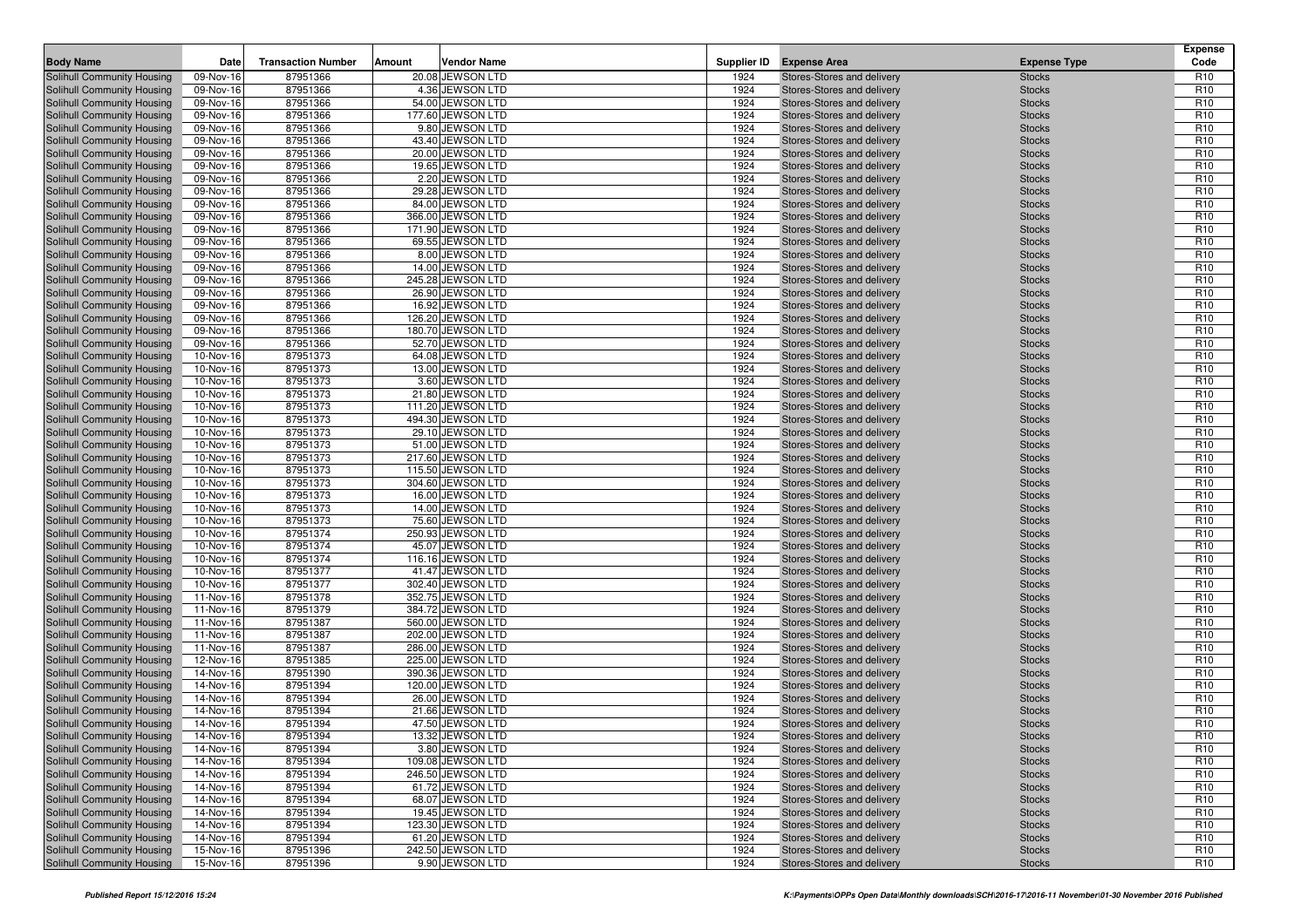| <b>Body Name</b>                                         | Date                   | <b>Transaction Number</b> | Amount<br><b>Vendor Name</b>           | Supplier ID  | <b>Expense Area</b>                                      | <b>Expense Type</b>            | <b>Expense</b><br>Code             |
|----------------------------------------------------------|------------------------|---------------------------|----------------------------------------|--------------|----------------------------------------------------------|--------------------------------|------------------------------------|
| Solihull Community Housing                               | 09-Nov-16              | 87951366                  | 20.08 JEWSON LTD                       | 1924         | Stores-Stores and delivery                               | <b>Stocks</b>                  | R <sub>10</sub>                    |
| Solihull Community Housing                               | 09-Nov-16              | 87951366                  | 4.36 JEWSON LTD                        | 1924         | Stores-Stores and delivery                               | <b>Stocks</b>                  | R <sub>10</sub>                    |
| Solihull Community Housing                               | 09-Nov-16              | 87951366                  | 54.00 JEWSON LTD                       | 1924         | Stores-Stores and delivery                               | <b>Stocks</b>                  | R <sub>10</sub>                    |
| Solihull Community Housing                               | 09-Nov-16              | 87951366                  | 177.60 JEWSON LTD                      | 1924         | Stores-Stores and delivery                               | <b>Stocks</b>                  | R <sub>10</sub>                    |
| Solihull Community Housing                               | 09-Nov-16              | 87951366                  | 9.80 JEWSON LTD                        | 1924         | Stores-Stores and delivery                               | <b>Stocks</b>                  | R <sub>10</sub>                    |
| Solihull Community Housing                               | 09-Nov-16              | 87951366                  | 43.40 JEWSON LTD                       | 1924         | Stores-Stores and delivery                               | <b>Stocks</b>                  | R <sub>10</sub>                    |
| Solihull Community Housing                               | 09-Nov-16              | 87951366                  | 20.00 JEWSON LTD                       | 1924         | Stores-Stores and delivery                               | <b>Stocks</b>                  | R <sub>10</sub>                    |
| Solihull Community Housing                               | 09-Nov-16              | 87951366                  | 19.65 JEWSON LTD                       | 1924         | Stores-Stores and delivery                               | <b>Stocks</b>                  | R <sub>10</sub>                    |
| Solihull Community Housing                               | 09-Nov-16              | 87951366                  | 2.20 JEWSON LTD                        | 1924         | Stores-Stores and delivery                               | <b>Stocks</b>                  | R <sub>10</sub>                    |
| Solihull Community Housing                               | 09-Nov-16              | 87951366                  | 29.28 JEWSON LTD                       | 1924         | Stores-Stores and delivery                               | <b>Stocks</b>                  | R <sub>10</sub>                    |
| Solihull Community Housing                               | 09-Nov-16              | 87951366                  | 84.00 JEWSON LTD                       | 1924         | Stores-Stores and delivery                               | <b>Stocks</b>                  | R <sub>10</sub>                    |
| Solihull Community Housing                               | 09-Nov-16              | 87951366                  | 366.00 JEWSON LTD                      | 1924         | Stores-Stores and delivery                               | <b>Stocks</b>                  | R <sub>10</sub>                    |
| Solihull Community Housing                               | 09-Nov-16              | 87951366                  | 171.90 JEWSON LTD                      | 1924         | Stores-Stores and delivery                               | <b>Stocks</b>                  | R <sub>10</sub>                    |
| Solihull Community Housing                               | 09-Nov-16              | 87951366                  | 69.55 JEWSON LTD                       | 1924         | Stores-Stores and delivery                               | <b>Stocks</b>                  | R <sub>10</sub>                    |
| Solihull Community Housing                               | 09-Nov-16              | 87951366                  | 8.00 JEWSON LTD                        | 1924         | Stores-Stores and delivery                               | <b>Stocks</b>                  | R <sub>10</sub>                    |
| Solihull Community Housing                               | 09-Nov-16              | 87951366                  | 14.00 JEWSON LTD                       | 1924         | Stores-Stores and delivery                               | <b>Stocks</b>                  | R <sub>10</sub>                    |
| Solihull Community Housing                               | 09-Nov-16              | 87951366                  | 245.28 JEWSON LTD                      | 1924         | Stores-Stores and delivery                               | <b>Stocks</b>                  | R <sub>10</sub>                    |
| Solihull Community Housing                               | 09-Nov-16              | 87951366                  | 26.90 JEWSON LTD                       | 1924         | Stores-Stores and delivery                               | <b>Stocks</b>                  | R <sub>10</sub>                    |
| Solihull Community Housing                               | 09-Nov-16              | 87951366                  | 16.92 JEWSON LTD                       | 1924         | Stores-Stores and delivery                               | <b>Stocks</b>                  | R <sub>10</sub>                    |
| Solihull Community Housing                               | 09-Nov-16              | 87951366                  | 126.20 JEWSON LTD                      | 1924         | Stores-Stores and delivery                               | <b>Stocks</b>                  | R <sub>10</sub>                    |
| Solihull Community Housing                               | 09-Nov-16              | 87951366                  | 180.70 JEWSON LTD                      | 1924         | Stores-Stores and delivery                               | <b>Stocks</b>                  | R <sub>10</sub>                    |
| Solihull Community Housing                               | 09-Nov-16              | 87951366                  | 52.70 JEWSON LTD                       | 1924         | Stores-Stores and delivery                               | <b>Stocks</b>                  | R <sub>10</sub>                    |
| Solihull Community Housing                               | 10-Nov-16              | 87951373                  | 64.08 JEWSON LTD                       | 1924         | Stores-Stores and delivery                               | <b>Stocks</b>                  | R <sub>10</sub>                    |
| Solihull Community Housing                               | 10-Nov-16              | 87951373                  | 13.00 JEWSON LTD                       | 1924<br>1924 | Stores-Stores and delivery<br>Stores-Stores and delivery | <b>Stocks</b>                  | R <sub>10</sub><br>R <sub>10</sub> |
| Solihull Community Housing<br>Solihull Community Housing | 10-Nov-16<br>10-Nov-16 | 87951373<br>87951373      | 3.60 JEWSON LTD<br>21.80 JEWSON LTD    | 1924         | Stores-Stores and delivery                               | <b>Stocks</b><br><b>Stocks</b> | R <sub>10</sub>                    |
| Solihull Community Housing                               | 10-Nov-16              | 87951373                  | 111.20 JEWSON LTD                      | 1924         | Stores-Stores and delivery                               | <b>Stocks</b>                  | R <sub>10</sub>                    |
| Solihull Community Housing                               | 10-Nov-16              | 87951373                  | 494.30 JEWSON LTD                      | 1924         | Stores-Stores and delivery                               | <b>Stocks</b>                  | R <sub>10</sub>                    |
| Solihull Community Housing                               | 10-Nov-16              | 87951373                  | 29.10 JEWSON LTD                       | 1924         | Stores-Stores and delivery                               | <b>Stocks</b>                  | R <sub>10</sub>                    |
| Solihull Community Housing                               | 10-Nov-16              | 87951373                  | 51.00 JEWSON LTD                       | 1924         | Stores-Stores and delivery                               | <b>Stocks</b>                  | R <sub>10</sub>                    |
| Solihull Community Housing                               | 10-Nov-16              | 87951373                  | 217.60 JEWSON LTD                      | 1924         | Stores-Stores and delivery                               | <b>Stocks</b>                  | R <sub>10</sub>                    |
| Solihull Community Housing                               | 10-Nov-16              | 87951373                  | 115.50 JEWSON LTD                      | 1924         | Stores-Stores and delivery                               | <b>Stocks</b>                  | R <sub>10</sub>                    |
| Solihull Community Housing                               | 10-Nov-16              | 87951373                  | 304.60 JEWSON LTD                      | 1924         | Stores-Stores and delivery                               | <b>Stocks</b>                  | R <sub>10</sub>                    |
| Solihull Community Housing                               | 10-Nov-16              | 87951373                  | 16.00 JEWSON LTD                       | 1924         | Stores-Stores and delivery                               | <b>Stocks</b>                  | R <sub>10</sub>                    |
| Solihull Community Housing                               | 10-Nov-16              | 87951373                  | 14.00 JEWSON LTD                       | 1924         | Stores-Stores and delivery                               | <b>Stocks</b>                  | R <sub>10</sub>                    |
| Solihull Community Housing                               | 10-Nov-16              | 87951373                  | 75.60 JEWSON LTD                       | 1924         | Stores-Stores and delivery                               | <b>Stocks</b>                  | R <sub>10</sub>                    |
| Solihull Community Housing                               | 10-Nov-16              | 87951374                  | 250.93 JEWSON LTD                      | 1924         | Stores-Stores and delivery                               | <b>Stocks</b>                  | R <sub>10</sub>                    |
| Solihull Community Housing                               | 10-Nov-16              | 87951374                  | 45.07 JEWSON LTD                       | 1924         | Stores-Stores and delivery                               | <b>Stocks</b>                  | R <sub>10</sub>                    |
| Solihull Community Housing                               | 10-Nov-16              | 87951374                  | 116.16 JEWSON LTD                      | 1924         | Stores-Stores and delivery                               | <b>Stocks</b>                  | R <sub>10</sub>                    |
| Solihull Community Housing                               | 10-Nov-16              | 87951377                  | 41.47 JEWSON LTD                       | 1924         | Stores-Stores and delivery                               | <b>Stocks</b>                  | R <sub>10</sub>                    |
| Solihull Community Housing                               | 10-Nov-16              | 87951377                  | 302.40 JEWSON LTD                      | 1924         | Stores-Stores and delivery                               | <b>Stocks</b>                  | R <sub>10</sub>                    |
| Solihull Community Housing                               | 11-Nov-16              | 87951378                  | 352.75 JEWSON LTD                      | 1924         | Stores-Stores and delivery                               | <b>Stocks</b>                  | R <sub>10</sub>                    |
| Solihull Community Housing                               | 11-Nov-16              | 87951379                  | 384.72 JEWSON LTD                      | 1924         | Stores-Stores and delivery                               | <b>Stocks</b>                  | R <sub>10</sub>                    |
| Solihull Community Housing                               | 11-Nov-16              | 87951387                  | 560.00 JEWSON LTD                      | 1924         | Stores-Stores and delivery                               | <b>Stocks</b>                  | R <sub>10</sub><br>R <sub>10</sub> |
| Solihull Community Housing<br>Solihull Community Housing | 11-Nov-16<br>11-Nov-16 | 87951387<br>87951387      | 202.00 JEWSON LTD<br>286.00 JEWSON LTD | 1924<br>1924 | Stores-Stores and delivery<br>Stores-Stores and delivery | <b>Stocks</b><br><b>Stocks</b> | R <sub>10</sub>                    |
| Solihull Community Housing                               | 12-Nov-16              | 87951385                  | 225.00 JEWSON LTD                      | 1924         | Stores-Stores and delivery                               | <b>Stocks</b>                  | R <sub>10</sub>                    |
| Solihull Community Housing                               | 14-Nov-16              | 87951390                  | 390.36 JEWSON LTD                      | 1924         | Stores-Stores and delivery                               | <b>Stocks</b>                  | R <sub>10</sub>                    |
| Solihull Community Housing                               | 14-Nov-16              | 87951394                  | 120.00 JEWSON LTD                      | 1924         | Stores-Stores and delivery                               | <b>Stocks</b>                  | R <sub>10</sub>                    |
| Solihull Community Housing                               | 14-Nov-16              | 87951394                  | 26.00 JEWSON LTD                       | 1924         | Stores-Stores and delivery                               | <b>Stocks</b>                  | R <sub>10</sub>                    |
| Solihull Community Housing                               | 14-Nov-16              | 87951394                  | 21.66 JEWSON LTD                       | 1924         | Stores-Stores and delivery                               | <b>Stocks</b>                  | R <sub>10</sub>                    |
| Solihull Community Housing                               | 14-Nov-16              | 87951394                  | 47.50 JEWSON LTD                       | 1924         | Stores-Stores and delivery                               | <b>Stocks</b>                  | R <sub>10</sub>                    |
| Solihull Community Housing                               | 14-Nov-16              | 87951394                  | 13.32 JEWSON LTD                       | 1924         | Stores-Stores and delivery                               | <b>Stocks</b>                  | R <sub>10</sub>                    |
| Solihull Community Housing                               | 14-Nov-16              | 87951394                  | 3.80 JEWSON LTD                        | 1924         | Stores-Stores and delivery                               | <b>Stocks</b>                  | R <sub>10</sub>                    |
| Solihull Community Housing                               | 14-Nov-16              | 87951394                  | 109.08 JEWSON LTD                      | 1924         | Stores-Stores and delivery                               | <b>Stocks</b>                  | R <sub>10</sub>                    |
| Solihull Community Housing                               | 14-Nov-16              | 87951394                  | 246.50 JEWSON LTD                      | 1924         | Stores-Stores and delivery                               | <b>Stocks</b>                  | R <sub>10</sub>                    |
| Solihull Community Housing                               | 14-Nov-16              | 87951394                  | 61.72 JEWSON LTD                       | 1924         | Stores-Stores and delivery                               | <b>Stocks</b>                  | R <sub>10</sub>                    |
| Solihull Community Housing                               | 14-Nov-16              | 87951394                  | 68.07 JEWSON LTD                       | 1924         | Stores-Stores and delivery                               | <b>Stocks</b>                  | R <sub>10</sub>                    |
| Solihull Community Housing                               | 14-Nov-16              | 87951394                  | 19.45 JEWSON LTD                       | 1924         | Stores-Stores and delivery                               | <b>Stocks</b>                  | R <sub>10</sub>                    |
| Solihull Community Housing                               | 14-Nov-16              | 87951394                  | 123.30 JEWSON LTD                      | 1924         | Stores-Stores and delivery                               | <b>Stocks</b>                  | R <sub>10</sub>                    |
| Solihull Community Housing                               | 14-Nov-16              | 87951394                  | 61.20 JEWSON LTD                       | 1924         | Stores-Stores and delivery                               | <b>Stocks</b>                  | R <sub>10</sub>                    |
| Solihull Community Housing                               | 15-Nov-16              | 87951396                  | 242.50 JEWSON LTD                      | 1924         | Stores-Stores and delivery                               | <b>Stocks</b>                  | R <sub>10</sub>                    |
| Solihull Community Housing                               | 15-Nov-16              | 87951396                  | 9.90 JEWSON LTD                        | 1924         | Stores-Stores and delivery                               | <b>Stocks</b>                  | R <sub>10</sub>                    |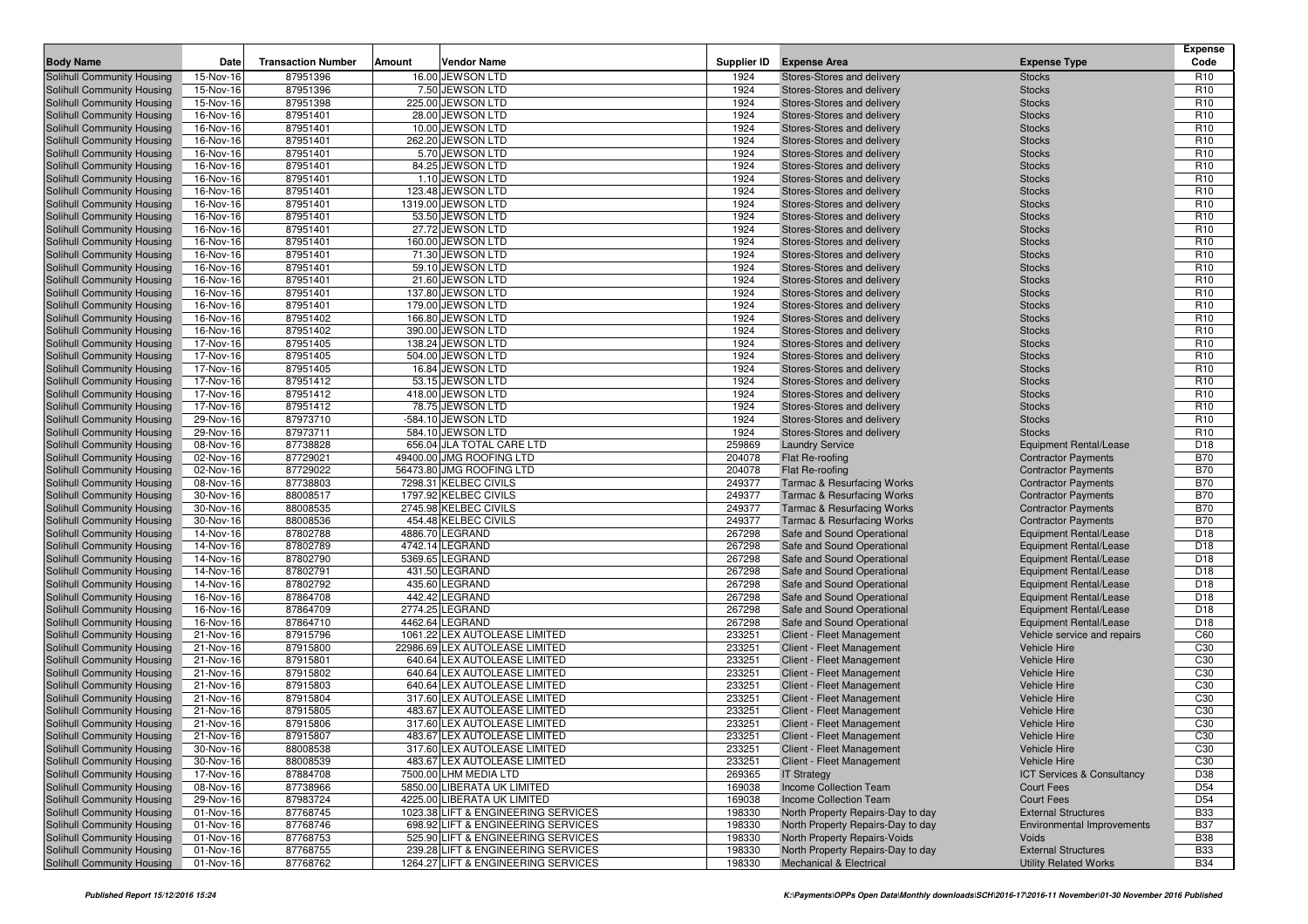| <b>Body Name</b>                                         | Date                   | <b>Transaction Number</b> | Amount | <b>Vendor Name</b>                                           | Supplier ID      | <b>Expense Area</b>                                      | <b>Expense Type</b>                 | <b>Expense</b><br>Code             |
|----------------------------------------------------------|------------------------|---------------------------|--------|--------------------------------------------------------------|------------------|----------------------------------------------------------|-------------------------------------|------------------------------------|
| Solihull Community Housing                               | 15-Nov-16              | 87951396                  |        | 16.00 JEWSON LTD                                             | 1924             | Stores-Stores and delivery                               | <b>Stocks</b>                       | R <sub>10</sub>                    |
| Solihull Community Housing                               | 15-Nov-16              | 87951396                  |        | 7.50 JEWSON LTD                                              | 1924             | Stores-Stores and delivery                               | <b>Stocks</b>                       | R <sub>10</sub>                    |
| Solihull Community Housing                               | 15-Nov-16              | 87951398                  |        | 225.00 JEWSON LTD                                            | 1924             | Stores-Stores and delivery                               | <b>Stocks</b>                       | R <sub>10</sub>                    |
| Solihull Community Housing                               | 16-Nov-16              | 87951401                  |        | 28.00 JEWSON LTD                                             | 1924             | Stores-Stores and delivery                               | <b>Stocks</b>                       | R <sub>10</sub>                    |
| Solihull Community Housing                               | 16-Nov-16              | 87951401                  |        | 10.00 JEWSON LTD                                             | 1924             | Stores-Stores and delivery                               | <b>Stocks</b>                       | R <sub>10</sub>                    |
| Solihull Community Housing                               | 16-Nov-16              | 87951401                  |        | 262.20 JEWSON LTD                                            | 1924             | Stores-Stores and delivery                               | <b>Stocks</b>                       | R <sub>10</sub>                    |
| Solihull Community Housing                               | 16-Nov-16              | 87951401                  |        | 5.70 JEWSON LTD                                              | 1924             | Stores-Stores and delivery                               | <b>Stocks</b>                       | R <sub>10</sub>                    |
| Solihull Community Housing                               | 16-Nov-16              | 87951401                  |        | 84.25 JEWSON LTD                                             | 1924             | Stores-Stores and delivery                               | <b>Stocks</b>                       | R <sub>10</sub>                    |
| Solihull Community Housing                               | 16-Nov-16              | 87951401                  |        | 1.10 JEWSON LTD                                              | 1924             | Stores-Stores and delivery                               | <b>Stocks</b>                       | R <sub>10</sub>                    |
| Solihull Community Housing                               | 16-Nov-16              | 87951401                  |        | 123.48 JEWSON LTD                                            | 1924             | Stores-Stores and delivery                               | <b>Stocks</b>                       | R <sub>10</sub>                    |
| Solihull Community Housing                               | 16-Nov-16              | 87951401                  |        | 1319.00 JEWSON LTD                                           | 1924             | Stores-Stores and delivery                               | <b>Stocks</b>                       | R <sub>10</sub>                    |
| Solihull Community Housing                               | 16-Nov-16              | 87951401                  |        | 53.50 JEWSON LTD                                             | 1924             | Stores-Stores and delivery                               | <b>Stocks</b>                       | R <sub>10</sub>                    |
| Solihull Community Housing                               | 16-Nov-16              | 87951401                  |        | 27.72 JEWSON LTD                                             | 1924             | Stores-Stores and delivery                               | <b>Stocks</b>                       | R <sub>10</sub>                    |
| Solihull Community Housing                               | 16-Nov-16              | 87951401                  |        | 160.00 JEWSON LTD                                            | 1924             | Stores-Stores and delivery                               | <b>Stocks</b>                       | R <sub>10</sub>                    |
| Solihull Community Housing                               | 16-Nov-16              | 87951401                  |        | 71.30 JEWSON LTD                                             | 1924             | Stores-Stores and delivery                               | <b>Stocks</b>                       | R <sub>10</sub>                    |
| Solihull Community Housing                               | 16-Nov-16              | 87951401                  |        | 59.10 JEWSON LTD                                             | 1924             | Stores-Stores and delivery                               | <b>Stocks</b>                       | R <sub>10</sub>                    |
| Solihull Community Housing                               | 16-Nov-16              | 87951401                  |        | 21.60 JEWSON LTD                                             | 1924             | Stores-Stores and delivery                               | <b>Stocks</b>                       | R <sub>10</sub>                    |
| Solihull Community Housing                               | 16-Nov-16              | 87951401                  |        | 137.80 JEWSON LTD                                            | 1924             | Stores-Stores and delivery                               | <b>Stocks</b>                       | R <sub>10</sub>                    |
| Solihull Community Housing                               | 16-Nov-16              | 87951401                  |        | 179.00 JEWSON LTD                                            | 1924             | Stores-Stores and delivery                               | <b>Stocks</b>                       | R <sub>10</sub>                    |
| Solihull Community Housing                               | 16-Nov-16              | 87951402                  |        | 166.80 JEWSON LTD                                            | 1924             | Stores-Stores and delivery                               | <b>Stocks</b>                       | R <sub>10</sub>                    |
| Solihull Community Housing                               | 16-Nov-16              | 87951402                  |        | 390.00 JEWSON LTD                                            | 1924             | Stores-Stores and delivery                               | <b>Stocks</b>                       | R <sub>10</sub>                    |
| Solihull Community Housing                               | 17-Nov-16              | 87951405                  |        | 138.24 JEWSON LTD                                            | 1924             | Stores-Stores and delivery                               | <b>Stocks</b>                       | R <sub>10</sub>                    |
| Solihull Community Housing                               | 17-Nov-16              | 87951405                  |        | 504.00 JEWSON LTD                                            | 1924             | Stores-Stores and delivery                               | <b>Stocks</b>                       | R <sub>10</sub>                    |
| Solihull Community Housing                               | 17-Nov-16              | 87951405                  |        | 16.84 JEWSON LTD                                             | 1924             | Stores-Stores and delivery                               | <b>Stocks</b>                       | R <sub>10</sub>                    |
| Solihull Community Housing<br>Solihull Community Housing | 17-Nov-16<br>17-Nov-16 | 87951412<br>87951412      |        | 53.15 JEWSON LTD<br>418.00 JEWSON LTD                        | 1924<br>1924     | Stores-Stores and delivery<br>Stores-Stores and delivery | <b>Stocks</b><br><b>Stocks</b>      | R <sub>10</sub><br>R <sub>10</sub> |
| Solihull Community Housing                               | 17-Nov-16              | 87951412                  |        | 78.75 JEWSON LTD                                             | 1924             | Stores-Stores and delivery                               | <b>Stocks</b>                       | R <sub>10</sub>                    |
| Solihull Community Housing                               | 29-Nov-16              | 87973710                  |        | -584.10 JEWSON LTD                                           | 1924             | Stores-Stores and delivery                               | <b>Stocks</b>                       | R <sub>10</sub>                    |
| Solihull Community Housing                               | 29-Nov-16              | 87973711                  |        | 584.10 JEWSON LTD                                            | 1924             | Stores-Stores and delivery                               | <b>Stocks</b>                       | R <sub>10</sub>                    |
| Solihull Community Housing                               | 08-Nov-16              | 87738828                  |        | 656.04 JLA TOTAL CARE LTD                                    | 259869           | <b>Laundry Service</b>                                   | <b>Equipment Rental/Lease</b>       | D <sub>18</sub>                    |
| Solihull Community Housing                               | 02-Nov-16              | 87729021                  |        | 49400.00 JMG ROOFING LTD                                     | 204078           | Flat Re-roofing                                          | <b>Contractor Payments</b>          | <b>B70</b>                         |
| Solihull Community Housing                               | 02-Nov-16              | 87729022                  |        | 56473.80 JMG ROOFING LTD                                     | 204078           | Flat Re-roofing                                          | <b>Contractor Payments</b>          | <b>B70</b>                         |
| Solihull Community Housing                               | 08-Nov-16              | 87738803                  |        | 7298.31 KELBEC CIVILS                                        | 249377           | <b>Tarmac &amp; Resurfacing Works</b>                    | <b>Contractor Payments</b>          | <b>B70</b>                         |
| Solihull Community Housing                               | 30-Nov-16              | 88008517                  |        | 1797.92 KELBEC CIVILS                                        | 249377           | <b>Tarmac &amp; Resurfacing Works</b>                    | <b>Contractor Payments</b>          | <b>B70</b>                         |
| Solihull Community Housing                               | 30-Nov-16              | 88008535                  |        | 2745.98 KELBEC CIVILS                                        | 249377           | <b>Tarmac &amp; Resurfacing Works</b>                    | <b>Contractor Payments</b>          | <b>B70</b>                         |
| Solihull Community Housing                               | 30-Nov-16              | 88008536                  |        | 454.48 KELBEC CIVILS                                         | 249377           | <b>Tarmac &amp; Resurfacing Works</b>                    | <b>Contractor Payments</b>          | <b>B70</b>                         |
| Solihull Community Housing                               | 14-Nov-16              | 87802788                  |        | 4886.70 LEGRAND                                              | 267298           | Safe and Sound Operational                               | <b>Equipment Rental/Lease</b>       | D <sub>18</sub>                    |
| Solihull Community Housing                               | 14-Nov-16              | 87802789                  |        | 4742.14 LEGRAND                                              | 267298           | Safe and Sound Operational                               | <b>Equipment Rental/Lease</b>       | D <sub>18</sub>                    |
| Solihull Community Housing                               | 14-Nov-16              | 87802790                  |        | 5369.65 LEGRAND                                              | 267298           | Safe and Sound Operational                               | <b>Equipment Rental/Lease</b>       | D <sub>18</sub>                    |
| Solihull Community Housing                               | 14-Nov-16              | 87802791                  |        | 431.50 LEGRAND                                               | 267298           | Safe and Sound Operational                               | <b>Equipment Rental/Lease</b>       | D <sub>18</sub>                    |
| Solihull Community Housing                               | 14-Nov-16              | 87802792                  |        | 435.60 LEGRAND                                               | 267298           | Safe and Sound Operational                               | <b>Equipment Rental/Lease</b>       | D <sub>18</sub>                    |
| <b>Solihull Community Housing</b>                        | 16-Nov-16              | 87864708                  |        | 442.42 LEGRAND                                               | 267298           | Safe and Sound Operational                               | <b>Equipment Rental/Lease</b>       | D <sub>18</sub>                    |
| Solihull Community Housing                               | 16-Nov-16              | 87864709                  |        | 2774.25 LEGRAND                                              | 267298           | Safe and Sound Operational                               | <b>Equipment Rental/Lease</b>       | D <sub>18</sub>                    |
| Solihull Community Housing                               | 16-Nov-16              | 87864710                  |        | 4462.64 LEGRAND                                              | 267298           | Safe and Sound Operational                               | <b>Equipment Rental/Lease</b>       | D <sub>18</sub>                    |
| Solihull Community Housing                               | 21-Nov-16              | 87915796                  |        | 1061.22 LEX AUTOLEASE LIMITED                                | 233251           | Client - Fleet Management                                | Vehicle service and repairs         | C60                                |
| Solihull Community Housing                               | 21-Nov-16              | 87915800                  |        | 22986.69 LEX AUTOLEASE LIMITED                               | 233251           | Client - Fleet Management                                | <b>Vehicle Hire</b>                 | C <sub>30</sub>                    |
| Solihull Community Housing                               | 21-Nov-16              | 87915801                  |        | 640.64 LEX AUTOLEASE LIMITED                                 | 233251           | Client - Fleet Management<br>Client - Fleet Management   | <b>Vehicle Hire</b>                 | C <sub>30</sub><br>C30             |
| Solihull Community Housing<br>Solihull Community Housing | 21-Nov-16<br>21-Nov-16 | 87915802<br>87915803      |        | 640.64 LEX AUTOLEASE LIMITED<br>640.64 LEX AUTOLEASE LIMITED | 233251<br>233251 | Client - Fleet Management                                | Vehicle Hire<br><b>Vehicle Hire</b> | C <sub>30</sub>                    |
| Solihull Community Housing                               | 21-Nov-16              | 87915804                  |        | 317.60 LEX AUTOLEASE LIMITED                                 | 233251           | Client - Fleet Management                                | <b>Vehicle Hire</b>                 | C <sub>30</sub>                    |
| Solihull Community Housing                               | 21-Nov-16              | 87915805                  |        | 483.67 LEX AUTOLEASE LIMITED                                 | 233251           | Client - Fleet Management                                | <b>Vehicle Hire</b>                 | C <sub>30</sub>                    |
| Solihull Community Housing                               | 21-Nov-16              | 87915806                  |        | 317.60 LEX AUTOLEASE LIMITED                                 | 233251           | Client - Fleet Management                                | <b>Vehicle Hire</b>                 | C <sub>30</sub>                    |
| Solihull Community Housing                               | 21-Nov-16              | 87915807                  |        | 483.67 LEX AUTOLEASE LIMITED                                 | 233251           | Client - Fleet Management                                | <b>Vehicle Hire</b>                 | C30                                |
| Solihull Community Housing                               | 30-Nov-16              | 88008538                  |        | 317.60 LEX AUTOLEASE LIMITED                                 | 233251           | Client - Fleet Management                                | <b>Vehicle Hire</b>                 | C <sub>30</sub>                    |
| Solihull Community Housing                               | 30-Nov-16              | 88008539                  |        | 483.67 LEX AUTOLEASE LIMITED                                 | 233251           | Client - Fleet Management                                | <b>Vehicle Hire</b>                 | C <sub>30</sub>                    |
| Solihull Community Housing                               | 17-Nov-16              | 87884708                  |        | 7500.00 LHM MEDIA LTD                                        | 269365           | <b>IT Strategy</b>                                       | ICT Services & Consultancy          | D38                                |
| Solihull Community Housing                               | 08-Nov-16              | 87738966                  |        | 5850.00 LIBERATA UK LIMITED                                  | 169038           | Income Collection Team                                   | Court Fees                          | D <sub>54</sub>                    |
| Solihull Community Housing                               | 29-Nov-16              | 87983724                  |        | 4225.00 LIBERATA UK LIMITED                                  | 169038           | Income Collection Team                                   | <b>Court Fees</b>                   | D <sub>54</sub>                    |
| Solihull Community Housing                               | 01-Nov-16              | 87768745                  |        | 1023.38 LIFT & ENGINEERING SERVICES                          | 198330           | North Property Repairs-Day to day                        | <b>External Structures</b>          | <b>B33</b>                         |
| Solihull Community Housing                               | 01-Nov-16              | 87768746                  |        | 698.92 LIFT & ENGINEERING SERVICES                           | 198330           | North Property Repairs-Day to day                        | Environmental Improvements          | <b>B37</b>                         |
| Solihull Community Housing                               | 01-Nov-16              | 87768753                  |        | 525.90 LIFT & ENGINEERING SERVICES                           | 198330           | North Property Repairs-Voids                             | Voids                               | <b>B38</b>                         |
| Solihull Community Housing                               | 01-Nov-16              | 87768755                  |        | 239.28 LIFT & ENGINEERING SERVICES                           | 198330           | North Property Repairs-Day to day                        | <b>External Structures</b>          | <b>B33</b>                         |
| Solihull Community Housing                               | 01-Nov-16              | 87768762                  |        | 1264.27 LIFT & ENGINEERING SERVICES                          | 198330           | Mechanical & Electrical                                  | <b>Utility Related Works</b>        | <b>B34</b>                         |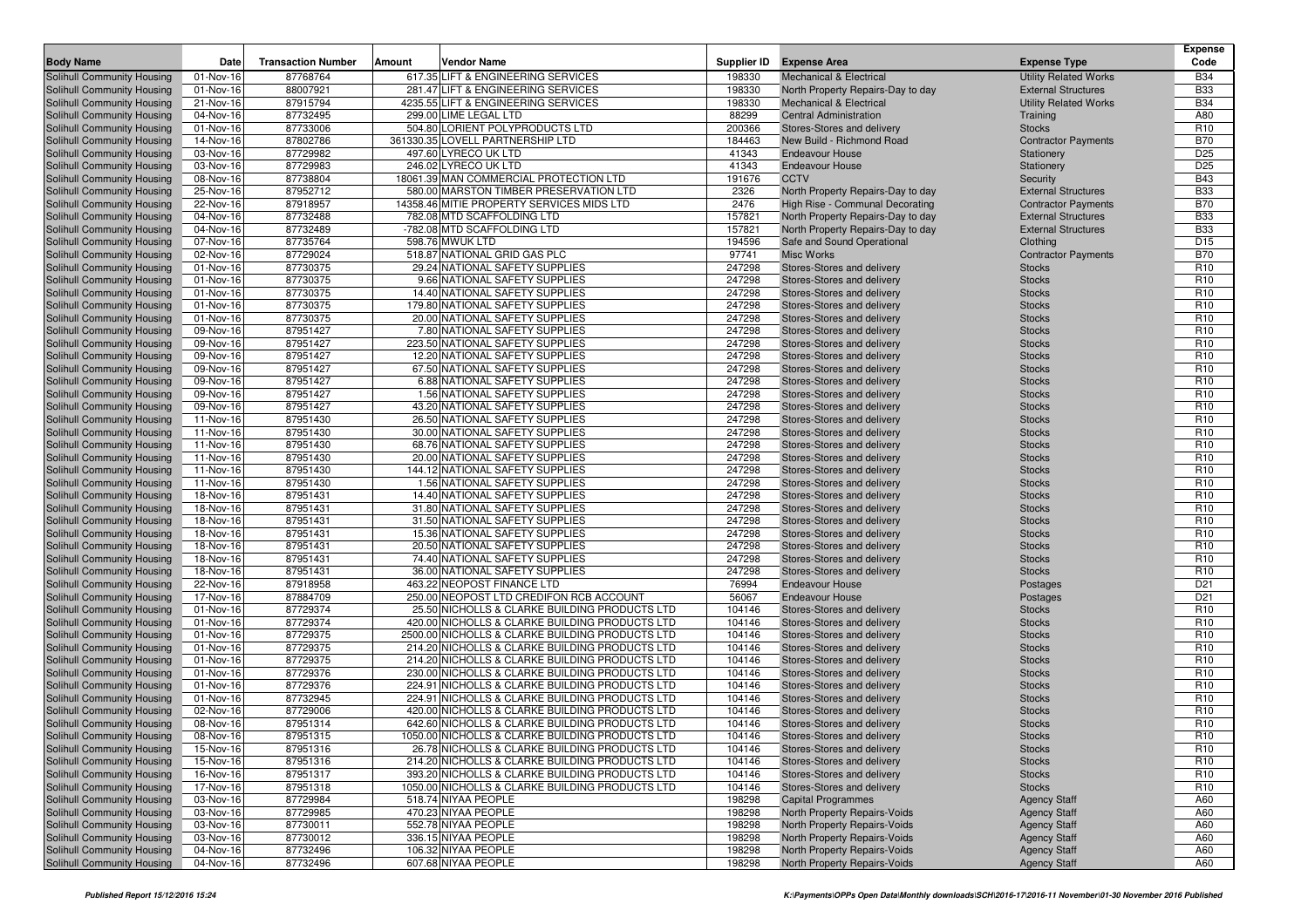|                                                          |                        |                           |        |                                                                                                 |                  |                                                             |                                | <b>Expense</b>                     |
|----------------------------------------------------------|------------------------|---------------------------|--------|-------------------------------------------------------------------------------------------------|------------------|-------------------------------------------------------------|--------------------------------|------------------------------------|
| <b>Body Name</b>                                         | Date                   | <b>Transaction Number</b> | Amount | Vendor Name                                                                                     | Supplier ID      | <b>Expense Area</b>                                         | <b>Expense Type</b>            | Code                               |
| Solihull Community Housing                               | 01-Nov-16              | 87768764                  |        | 617.35 LIFT & ENGINEERING SERVICES                                                              | 198330           | <b>Mechanical &amp; Electrical</b>                          | <b>Utility Related Works</b>   | <b>B34</b>                         |
| Solihull Community Housing                               | 01-Nov-16              | 88007921                  |        | 281.47 LIFT & ENGINEERING SERVICES                                                              | 198330           | North Property Repairs-Day to day                           | <b>External Structures</b>     | <b>B33</b>                         |
| Solihull Community Housing                               | 21-Nov-16              | 87915794                  |        | 4235.55 LIFT & ENGINEERING SERVICES                                                             | 198330           | <b>Mechanical &amp; Electrical</b>                          | <b>Utility Related Works</b>   | <b>B34</b>                         |
| Solihull Community Housing<br>Solihull Community Housing | 04-Nov-16<br>01-Nov-16 | 87732495<br>87733006      |        | 299.00 LIME LEGAL LTD<br>504.80 LORIENT POLYPRODUCTS LTD                                        | 88299<br>200366  | <b>Central Administration</b><br>Stores-Stores and delivery | Training<br><b>Stocks</b>      | A80<br>R <sub>10</sub>             |
| Solihull Community Housing                               | 14-Nov-16              | 87802786                  |        | 361330.35 LOVELL PARTNERSHIP LTD                                                                | 184463           | New Build - Richmond Road                                   | <b>Contractor Payments</b>     | <b>B70</b>                         |
| Solihull Community Housing                               | 03-Nov-16              | 87729982                  |        | 497.60 LYRECO UK LTD                                                                            | 41343            | <b>Endeavour House</b>                                      | Stationery                     | D <sub>25</sub>                    |
| Solihull Community Housing                               | 03-Nov-16              | 87729983                  |        | 246.02 LYRECO UK LTD                                                                            | 41343            | <b>Endeavour House</b>                                      | Stationery                     | D <sub>25</sub>                    |
| Solihull Community Housing                               | 08-Nov-16              | 87738804                  |        | 18061.39 MAN COMMERCIAL PROTECTION LTD                                                          | 191676           | <b>CCTV</b>                                                 | Security                       | <b>B43</b>                         |
| Solihull Community Housing                               | 25-Nov-16              | 87952712                  |        | 580.00 MARSTON TIMBER PRESERVATION LTD                                                          | 2326             | North Property Repairs-Day to day                           | <b>External Structures</b>     | <b>B33</b>                         |
| Solihull Community Housing                               | 22-Nov-16              | 87918957                  |        | 14358.46 MITIE PROPERTY SERVICES MIDS LTD                                                       | 2476             | High Rise - Communal Decorating                             | <b>Contractor Payments</b>     | <b>B70</b>                         |
| Solihull Community Housing                               | 04-Nov-16              | 87732488                  |        | 782.08 MTD SCAFFOLDING LTD                                                                      | 157821           | North Property Repairs-Day to day                           | <b>External Structures</b>     | <b>B33</b>                         |
| Solihull Community Housing                               | 04-Nov-16              | 87732489                  |        | -782.08 MTD SCAFFOLDING LTD                                                                     | 157821           | North Property Repairs-Day to day                           | <b>External Structures</b>     | <b>B33</b>                         |
| Solihull Community Housing                               | 07-Nov-16              | 87735764                  |        | 598.76 MWUK LTD                                                                                 | 194596           | Safe and Sound Operational                                  | Clothing                       | D <sub>15</sub>                    |
| Solihull Community Housing                               | 02-Nov-16              | 87729024                  |        | 518.87 NATIONAL GRID GAS PLC                                                                    | 97741            | <b>Misc Works</b>                                           | <b>Contractor Payments</b>     | <b>B70</b>                         |
| <b>Solihull Community Housing</b>                        | 01-Nov-16              | 87730375                  |        | 29.24 NATIONAL SAFETY SUPPLIES                                                                  | 247298           | Stores-Stores and delivery                                  | <b>Stocks</b>                  | R <sub>10</sub>                    |
| Solihull Community Housing                               | 01-Nov-16              | 87730375                  |        | 9.66 NATIONAL SAFETY SUPPLIES                                                                   | 247298           | Stores-Stores and delivery                                  | <b>Stocks</b>                  | R <sub>10</sub>                    |
| Solihull Community Housing                               | 01-Nov-16              | 87730375                  |        | 14.40 NATIONAL SAFETY SUPPLIES                                                                  | 247298           | Stores-Stores and delivery                                  | <b>Stocks</b>                  | R <sub>10</sub>                    |
| Solihull Community Housing                               | 01-Nov-16              | 87730375                  |        | 179.80 NATIONAL SAFETY SUPPLIES                                                                 | 247298           | Stores-Stores and delivery                                  | <b>Stocks</b>                  | R <sub>10</sub>                    |
| Solihull Community Housing                               | 01-Nov-16              | 87730375                  |        | 20.00 NATIONAL SAFETY SUPPLIES                                                                  | 247298           | Stores-Stores and delivery                                  | <b>Stocks</b>                  | R <sub>10</sub>                    |
| Solihull Community Housing                               | 09-Nov-16              | 87951427                  |        | 7.80 NATIONAL SAFETY SUPPLIES                                                                   | 247298           | Stores-Stores and delivery                                  | <b>Stocks</b>                  | R <sub>10</sub>                    |
| Solihull Community Housing                               | 09-Nov-16              | 87951427                  |        | 223.50 NATIONAL SAFETY SUPPLIES                                                                 | 247298           | Stores-Stores and delivery                                  | <b>Stocks</b>                  | R <sub>10</sub>                    |
| Solihull Community Housing                               | 09-Nov-16              | 87951427                  |        | 12.20 NATIONAL SAFETY SUPPLIES                                                                  | 247298           | Stores-Stores and delivery                                  | <b>Stocks</b>                  | R <sub>10</sub>                    |
| Solihull Community Housing                               | 09-Nov-16              | 87951427                  |        | 67.50 NATIONAL SAFETY SUPPLIES                                                                  | 247298           | Stores-Stores and delivery                                  | <b>Stocks</b>                  | R <sub>10</sub>                    |
| Solihull Community Housing                               | 09-Nov-16              | 87951427                  |        | 6.88 NATIONAL SAFETY SUPPLIES                                                                   | 247298           | Stores-Stores and delivery                                  | <b>Stocks</b>                  | R <sub>10</sub>                    |
| Solihull Community Housing                               | 09-Nov-16              | 87951427                  |        | 1.56 NATIONAL SAFETY SUPPLIES                                                                   | 247298           | Stores-Stores and delivery                                  | <b>Stocks</b>                  | R <sub>10</sub>                    |
| Solihull Community Housing                               | 09-Nov-16              | 87951427                  |        | 43.20 NATIONAL SAFETY SUPPLIES                                                                  | 247298           | Stores-Stores and delivery                                  | <b>Stocks</b>                  | R <sub>10</sub>                    |
| Solihull Community Housing                               | 11-Nov-16              | 87951430                  |        | 26.50 NATIONAL SAFETY SUPPLIES<br>30.00 NATIONAL SAFETY SUPPLIES                                | 247298           | Stores-Stores and delivery                                  | <b>Stocks</b>                  | R <sub>10</sub>                    |
| Solihull Community Housing                               | 11-Nov-16              | 87951430<br>87951430      |        | 68.76 NATIONAL SAFETY SUPPLIES                                                                  | 247298<br>247298 | Stores-Stores and delivery<br>Stores-Stores and delivery    | <b>Stocks</b>                  | R <sub>10</sub><br>R <sub>10</sub> |
| Solihull Community Housing<br>Solihull Community Housing | 11-Nov-16<br>11-Nov-16 | 87951430                  |        | 20.00 NATIONAL SAFETY SUPPLIES                                                                  | 247298           | Stores-Stores and delivery                                  | <b>Stocks</b><br><b>Stocks</b> | R <sub>10</sub>                    |
| Solihull Community Housing                               | 11-Nov-16              | 87951430                  |        | 144.12 NATIONAL SAFETY SUPPLIES                                                                 | 247298           | Stores-Stores and delivery                                  | <b>Stocks</b>                  | R <sub>10</sub>                    |
| Solihull Community Housing                               | 11-Nov-16              | 87951430                  |        | 1.56 NATIONAL SAFETY SUPPLIES                                                                   | 247298           | Stores-Stores and delivery                                  | <b>Stocks</b>                  | R <sub>10</sub>                    |
| Solihull Community Housing                               | 18-Nov-16              | 87951431                  |        | 14.40 NATIONAL SAFETY SUPPLIES                                                                  | 247298           | Stores-Stores and delivery                                  | <b>Stocks</b>                  | R <sub>10</sub>                    |
| Solihull Community Housing                               | 18-Nov-16              | 87951431                  |        | 31.80 NATIONAL SAFETY SUPPLIES                                                                  | 247298           | Stores-Stores and delivery                                  | <b>Stocks</b>                  | R <sub>10</sub>                    |
| Solihull Community Housing                               | 18-Nov-16              | 87951431                  |        | 31.50 NATIONAL SAFETY SUPPLIES                                                                  | 247298           | Stores-Stores and delivery                                  | <b>Stocks</b>                  | R <sub>10</sub>                    |
| Solihull Community Housing                               | 18-Nov-16              | 87951431                  |        | 15.36 NATIONAL SAFETY SUPPLIES                                                                  | 247298           | Stores-Stores and delivery                                  | <b>Stocks</b>                  | R <sub>10</sub>                    |
| Solihull Community Housing                               | 18-Nov-16              | 87951431                  |        | 20.50 NATIONAL SAFETY SUPPLIES                                                                  | 247298           | Stores-Stores and delivery                                  | <b>Stocks</b>                  | R <sub>10</sub>                    |
| Solihull Community Housing                               | 18-Nov-16              | 87951431                  |        | 74.40 NATIONAL SAFETY SUPPLIES                                                                  | 247298           | Stores-Stores and delivery                                  | <b>Stocks</b>                  | R <sub>10</sub>                    |
| Solihull Community Housing                               | 18-Nov-16              | 87951431                  |        | 36.00 NATIONAL SAFETY SUPPLIES                                                                  | 247298           | Stores-Stores and delivery                                  | <b>Stocks</b>                  | R <sub>10</sub>                    |
| Solihull Community Housing                               | 22-Nov-16              | 87918958                  |        | 463.22 NEOPOST FINANCE LTD                                                                      | 76994            | <b>Endeavour House</b>                                      | Postages                       | D <sub>21</sub>                    |
| Solihull Community Housing                               | 17-Nov-16              | 87884709                  |        | 250.00 NEOPOST LTD CREDIFON RCB ACCOUNT                                                         | 56067            | <b>Endeavour House</b>                                      | Postages                       | D <sub>21</sub>                    |
| Solihull Community Housing                               | 01-Nov-16              | 87729374                  |        | 25.50 NICHOLLS & CLARKE BUILDING PRODUCTS LTD                                                   | 104146           | Stores-Stores and delivery                                  | <b>Stocks</b>                  | R <sub>10</sub>                    |
| Solihull Community Housing                               | 01-Nov-16              | 87729374                  |        | 420.00 NICHOLLS & CLARKE BUILDING PRODUCTS LTD                                                  | 104146           | Stores-Stores and delivery                                  | <b>Stocks</b>                  | R <sub>10</sub>                    |
| Solihull Community Housing                               | 01-Nov-16              | 87729375                  |        | 2500.00 NICHOLLS & CLARKE BUILDING PRODUCTS LTD                                                 | 104146           | Stores-Stores and delivery                                  | <b>Stocks</b>                  | R <sub>10</sub>                    |
| Solihull Community Housing                               | 01-Nov-16              | 87729375                  |        | 214.20 NICHOLLS & CLARKE BUILDING PRODUCTS LTD                                                  | 104146           | Stores-Stores and delivery                                  | <b>Stocks</b>                  | R <sub>10</sub>                    |
| Solihull Community Housing                               | 01-Nov-16              | 87729375                  |        | 214.20 NICHOLLS & CLARKE BUILDING PRODUCTS LTD                                                  | 104146           | Stores-Stores and delivery                                  | <b>Stocks</b>                  | R <sub>10</sub>                    |
| Solihull Community Housing                               | 01-Nov-16              | 87729376                  |        | 230.00 NICHOLLS & CLARKE BUILDING PRODUCTS LTD                                                  | 104146           | Stores-Stores and delivery                                  | <b>Stocks</b>                  | R <sub>10</sub>                    |
| Solihull Community Housing                               | 01-Nov-16              | 87729376                  |        | 224.91 NICHOLLS & CLARKE BUILDING PRODUCTS LTD                                                  | 104146           | Stores-Stores and delivery                                  | <b>Stocks</b>                  | R <sub>10</sub>                    |
| Solihull Community Housing                               | 01-Nov-16              | 87732945                  |        | 224.91 NICHOLLS & CLARKE BUILDING PRODUCTS LTD                                                  | 104146           | Stores-Stores and delivery                                  | <b>Stocks</b>                  | R <sub>10</sub>                    |
| Solihull Community Housing                               | 02-Nov-16              | 87729006                  |        | 420.00 NICHOLLS & CLARKE BUILDING PRODUCTS LTD                                                  | 104146           | Stores-Stores and delivery                                  | <b>Stocks</b>                  | R <sub>10</sub>                    |
| Solihull Community Housing                               | 08-Nov-16              | 87951314<br>87951315      |        | 642.60 NICHOLLS & CLARKE BUILDING PRODUCTS LTD                                                  | 104146           | Stores-Stores and delivery                                  | <b>Stocks</b>                  | R <sub>10</sub>                    |
| Solihull Community Housing                               | 08-Nov-16              |                           |        | 1050.00 NICHOLLS & CLARKE BUILDING PRODUCTS LTD                                                 | 104146           | Stores-Stores and delivery                                  | <b>Stocks</b>                  | R <sub>10</sub>                    |
| Solihull Community Housing                               | 15-Nov-16              | 87951316                  |        | 26.78 NICHOLLS & CLARKE BUILDING PRODUCTS LTD<br>214.20 NICHOLLS & CLARKE BUILDING PRODUCTS LTD | 104146<br>104146 | Stores-Stores and delivery                                  | <b>Stocks</b>                  | R <sub>10</sub><br>R <sub>10</sub> |
| Solihull Community Housing<br>Solihull Community Housing | 15-Nov-16<br>16-Nov-16 | 87951316<br>87951317      |        | 393.20 NICHOLLS & CLARKE BUILDING PRODUCTS LTD                                                  | 104146           | Stores-Stores and delivery<br>Stores-Stores and delivery    | <b>Stocks</b><br><b>Stocks</b> | R <sub>10</sub>                    |
| Solihull Community Housing                               | 17-Nov-16              | 87951318                  |        | 1050.00 NICHOLLS & CLARKE BUILDING PRODUCTS LTD                                                 | 104146           | Stores-Stores and delivery                                  | <b>Stocks</b>                  | R <sub>10</sub>                    |
| Solihull Community Housing                               | 03-Nov-16              | 87729984                  |        | 518.74 NIYAA PEOPLE                                                                             | 198298           | <b>Capital Programmes</b>                                   | <b>Agency Staff</b>            | A60                                |
| Solihull Community Housing                               | 03-Nov-16              | 87729985                  |        | 470.23 NIYAA PEOPLE                                                                             | 198298           | North Property Repairs-Voids                                | <b>Agency Staff</b>            | A60                                |
| Solihull Community Housing                               | 03-Nov-16              | 87730011                  |        | 552.78 NIYAA PEOPLE                                                                             | 198298           | North Property Repairs-Voids                                | <b>Agency Staff</b>            | A60                                |
| Solihull Community Housing                               | 03-Nov-16              | 87730012                  |        | 336.15 NIYAA PEOPLE                                                                             | 198298           | North Property Repairs-Voids                                | <b>Agency Staff</b>            | A60                                |
| Solihull Community Housing                               | 04-Nov-16              | 87732496                  |        | 106.32 NIYAA PEOPLE                                                                             | 198298           | North Property Repairs-Voids                                | <b>Agency Staff</b>            | A60                                |
| Solihull Community Housing                               | 04-Nov-16              | 87732496                  |        | 607.68 NIYAA PEOPLE                                                                             | 198298           | North Property Repairs-Voids                                | <b>Agency Staff</b>            | A60                                |
|                                                          |                        |                           |        |                                                                                                 |                  |                                                             |                                |                                    |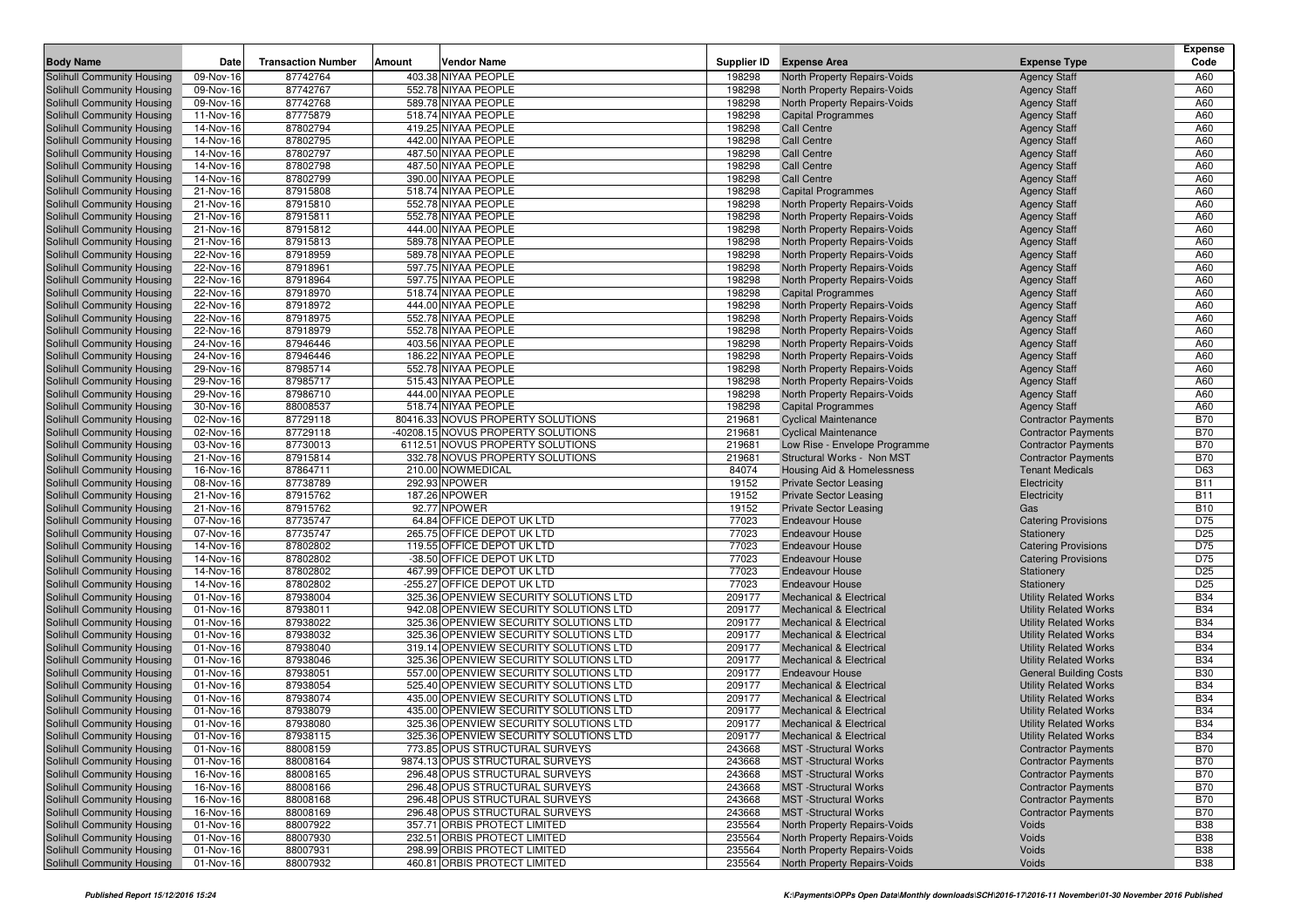| <b>Body Name</b>                                         | Date                   | <b>Transaction Number</b> | Amount | <b>Vendor Name</b>                                                               | Supplier ID      | <b>Expense Area</b>                                                 | <b>Expense Type</b>                                        | <b>Expense</b><br>Code   |
|----------------------------------------------------------|------------------------|---------------------------|--------|----------------------------------------------------------------------------------|------------------|---------------------------------------------------------------------|------------------------------------------------------------|--------------------------|
|                                                          | 09-Nov-16              | 87742764                  |        | 403.38 NIYAA PEOPLE                                                              | 198298           |                                                                     |                                                            |                          |
| Solihull Community Housing<br>Solihull Community Housing | 09-Nov-16              | 87742767                  |        | 552.78 NIYAA PEOPLE                                                              | 198298           | North Property Repairs-Voids<br><b>North Property Repairs-Voids</b> | <b>Agency Staff</b><br><b>Agency Staff</b>                 | A60<br>A60               |
| Solihull Community Housing                               | 09-Nov-16              | 87742768                  |        | 589.78 NIYAA PEOPLE                                                              | 198298           | North Property Repairs-Voids                                        | <b>Agency Staff</b>                                        | A60                      |
| Solihull Community Housing                               | 11-Nov-16              | 87775879                  |        | 518.74 NIYAA PEOPLE                                                              | 198298           | <b>Capital Programmes</b>                                           | <b>Agency Staff</b>                                        | A60                      |
| Solihull Community Housing                               | 14-Nov-16              | 87802794                  |        | 419.25 NIYAA PEOPLE                                                              | 198298           | <b>Call Centre</b>                                                  | <b>Agency Staff</b>                                        | A60                      |
| Solihull Community Housing                               | 14-Nov-16              | 87802795                  |        | 442.00 NIYAA PEOPLE                                                              | 198298           | <b>Call Centre</b>                                                  | <b>Agency Staff</b>                                        | A60                      |
| Solihull Community Housing                               | 14-Nov-16              | 87802797                  |        | 487.50 NIYAA PEOPLE                                                              | 198298           | <b>Call Centre</b>                                                  | <b>Agency Staff</b>                                        | A60                      |
| Solihull Community Housing                               | 14-Nov-16              | 87802798                  |        | 487.50 NIYAA PEOPLE                                                              | 198298           | <b>Call Centre</b>                                                  | <b>Agency Staff</b>                                        | A60                      |
| Solihull Community Housing                               | 14-Nov-16              | 87802799                  |        | 390.00 NIYAA PEOPLE                                                              | 198298           | <b>Call Centre</b>                                                  | <b>Agency Staff</b>                                        | A60                      |
| Solihull Community Housing                               | 21-Nov-16              | 87915808                  |        | 518.74 NIYAA PEOPLE                                                              | 198298           | <b>Capital Programmes</b>                                           | <b>Agency Staff</b>                                        | A60                      |
| Solihull Community Housing                               | 21-Nov-16              | 87915810                  |        | 552.78 NIYAA PEOPLE                                                              | 198298           | <b>North Property Repairs-Voids</b>                                 | <b>Agency Staff</b>                                        | A60                      |
| Solihull Community Housing                               | 21-Nov-16              | 87915811                  |        | 552.78 NIYAA PEOPLE                                                              | 198298           | <b>North Property Repairs-Voids</b>                                 | <b>Agency Staff</b>                                        | A60                      |
| Solihull Community Housing                               | 21-Nov-16              | 87915812                  |        | 444.00 NIYAA PEOPLE                                                              | 198298           | North Property Repairs-Voids                                        | <b>Agency Staff</b>                                        | A60                      |
| Solihull Community Housing                               | 21-Nov-16              | 87915813                  |        | 589.78 NIYAA PEOPLE                                                              | 198298           | <b>North Property Repairs-Voids</b>                                 | <b>Agency Staff</b>                                        | A60                      |
| Solihull Community Housing                               | 22-Nov-16              | 87918959                  |        | 589.78 NIYAA PEOPLE                                                              | 198298           | North Property Repairs-Voids                                        | <b>Agency Staff</b>                                        | A60                      |
| Solihull Community Housing                               | 22-Nov-16              | 87918961                  |        | 597.75 NIYAA PEOPLE                                                              | 198298           | <b>North Property Repairs-Voids</b>                                 | <b>Agency Staff</b>                                        | A60                      |
| <b>Solihull Community Housing</b>                        | 22-Nov-16              | 87918964                  |        | 597.75 NIYAA PEOPLE<br>518.74 NIYAA PEOPLE                                       | 198298           | North Property Repairs-Voids                                        | <b>Agency Staff</b>                                        | A60<br>A60               |
| Solihull Community Housing<br>Solihull Community Housing | 22-Nov-16<br>22-Nov-16 | 87918970<br>87918972      |        | 444.00 NIYAA PEOPLE                                                              | 198298<br>198298 | <b>Capital Programmes</b>                                           | <b>Agency Staff</b>                                        | A60                      |
| Solihull Community Housing                               | 22-Nov-16              | 87918975                  |        | 552.78 NIYAA PEOPLE                                                              | 198298           | North Property Repairs-Voids<br>North Property Repairs-Voids        | <b>Agency Staff</b><br><b>Agency Staff</b>                 | A60                      |
| Solihull Community Housing                               | 22-Nov-16              | 87918979                  |        | 552.78 NIYAA PEOPLE                                                              | 198298           | <b>North Property Repairs-Voids</b>                                 | <b>Agency Staff</b>                                        | A60                      |
| Solihull Community Housing                               | 24-Nov-16              | 87946446                  |        | 403.56 NIYAA PEOPLE                                                              | 198298           | North Property Repairs-Voids                                        | <b>Agency Staff</b>                                        | A60                      |
| Solihull Community Housing                               | 24-Nov-16              | 87946446                  |        | 186.22 NIYAA PEOPLE                                                              | 198298           | North Property Repairs-Voids                                        | <b>Agency Staff</b>                                        | A60                      |
| Solihull Community Housing                               | 29-Nov-16              | 87985714                  |        | 552.78 NIYAA PEOPLE                                                              | 198298           | North Property Repairs-Voids                                        | <b>Agency Staff</b>                                        | A60                      |
| Solihull Community Housing                               | 29-Nov-16              | 87985717                  |        | 515.43 NIYAA PEOPLE                                                              | 198298           | <b>North Property Repairs-Voids</b>                                 | <b>Agency Staff</b>                                        | A60                      |
| Solihull Community Housing                               | 29-Nov-16              | 87986710                  |        | 444.00 NIYAA PEOPLE                                                              | 198298           | North Property Repairs-Voids                                        | <b>Agency Staff</b>                                        | A60                      |
| Solihull Community Housing                               | 30-Nov-16              | 88008537                  |        | 518.74 NIYAA PEOPLE                                                              | 198298           | <b>Capital Programmes</b>                                           | <b>Agency Staff</b>                                        | A60                      |
| Solihull Community Housing                               | 02-Nov-16              | 87729118                  |        | 80416.33 NOVUS PROPERTY SOLUTIONS                                                | 219681           | <b>Cyclical Maintenance</b>                                         | <b>Contractor Payments</b>                                 | <b>B70</b>               |
| Solihull Community Housing                               | 02-Nov-16              | 87729118                  |        | -40208.15 NOVUS PROPERTY SOLUTIONS                                               | 219681           | <b>Cyclical Maintenance</b>                                         | <b>Contractor Payments</b>                                 | <b>B70</b>               |
| Solihull Community Housing                               | 03-Nov-16              | 87730013                  |        | 6112.51 NOVUS PROPERTY SOLUTIONS                                                 | 219681           | Low Rise - Envelope Programme                                       | <b>Contractor Payments</b>                                 | <b>B70</b>               |
| Solihull Community Housing                               | 21-Nov-16              | 87915814                  |        | 332.78 NOVUS PROPERTY SOLUTIONS                                                  | 219681           | Structural Works - Non MST                                          | <b>Contractor Payments</b>                                 | <b>B70</b>               |
| Solihull Community Housing                               | 16-Nov-16              | 87864711                  |        | 210.00 NOWMEDICAL                                                                | 84074            | Housing Aid & Homelessness                                          | <b>Tenant Medicals</b>                                     | D63                      |
| Solihull Community Housing                               | 08-Nov-16              | 87738789                  |        | 292.93 NPOWER                                                                    | 19152            | <b>Private Sector Leasing</b>                                       | Electricity                                                | <b>B11</b>               |
| Solihull Community Housing                               | 21-Nov-16              | 87915762                  |        | 187.26 NPOWER                                                                    | 19152            | <b>Private Sector Leasing</b>                                       | Electricity                                                | <b>B11</b>               |
| Solihull Community Housing                               | 21-Nov-16              | 87915762                  |        | 92.77 NPOWER                                                                     | 19152<br>77023   | <b>Private Sector Leasing</b>                                       | Gas                                                        | <b>B10</b><br>D75        |
| Solihull Community Housing<br>Solihull Community Housing | 07-Nov-16<br>07-Nov-16 | 87735747<br>87735747      |        | 64.84 OFFICE DEPOT UK LTD<br>265.75 OFFICE DEPOT UK LTD                          | 77023            | <b>Endeavour House</b><br><b>Endeavour House</b>                    | <b>Catering Provisions</b><br>Stationery                   | D <sub>25</sub>          |
| Solihull Community Housing                               | 14-Nov-16              | 87802802                  |        | 119.55 OFFICE DEPOT UK LTD                                                       | 77023            | <b>Endeavour House</b>                                              | <b>Catering Provisions</b>                                 | D75                      |
| Solihull Community Housing                               | 14-Nov-16              | 87802802                  |        | -38.50 OFFICE DEPOT UK LTD                                                       | 77023            | <b>Endeavour House</b>                                              | <b>Catering Provisions</b>                                 | D75                      |
| Solihull Community Housing                               | 14-Nov-16              | 87802802                  |        | 467.99 OFFICE DEPOT UK LTD                                                       | 77023            | <b>Endeavour House</b>                                              | Stationery                                                 | D <sub>25</sub>          |
| Solihull Community Housing                               | 14-Nov-16              | 87802802                  |        | -255.27 OFFICE DEPOT UK LTD                                                      | 77023            | <b>Endeavour House</b>                                              | Stationery                                                 | D <sub>25</sub>          |
| Solihull Community Housing                               | 01-Nov-16              | 87938004                  |        | 325.36 OPENVIEW SECURITY SOLUTIONS LTD                                           | 209177           | <b>Mechanical &amp; Electrical</b>                                  | <b>Utility Related Works</b>                               | <b>B34</b>               |
| Solihull Community Housing                               | 01-Nov-16              | 87938011                  |        | 942.08 OPENVIEW SECURITY SOLUTIONS LTD                                           | 209177           | <b>Mechanical &amp; Electrical</b>                                  | <b>Utility Related Works</b>                               | <b>B34</b>               |
| Solihull Community Housing                               | 01-Nov-16              | 87938022                  |        | 325.36 OPENVIEW SECURITY SOLUTIONS LTD                                           | 209177           | <b>Mechanical &amp; Electrical</b>                                  | <b>Utility Related Works</b>                               | <b>B34</b>               |
| Solihull Community Housing                               | 01-Nov-16              | 87938032                  |        | 325.36 OPENVIEW SECURITY SOLUTIONS LTD                                           | 209177           | <b>Mechanical &amp; Electrical</b>                                  | <b>Utility Related Works</b>                               | <b>B34</b>               |
| Solihull Community Housing                               | 01-Nov-16              | 87938040                  |        | 319.14 OPENVIEW SECURITY SOLUTIONS LTD                                           | 209177           | <b>Mechanical &amp; Electrical</b>                                  | <b>Utility Related Works</b>                               | <b>B34</b>               |
| Solihull Community Housing                               | 01-Nov-16              | 87938046                  |        | 325.36 OPENVIEW SECURITY SOLUTIONS LTD                                           | 209177           | <b>Mechanical &amp; Electrical</b>                                  | <b>Utility Related Works</b>                               | <b>B34</b>               |
| Solihull Community Housing                               | 01-Nov-16              | 87938051                  |        | 557.00 OPENVIEW SECURITY SOLUTIONS LTD                                           | 209177           | <b>Endeavour House</b>                                              | <b>General Building Costs</b>                              | <b>B30</b>               |
| Solihull Community Housing                               | 01-Nov-16              | 87938054                  |        | 525.40 OPENVIEW SECURITY SOLUTIONS LTD                                           | 209177           | <b>Mechanical &amp; Electrical</b>                                  | <b>Utility Related Works</b>                               | <b>B34</b>               |
| Solihull Community Housing                               | 01-Nov-16              | 87938074                  |        | 435.00 OPENVIEW SECURITY SOLUTIONS LTD                                           | 209177           | <b>Mechanical &amp; Electrical</b>                                  | <b>Utility Related Works</b>                               | <b>B34</b>               |
| Solihull Community Housing                               | 01-Nov-16              | 87938079                  |        | 435.00 OPENVIEW SECURITY SOLUTIONS LTD<br>325.36 OPENVIEW SECURITY SOLUTIONS LTD | 209177           | <b>Mechanical &amp; Electrical</b>                                  | <b>Utility Related Works</b>                               | <b>B34</b><br><b>B34</b> |
| Solihull Community Housing                               | 01-Nov-16              | 87938080                  |        |                                                                                  | 209177           | <b>Mechanical &amp; Electrical</b>                                  | <b>Utility Related Works</b>                               | <b>B34</b>               |
| Solihull Community Housing<br>Solihull Community Housing | 01-Nov-16<br>01-Nov-16 | 87938115<br>88008159      |        | 325.36 OPENVIEW SECURITY SOLUTIONS LTD<br>773.85 OPUS STRUCTURAL SURVEYS         | 209177<br>243668 | <b>Mechanical &amp; Electrical</b><br><b>MST</b> -Structural Works  | <b>Utility Related Works</b><br><b>Contractor Payments</b> | <b>B70</b>               |
| Solihull Community Housing                               | 01-Nov-16              | 88008164                  |        | 9874.13 OPUS STRUCTURAL SURVEYS                                                  | 243668           | <b>MST</b> -Structural Works                                        | <b>Contractor Payments</b>                                 | <b>B70</b>               |
| <b>Solihull Community Housing</b>                        | 16-Nov-16              | 88008165                  |        | 296.48 OPUS STRUCTURAL SURVEYS                                                   | 243668           | <b>MST</b> -Structural Works                                        | <b>Contractor Payments</b>                                 | <b>B70</b>               |
| Solihull Community Housing                               | 16-Nov-16              | 88008166                  |        | 296.48 OPUS STRUCTURAL SURVEYS                                                   | 243668           | <b>MST</b> -Structural Works                                        | <b>Contractor Payments</b>                                 | <b>B70</b>               |
| Solihull Community Housing                               | 16-Nov-16              | 88008168                  |        | 296.48 OPUS STRUCTURAL SURVEYS                                                   | 243668           | <b>MST</b> -Structural Works                                        | <b>Contractor Payments</b>                                 | <b>B70</b>               |
| Solihull Community Housing                               | 16-Nov-16              | 88008169                  |        | 296.48 OPUS STRUCTURAL SURVEYS                                                   | 243668           | <b>MST</b> -Structural Works                                        | <b>Contractor Payments</b>                                 | <b>B70</b>               |
| Solihull Community Housing                               | 01-Nov-16              | 88007922                  |        | 357.71 ORBIS PROTECT LIMITED                                                     | 235564           | North Property Repairs-Voids                                        | Voids                                                      | <b>B38</b>               |
| Solihull Community Housing                               | 01-Nov-16              | 88007930                  |        | 232.51 ORBIS PROTECT LIMITED                                                     | 235564           | North Property Repairs-Voids                                        | Voids                                                      | <b>B38</b>               |
| <b>Solihull Community Housing</b>                        | 01-Nov-16              | 88007931                  |        | 298.99 ORBIS PROTECT LIMITED                                                     | 235564           | North Property Repairs-Voids                                        | Voids                                                      | <b>B38</b>               |
| Solihull Community Housing                               | 01-Nov-16              | 88007932                  |        | 460.81 ORBIS PROTECT LIMITED                                                     | 235564           | North Property Repairs-Voids                                        | Voids                                                      | <b>B38</b>               |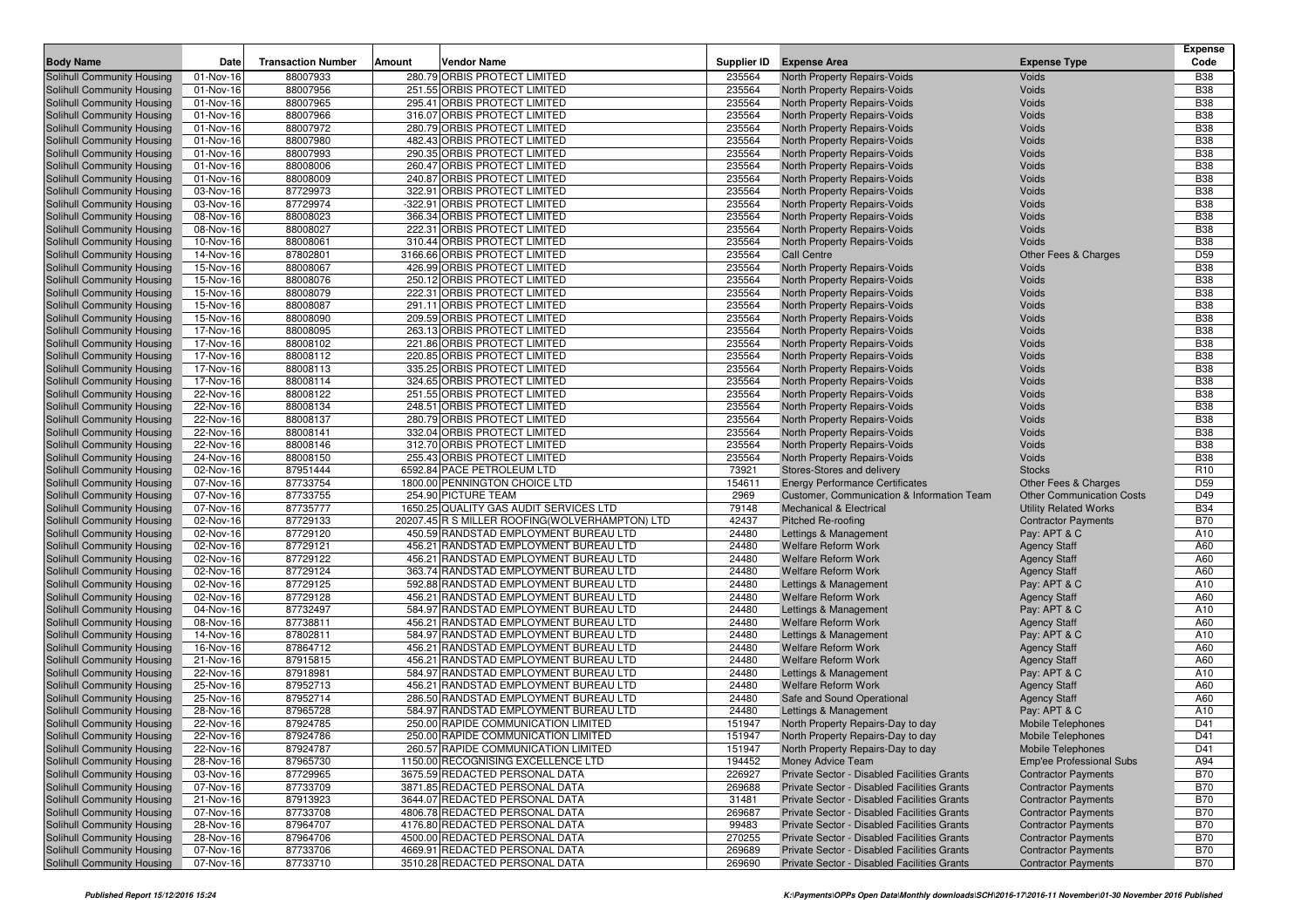|                                                          |                        |                           |        |                                                                                |                  |                                                              |                                     | Expense                  |
|----------------------------------------------------------|------------------------|---------------------------|--------|--------------------------------------------------------------------------------|------------------|--------------------------------------------------------------|-------------------------------------|--------------------------|
| <b>Body Name</b>                                         | Date                   | <b>Transaction Number</b> | Amount | <b>Vendor Name</b>                                                             | Supplier ID      | <b>Expense Area</b>                                          | <b>Expense Type</b>                 | Code                     |
| Solihull Community Housing                               | 01-Nov-16              | 88007933                  |        | 280.79 ORBIS PROTECT LIMITED                                                   | 235564           | North Property Repairs-Voids                                 | Voids                               | <b>B38</b>               |
| Solihull Community Housing                               | 01-Nov-16              | 88007956                  |        | 251.55 ORBIS PROTECT LIMITED                                                   | 235564           | North Property Repairs-Voids                                 | Voids                               | <b>B38</b>               |
| Solihull Community Housing                               | 01-Nov-16              | 88007965                  |        | 295.41 ORBIS PROTECT LIMITED<br>316.07 ORBIS PROTECT LIMITED                   | 235564<br>235564 | North Property Repairs-Voids                                 | Voids<br>Voids                      | <b>B38</b><br><b>B38</b> |
| Solihull Community Housing<br>Solihull Community Housing | 01-Nov-16<br>01-Nov-16 | 88007966<br>88007972      |        | 280.79 ORBIS PROTECT LIMITED                                                   | 235564           | North Property Repairs-Voids<br>North Property Repairs-Voids | Voids                               | <b>B38</b>               |
| Solihull Community Housing                               | 01-Nov-16              | 88007980                  |        | 482.43 ORBIS PROTECT LIMITED                                                   | 235564           | North Property Repairs-Voids                                 | Voids                               | <b>B38</b>               |
| Solihull Community Housing                               | 01-Nov-16              | 88007993                  |        | 290.35 ORBIS PROTECT LIMITED                                                   | 235564           | North Property Repairs-Voids                                 | Voids                               | <b>B38</b>               |
| Solihull Community Housing                               | 01-Nov-16              | 88008006                  |        | 260.47 ORBIS PROTECT LIMITED                                                   | 235564           | North Property Repairs-Voids                                 | Voids                               | <b>B38</b>               |
| Solihull Community Housing                               | 01-Nov-16              | 88008009                  |        | 240.87 ORBIS PROTECT LIMITED                                                   | 235564           | North Property Repairs-Voids                                 | Voids                               | <b>B38</b>               |
| Solihull Community Housing                               | 03-Nov-16              | 87729973                  |        | 322.91 ORBIS PROTECT LIMITED                                                   | 235564           | North Property Repairs-Voids                                 | Voids                               | <b>B38</b>               |
| Solihull Community Housing                               | 03-Nov-16              | 87729974                  |        | -322.91 ORBIS PROTECT LIMITED                                                  | 235564           | North Property Repairs-Voids                                 | Voids                               | <b>B38</b>               |
| Solihull Community Housing                               | 08-Nov-16              | 88008023                  |        | 366.34 ORBIS PROTECT LIMITED                                                   | 235564           | North Property Repairs-Voids                                 | Voids                               | <b>B38</b>               |
| Solihull Community Housing                               | 08-Nov-16              | 88008027                  |        | 222.31 ORBIS PROTECT LIMITED                                                   | 235564           | North Property Repairs-Voids                                 | Voids                               | <b>B38</b>               |
| Solihull Community Housing                               | 10-Nov-16              | 88008061                  |        | 310.44 ORBIS PROTECT LIMITED                                                   | 235564           | North Property Repairs-Voids                                 | Voids                               | <b>B38</b>               |
| Solihull Community Housing                               | 14-Nov-16              | 87802801                  |        | 3166.66 ORBIS PROTECT LIMITED                                                  | 235564           | Call Centre                                                  | Other Fees & Charges                | D <sub>59</sub>          |
| Solihull Community Housing                               | 15-Nov-16              | 88008067                  |        | 426.99 ORBIS PROTECT LIMITED                                                   | 235564           | North Property Repairs-Voids                                 | Voids                               | <b>B38</b>               |
| <b>Solihull Community Housing</b>                        | 15-Nov-16              | 88008076                  |        | 250.12 ORBIS PROTECT LIMITED                                                   | 235564           | North Property Repairs-Voids                                 | Voids                               | <b>B38</b>               |
| Solihull Community Housing                               | 15-Nov-16              | 88008079                  |        | 222.31 ORBIS PROTECT LIMITED                                                   | 235564           | North Property Repairs-Voids                                 | Voids                               | <b>B38</b>               |
| Solihull Community Housing                               | 15-Nov-16              | 88008087                  |        | 291.11 ORBIS PROTECT LIMITED                                                   | 235564           | North Property Repairs-Voids                                 | Voids                               | <b>B38</b>               |
| Solihull Community Housing                               | 15-Nov-16              | 88008090                  |        | 209.59 ORBIS PROTECT LIMITED                                                   | 235564           | North Property Repairs-Voids                                 | Voids                               | <b>B38</b>               |
| Solihull Community Housing                               | 17-Nov-16              | 88008095                  |        | 263.13 ORBIS PROTECT LIMITED                                                   | 235564           | North Property Repairs-Voids                                 | Voids                               | <b>B38</b>               |
| Solihull Community Housing                               | 17-Nov-16              | 88008102                  |        | 221.86 ORBIS PROTECT LIMITED                                                   | 235564           | North Property Repairs-Voids                                 | Voids                               | <b>B38</b>               |
| Solihull Community Housing                               | 17-Nov-16              | 88008112                  |        | 220.85 ORBIS PROTECT LIMITED                                                   | 235564           | North Property Repairs-Voids                                 | Voids                               | <b>B38</b>               |
| Solihull Community Housing                               | 17-Nov-16              | 88008113                  |        | 335.25 ORBIS PROTECT LIMITED                                                   | 235564           | North Property Repairs-Voids                                 | Voids                               | <b>B38</b>               |
| Solihull Community Housing<br>Solihull Community Housing | 17-Nov-16<br>22-Nov-16 | 88008114<br>88008122      |        | 324.65 ORBIS PROTECT LIMITED<br>251.55 ORBIS PROTECT LIMITED                   | 235564<br>235564 | North Property Repairs-Voids<br>North Property Repairs-Voids | Voids<br>Voids                      | <b>B38</b><br><b>B38</b> |
| Solihull Community Housing                               | 22-Nov-16              | 88008134                  |        | 248.51 ORBIS PROTECT LIMITED                                                   | 235564           | <b>North Property Repairs-Voids</b>                          | Voids                               | <b>B38</b>               |
| Solihull Community Housing                               | 22-Nov-16              | 88008137                  |        | 280.79 ORBIS PROTECT LIMITED                                                   | 235564           | North Property Repairs-Voids                                 | Voids                               | <b>B38</b>               |
| Solihull Community Housing                               | 22-Nov-16              | 88008141                  |        | 332.04 ORBIS PROTECT LIMITED                                                   | 235564           | North Property Repairs-Voids                                 | Voids                               | <b>B38</b>               |
| Solihull Community Housing                               | 22-Nov-16              | 88008146                  |        | 312.70 ORBIS PROTECT LIMITED                                                   | 235564           | North Property Repairs-Voids                                 | Voids                               | <b>B38</b>               |
| Solihull Community Housing                               | 24-Nov-16              | 88008150                  |        | 255.43 ORBIS PROTECT LIMITED                                                   | 235564           | North Property Repairs-Voids                                 | Voids                               | <b>B38</b>               |
| Solihull Community Housing                               | 02-Nov-16              | 87951444                  |        | 6592.84 PACE PETROLEUM LTD                                                     | 73921            | Stores-Stores and delivery                                   | <b>Stocks</b>                       | R <sub>10</sub>          |
| Solihull Community Housing                               | 07-Nov-16              | 87733754                  |        | 1800.00 PENNINGTON CHOICE LTD                                                  | 154611           | <b>Energy Performance Certificates</b>                       | <b>Other Fees &amp; Charges</b>     | D <sub>59</sub>          |
| Solihull Community Housing                               | 07-Nov-16              | 87733755                  |        | 254.90 PICTURE TEAM                                                            | 2969             | Customer, Communication & Information Team                   | <b>Other Communication Costs</b>    | D49                      |
| Solihull Community Housing                               | 07-Nov-16              | 87735777                  |        | 1650.25 QUALITY GAS AUDIT SERVICES LTD                                         | 79148            | <b>Mechanical &amp; Electrical</b>                           | <b>Utility Related Works</b>        | <b>B34</b>               |
| Solihull Community Housing                               | 02-Nov-16              | 87729133                  |        | 20207.45 R S MILLER ROOFING(WOLVERHAMPTON) LTD                                 | 42437            | <b>Pitched Re-roofing</b>                                    | <b>Contractor Payments</b>          | <b>B70</b>               |
| Solihull Community Housing                               | 02-Nov-16              | 87729120                  |        | 450.59 RANDSTAD EMPLOYMENT BUREAU LTD                                          | 24480            | Lettings & Management                                        | Pay: APT & C                        | A10                      |
| Solihull Community Housing                               | 02-Nov-16              | 87729121                  |        | 456.21 RANDSTAD EMPLOYMENT BUREAU LTD                                          | 24480            | <b>Welfare Reform Work</b>                                   | <b>Agency Staff</b>                 | A60                      |
| Solihull Community Housing                               | 02-Nov-16              | 87729122                  |        | 456.21 RANDSTAD EMPLOYMENT BUREAU LTD                                          | 24480            | <b>Welfare Reform Work</b>                                   | <b>Agency Staff</b>                 | A60                      |
| Solihull Community Housing                               | 02-Nov-16              | 87729124                  |        | 363.74 RANDSTAD EMPLOYMENT BUREAU LTD                                          | 24480            | Welfare Reform Work                                          | <b>Agency Staff</b>                 | A60                      |
| Solihull Community Housing                               | 02-Nov-16              | 87729125                  |        | 592.88 RANDSTAD EMPLOYMENT BUREAU LTD                                          | 24480            | Lettings & Management                                        | Pay: APT & C                        | A10                      |
| Solihull Community Housing                               | 02-Nov-16              | 87729128                  |        | 456.21 RANDSTAD EMPLOYMENT BUREAU LTD                                          | 24480            | <b>Welfare Reform Work</b>                                   | <b>Agency Staff</b>                 | A60                      |
| Solihull Community Housing                               | 04-Nov-16              | 87732497<br>87738811      |        | 584.97 RANDSTAD EMPLOYMENT BUREAU LTD<br>456.21 RANDSTAD EMPLOYMENT BUREAU LTD | 24480<br>24480   | Lettings & Management                                        | Pay: APT & C                        | A10<br>A60               |
| Solihull Community Housing<br>Solihull Community Housing | 08-Nov-16<br>14-Nov-16 | 87802811                  |        | 584.97 RANDSTAD EMPLOYMENT BUREAU LTD                                          | 24480            | Welfare Reform Work<br>Lettings & Management                 | <b>Agency Staff</b><br>Pay: APT & C | A10                      |
| Solihull Community Housing                               | 16-Nov-16              | 87864712                  |        | 456.21 RANDSTAD EMPLOYMENT BUREAU LTD                                          | 24480            | <b>Welfare Reform Work</b>                                   | <b>Agency Staff</b>                 | A60                      |
| Solihull Community Housing                               | 21-Nov-16              | 87915815                  |        | 456.21 RANDSTAD EMPLOYMENT BUREAU LTD                                          | 24480            | <b>Welfare Reform Work</b>                                   | <b>Agency Staff</b>                 | A60                      |
| Solihull Community Housing                               | 22-Nov-16              | 87918981                  |        | 584.97 RANDSTAD EMPLOYMENT BUREAU LTD                                          | 24480            | Lettings & Management                                        | Pay: APT & C                        | A10                      |
| Solihull Community Housing                               | 25-Nov-16              | 87952713                  |        | 456.21 RANDSTAD EMPLOYMENT BUREAU LTD                                          | 24480            | Welfare Reform Work                                          | <b>Agency Staff</b>                 | A60                      |
| Solihull Community Housing                               | 25-Nov-16              | 87952714                  |        | 286.50 RANDSTAD EMPLOYMENT BUREAU LTD                                          | 24480            | Safe and Sound Operational                                   | <b>Agency Staff</b>                 | A60                      |
| Solihull Community Housing                               | 28-Nov-16              | 87965728                  |        | 584.97 RANDSTAD EMPLOYMENT BUREAU LTD                                          | 24480            | Lettings & Management                                        | Pay: APT & C                        | A10                      |
| Solihull Community Housing                               | 22-Nov-16              | 87924785                  |        | 250.00 RAPIDE COMMUNICATION LIMITED                                            | 151947           | North Property Repairs-Day to day                            | <b>Mobile Telephones</b>            | D41                      |
| Solihull Community Housing                               | 22-Nov-16              | 87924786                  |        | 250.00 RAPIDE COMMUNICATION LIMITED                                            | 151947           | North Property Repairs-Day to day                            | Mobile Telephones                   | D41                      |
| Solihull Community Housing                               | 22-Nov-16              | 87924787                  |        | 260.57 RAPIDE COMMUNICATION LIMITED                                            | 151947           | North Property Repairs-Day to day                            | <b>Mobile Telephones</b>            | D41                      |
| Solihull Community Housing                               | 28-Nov-16              | 87965730                  |        | 1150.00 RECOGNISING EXCELLENCE LTD                                             | 194452           | Money Advice Team                                            | Emp'ee Professional Subs            | A94                      |
| Solihull Community Housing                               | 03-Nov-16              | 87729965                  |        | 3675.59 REDACTED PERSONAL DATA                                                 | 226927           | Private Sector - Disabled Facilities Grants                  | <b>Contractor Payments</b>          | <b>B70</b>               |
| Solihull Community Housing                               | 07-Nov-16              | 87733709                  |        | 3871.85 REDACTED PERSONAL DATA                                                 | 269688           | Private Sector - Disabled Facilities Grants                  | <b>Contractor Payments</b>          | <b>B70</b>               |
| Solihull Community Housing                               | 21-Nov-16              | 87913923                  |        | 3644.07 REDACTED PERSONAL DATA                                                 | 31481            | Private Sector - Disabled Facilities Grants                  | <b>Contractor Payments</b>          | <b>B70</b>               |
| Solihull Community Housing                               | 07-Nov-16              | 87733708                  |        | 4806.78 REDACTED PERSONAL DATA                                                 | 269687           | Private Sector - Disabled Facilities Grants                  | <b>Contractor Payments</b>          | <b>B70</b>               |
| Solihull Community Housing                               | 28-Nov-16              | 87964707                  |        | 4176.80 REDACTED PERSONAL DATA                                                 | 99483            | Private Sector - Disabled Facilities Grants                  | <b>Contractor Payments</b>          | <b>B70</b>               |
| Solihull Community Housing                               | 28-Nov-16              | 87964706                  |        | 4500.00 REDACTED PERSONAL DATA                                                 | 270255           | Private Sector - Disabled Facilities Grants                  | <b>Contractor Payments</b>          | <b>B70</b>               |
| Solihull Community Housing                               | 07-Nov-16              | 87733706                  |        | 4669.91 REDACTED PERSONAL DATA                                                 | 269689           | Private Sector - Disabled Facilities Grants                  | <b>Contractor Payments</b>          | <b>B70</b>               |
| Solihull Community Housing                               | 07-Nov-16              | 87733710                  |        | 3510.28 REDACTED PERSONAL DATA                                                 | 269690           | Private Sector - Disabled Facilities Grants                  | <b>Contractor Payments</b>          | <b>B70</b>               |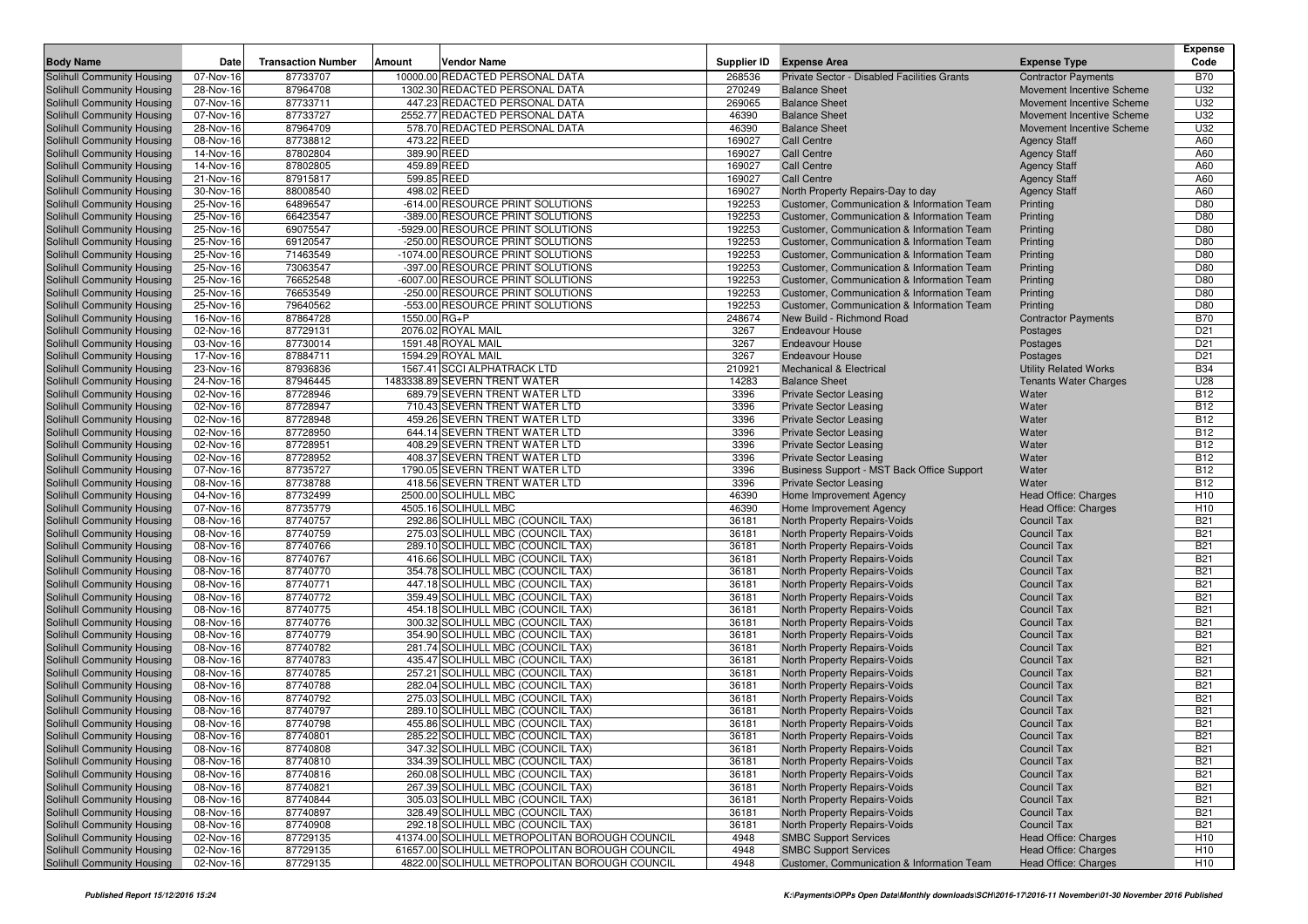|                                                          |                        |                           |               |                                                                        |                  |                                                                     |                                                        | <b>Expense</b>           |
|----------------------------------------------------------|------------------------|---------------------------|---------------|------------------------------------------------------------------------|------------------|---------------------------------------------------------------------|--------------------------------------------------------|--------------------------|
| <b>Body Name</b>                                         | Date                   | <b>Transaction Number</b> | <b>Amount</b> | <b>Vendor Name</b>                                                     | Supplier ID      | <b>Expense Area</b>                                                 | <b>Expense Type</b>                                    | Code                     |
| Solihull Community Housing                               | 07-Nov-16              | 87733707                  |               | 10000.00 REDACTED PERSONAL DATA                                        | 268536           | Private Sector - Disabled Facilities Grants                         | <b>Contractor Payments</b>                             | <b>B70</b>               |
| Solihull Community Housing                               | 28-Nov-16<br>07-Nov-16 | 87964708<br>87733711      |               | 1302.30 REDACTED PERSONAL DATA<br>447.23 REDACTED PERSONAL DATA        | 270249<br>269065 | <b>Balance Sheet</b><br><b>Balance Sheet</b>                        | Movement Incentive Scheme<br>Movement Incentive Scheme | U32<br>U32               |
| Solihull Community Housing<br>Solihull Community Housing | 07-Nov-16              | 87733727                  |               | 2552.77 REDACTED PERSONAL DATA                                         | 46390            | <b>Balance Sheet</b>                                                | Movement Incentive Scheme                              | U32                      |
| Solihull Community Housing                               | 28-Nov-16              | 87964709                  |               | 578.70 REDACTED PERSONAL DATA                                          | 46390            | <b>Balance Sheet</b>                                                | Movement Incentive Scheme                              | U32                      |
| Solihull Community Housing                               | 08-Nov-16              | 87738812                  |               | 473.22 REED                                                            | 169027           | <b>Call Centre</b>                                                  | <b>Agency Staff</b>                                    | A60                      |
| Solihull Community Housing                               | 14-Nov-16              | 87802804                  |               | 389.90 REED                                                            | 169027           | <b>Call Centre</b>                                                  | <b>Agency Staff</b>                                    | A60                      |
| Solihull Community Housing                               | 14-Nov-16              | 87802805                  |               | 459.89 REED                                                            | 169027           | <b>Call Centre</b>                                                  | <b>Agency Staff</b>                                    | A60                      |
| Solihull Community Housing                               | 21-Nov-16              | 87915817                  |               | 599.85 REED                                                            | 169027           | <b>Call Centre</b>                                                  | <b>Agency Staff</b>                                    | A60                      |
| Solihull Community Housing                               | 30-Nov-16              | 88008540                  |               | 498.02 REED                                                            | 169027           | North Property Repairs-Day to day                                   | <b>Agency Staff</b>                                    | A60                      |
| Solihull Community Housing                               | 25-Nov-16              | 64896547                  |               | -614.00 RESOURCE PRINT SOLUTIONS                                       | 192253           | Customer, Communication & Information Team                          | Printing                                               | D80                      |
| Solihull Community Housing                               | 25-Nov-16              | 66423547                  |               | -389.00 RESOURCE PRINT SOLUTIONS                                       | 192253           | Customer, Communication & Information Team                          | Printing                                               | D80                      |
| Solihull Community Housing                               | 25-Nov-16              | 69075547                  |               | -5929.00 RESOURCE PRINT SOLUTIONS                                      | 192253           | Customer, Communication & Information Team                          | Printing                                               | D80                      |
| Solihull Community Housing                               | 25-Nov-16              | 69120547                  |               | -250.00 RESOURCE PRINT SOLUTIONS                                       | 192253           | Customer, Communication & Information Team                          | Printing                                               | D80                      |
| Solihull Community Housing                               | 25-Nov-16              | 71463549                  |               | -1074.00 RESOURCE PRINT SOLUTIONS                                      | 192253           | Customer, Communication & Information Team                          | Printing                                               | D80                      |
| Solihull Community Housing                               | 25-Nov-16              | 73063547                  |               | -397.00 RESOURCE PRINT SOLUTIONS                                       | 192253           | Customer, Communication & Information Team                          | Printing                                               | D80                      |
| Solihull Community Housing                               | 25-Nov-16              | 76652548                  |               | -6007.00 RESOURCE PRINT SOLUTIONS                                      | 192253           | Customer, Communication & Information Team                          | Printing                                               | D80                      |
| Solihull Community Housing                               | 25-Nov-16              | 76653549                  |               | -250.00 RESOURCE PRINT SOLUTIONS                                       | 192253           | Customer, Communication & Information Team                          | Printing                                               | D80                      |
| Solihull Community Housing                               | 25-Nov-16              | 79640562                  |               | -553.00 RESOURCE PRINT SOLUTIONS                                       | 192253           | Customer, Communication & Information Team                          | Printing                                               | D80                      |
| Solihull Community Housing                               | 16-Nov-16              | 87864728                  | 1550.00 RG+P  |                                                                        | 248674           | New Build - Richmond Road                                           | <b>Contractor Payments</b>                             | <b>B70</b>               |
| Solihull Community Housing                               | 02-Nov-16              | 87729131                  |               | 2076.02 ROYAL MAIL                                                     | 3267             | <b>Endeavour House</b>                                              | Postages                                               | D <sub>21</sub>          |
| Solihull Community Housing                               | 03-Nov-16              | 87730014                  |               | 1591.48 ROYAL MAIL                                                     | 3267             | <b>Endeavour House</b>                                              | Postages                                               | D <sub>21</sub>          |
| Solihull Community Housing                               | 17-Nov-16              | 87884711                  |               | 1594.29 ROYAL MAIL                                                     | 3267             | <b>Endeavour House</b>                                              | Postages                                               | D <sub>21</sub>          |
| Solihull Community Housing                               | 23-Nov-16              | 87936836                  |               | 1567.41 SCCI ALPHATRACK LTD                                            | 210921           | <b>Mechanical &amp; Electrical</b>                                  | <b>Utility Related Works</b>                           | <b>B34</b>               |
| Solihull Community Housing                               | 24-Nov-16              | 87946445<br>87728946      |               | 1483338.89 SEVERN TRENT WATER                                          | 14283<br>3396    | <b>Balance Sheet</b>                                                | <b>Tenants Water Charges</b>                           | U28<br><b>B12</b>        |
| Solihull Community Housing<br>Solihull Community Housing | 02-Nov-16<br>02-Nov-16 | 87728947                  |               | 689.79 SEVERN TRENT WATER LTD<br>710.43 SEVERN TRENT WATER LTD         | 3396             | <b>Private Sector Leasing</b>                                       | Water                                                  | <b>B12</b>               |
| Solihull Community Housing                               | 02-Nov-16              | 87728948                  |               | 459.26 SEVERN TRENT WATER LTD                                          | 3396             | <b>Private Sector Leasing</b><br><b>Private Sector Leasing</b>      | Water<br>Water                                         | <b>B12</b>               |
| Solihull Community Housing                               | 02-Nov-16              | 87728950                  |               | 644.14 SEVERN TRENT WATER LTD                                          | 3396             | <b>Private Sector Leasing</b>                                       | Water                                                  | <b>B12</b>               |
| Solihull Community Housing                               | 02-Nov-16              | 87728951                  |               | 408.29 SEVERN TRENT WATER LTD                                          | 3396             | <b>Private Sector Leasing</b>                                       | Water                                                  | <b>B12</b>               |
| Solihull Community Housing                               | 02-Nov-16              | 87728952                  |               | 408.37 SEVERN TRENT WATER LTD                                          | 3396             | <b>Private Sector Leasing</b>                                       | Water                                                  | <b>B12</b>               |
| Solihull Community Housing                               | 07-Nov-16              | 87735727                  |               | 1790.05 SEVERN TRENT WATER LTD                                         | 3396             | Business Support - MST Back Office Support                          | Water                                                  | <b>B12</b>               |
| Solihull Community Housing                               | 08-Nov-16              | 87738788                  |               | 418.56 SEVERN TRENT WATER LTD                                          | 3396             | <b>Private Sector Leasing</b>                                       | Water                                                  | <b>B12</b>               |
| Solihull Community Housing                               | 04-Nov-16              | 87732499                  |               | 2500.00 SOLIHULL MBC                                                   | 46390            | Home Improvement Agency                                             | Head Office: Charges                                   | H <sub>10</sub>          |
| Solihull Community Housing                               | 07-Nov-16              | 87735779                  |               | 4505.16 SOLIHULL MBC                                                   | 46390            | Home Improvement Agency                                             | Head Office: Charges                                   | H <sub>10</sub>          |
| Solihull Community Housing                               | 08-Nov-16              | 87740757                  |               | 292.86 SOLIHULL MBC (COUNCIL TAX)                                      | 36181            | North Property Repairs-Voids                                        | <b>Council Tax</b>                                     | <b>B21</b>               |
| Solihull Community Housing                               | 08-Nov-16              | 87740759                  |               | 275.03 SOLIHULL MBC (COUNCIL TAX)                                      | 36181            | North Property Repairs-Voids                                        | <b>Council Tax</b>                                     | <b>B21</b>               |
| Solihull Community Housing                               | 08-Nov-16              | 87740766                  |               | 289.10 SOLIHULL MBC (COUNCIL TAX)                                      | 36181            | North Property Repairs-Voids                                        | <b>Council Tax</b>                                     | <b>B21</b>               |
| Solihull Community Housing                               | 08-Nov-16              | 87740767                  |               | 416.66 SOLIHULL MBC (COUNCIL TAX)                                      | 36181            | North Property Repairs-Voids                                        | <b>Council Tax</b>                                     | <b>B21</b>               |
| Solihull Community Housing                               | 08-Nov-16              | 87740770                  |               | 354.78 SOLIHULL MBC (COUNCIL TAX)                                      | 36181            | North Property Repairs-Voids                                        | <b>Council Tax</b>                                     | <b>B21</b>               |
| Solihull Community Housing                               | 08-Nov-16              | 87740771                  |               | 447.18 SOLIHULL MBC (COUNCIL TAX)                                      | 36181            | North Property Repairs-Voids                                        | <b>Council Tax</b>                                     | <b>B21</b>               |
| Solihull Community Housing                               | 08-Nov-16              | 87740772                  |               | 359.49 SOLIHULL MBC (COUNCIL TAX)                                      | 36181            | North Property Repairs-Voids                                        | <b>Council Tax</b>                                     | <b>B21</b>               |
| Solihull Community Housing                               | 08-Nov-16              | 87740775                  |               | 454.18 SOLIHULL MBC (COUNCIL TAX)                                      | 36181            | North Property Repairs-Voids                                        | <b>Council Tax</b>                                     | <b>B21</b>               |
| Solihull Community Housing                               | 08-Nov-16              | 87740776                  |               | 300.32 SOLIHULL MBC (COUNCIL TAX)                                      | 36181            | North Property Repairs-Voids                                        | <b>Council Tax</b>                                     | <b>B21</b>               |
| Solihull Community Housing                               | 08-Nov-16              | 87740779                  |               | 354.90 SOLIHULL MBC (COUNCIL TAX)                                      | 36181            | North Property Repairs-Voids                                        | <b>Council Tax</b><br><b>Council Tax</b>               | <b>B21</b>               |
| Solihull Community Housing                               | 08-Nov-16<br>08-Nov-16 | 87740782<br>87740783      |               | 281.74 SOLIHULL MBC (COUNCIL TAX)<br>435.47 SOLIHULL MBC (COUNCIL TAX) | 36181<br>36181   | <b>North Property Repairs-Voids</b><br>North Property Repairs-Voids | <b>Council Tax</b>                                     | <b>B21</b><br><b>B21</b> |
| Solihull Community Housing<br>Solihull Community Housing | 08-Nov-16              | 87740785                  |               | 257.21 SOLIHULL MBC (COUNCIL TAX)                                      | 36181            | North Property Repairs-Voids                                        | <b>Council Tax</b>                                     | <b>B21</b>               |
| Solihull Community Housing                               | 08-Nov-16              | 87740788                  |               | 282.04 SOLIHULL MBC (COUNCIL TAX)                                      | 36181            | <b>North Property Repairs-Voids</b>                                 | <b>Council Tax</b>                                     | <b>B21</b>               |
| Solihull Community Housing                               | 08-Nov-16              | 87740792                  |               | 275.03 SOLIHULL MBC (COUNCIL TAX)                                      | 36181            | North Property Repairs-Voids                                        | <b>Council Tax</b>                                     | <b>B21</b>               |
| Solihull Community Housing                               | 08-Nov-16              | 87740797                  |               | 289.10 SOLIHULL MBC (COUNCIL TAX)                                      | 36181            | North Property Repairs-Voids                                        | <b>Council Tax</b>                                     | <b>B21</b>               |
| Solihull Community Housing                               | 08-Nov-16              | 87740798                  |               | 455.86 SOLIHULL MBC (COUNCIL TAX)                                      | 36181            | North Property Repairs-Voids                                        | <b>Council Tax</b>                                     | <b>B21</b>               |
| Solihull Community Housing                               | 08-Nov-16              | 87740801                  |               | 285.22 SOLIHULL MBC (COUNCIL TAX)                                      | 36181            | North Property Repairs-Voids                                        | <b>Council Tax</b>                                     | <b>B21</b>               |
| Solihull Community Housing                               | 08-Nov-16              | 87740808                  |               | 347.32 SOLIHULL MBC (COUNCIL TAX)                                      | 36181            | North Property Repairs-Voids                                        | <b>Council Tax</b>                                     | <b>B21</b>               |
| Solihull Community Housing                               | 08-Nov-16              | 87740810                  |               | 334.39 SOLIHULL MBC (COUNCIL TAX)                                      | 36181            | North Property Repairs-Voids                                        | <b>Council Tax</b>                                     | <b>B21</b>               |
| Solihull Community Housing                               | 08-Nov-16              | 87740816                  |               | 260.08 SOLIHULL MBC (COUNCIL TAX)                                      | 36181            | North Property Repairs-Voids                                        | <b>Council Tax</b>                                     | <b>B21</b>               |
| Solihull Community Housing                               | 08-Nov-16              | 87740821                  |               | 267.39 SOLIHULL MBC (COUNCIL TAX)                                      | 36181            | North Property Repairs-Voids                                        | <b>Council Tax</b>                                     | <b>B21</b>               |
| Solihull Community Housing                               | 08-Nov-16              | 87740844                  |               | 305.03 SOLIHULL MBC (COUNCIL TAX)                                      | 36181            | North Property Repairs-Voids                                        | <b>Council Tax</b>                                     | <b>B21</b>               |
| Solihull Community Housing                               | 08-Nov-16              | 87740897                  |               | 328.49 SOLIHULL MBC (COUNCIL TAX)                                      | 36181            | North Property Repairs-Voids                                        | <b>Council Tax</b>                                     | <b>B21</b>               |
| Solihull Community Housing                               | 08-Nov-16              | 87740908                  |               | 292.18 SOLIHULL MBC (COUNCIL TAX)                                      | 36181            | North Property Repairs-Voids                                        | <b>Council Tax</b>                                     | <b>B21</b>               |
| Solihull Community Housing                               | 02-Nov-16              | 87729135                  |               | 41374.00 SOLIHULL METROPOLITAN BOROUGH COUNCIL                         | 4948             | <b>SMBC Support Services</b>                                        | Head Office: Charges                                   | H <sub>10</sub>          |
| Solihull Community Housing                               | 02-Nov-16              | 87729135                  |               | 61657.00 SOLIHULL METROPOLITAN BOROUGH COUNCIL                         | 4948             | <b>SMBC Support Services</b>                                        | Head Office: Charges                                   | H <sub>10</sub>          |
| Solihull Community Housing                               | 02-Nov-16              | 87729135                  |               | 4822.00 SOLIHULL METROPOLITAN BOROUGH COUNCIL                          | 4948             | Customer, Communication & Information Team                          | Head Office: Charges                                   | H <sub>10</sub>          |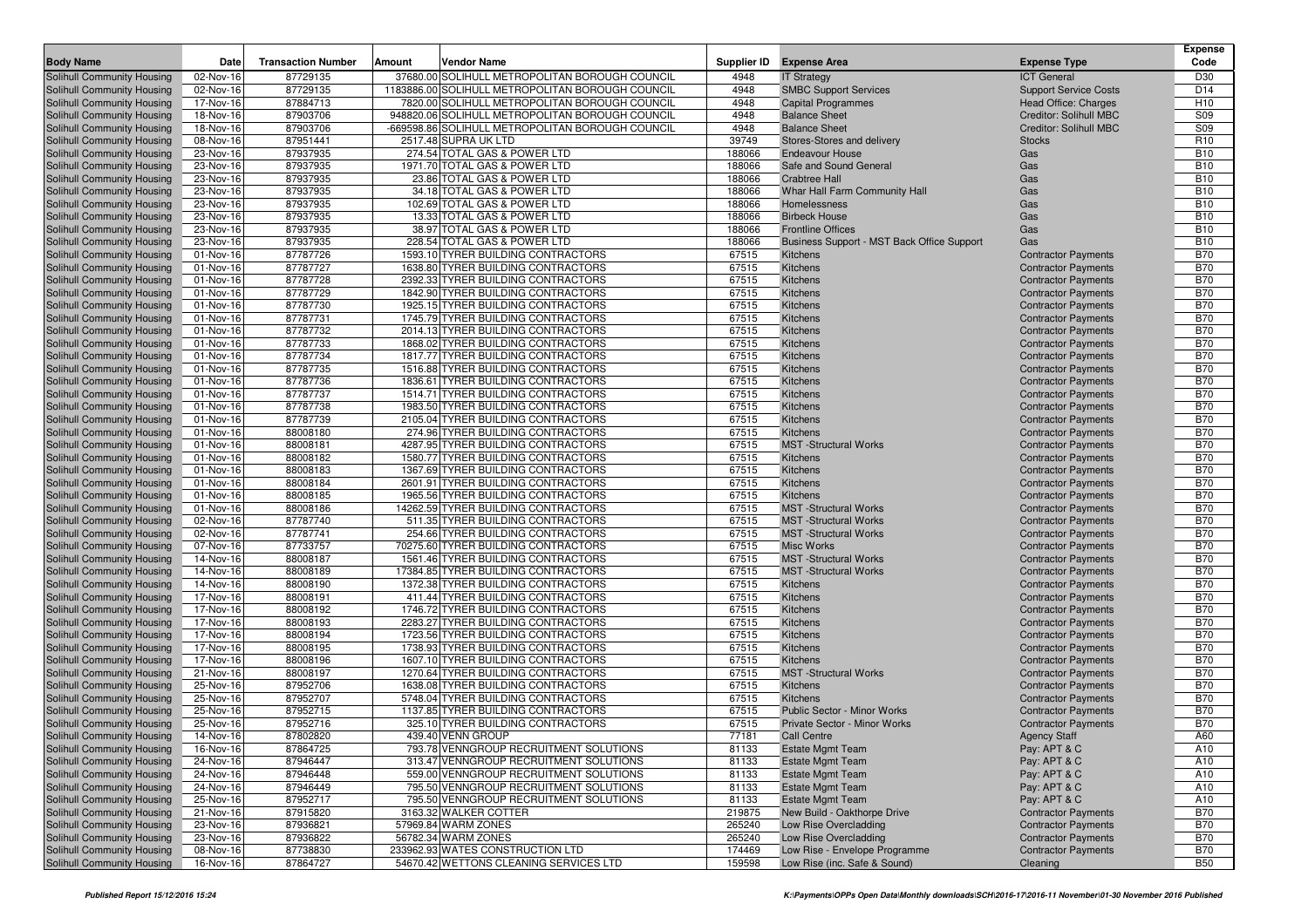| <b>Body Name</b>                                         | Date                   | <b>Transaction Number</b> | Amount | <b>Vendor Name</b>                                                               | Supplier ID     | <b>Expense Area</b>                                    | <b>Expense Type</b>                                      | <b>Expense</b><br>Code   |
|----------------------------------------------------------|------------------------|---------------------------|--------|----------------------------------------------------------------------------------|-----------------|--------------------------------------------------------|----------------------------------------------------------|--------------------------|
| Solihull Community Housing                               | 02-Nov-16              | 87729135                  |        | 37680.00 SOLIHULL METROPOLITAN BOROUGH COUNCIL                                   | 4948            | <b>IT Strategy</b>                                     | <b>ICT General</b>                                       | D30                      |
| Solihull Community Housing                               | 02-Nov-16              | 87729135                  |        | 1183886.00 SOLIHULL METROPOLITAN BOROUGH COUNCIL                                 | 4948            | <b>SMBC Support Services</b>                           | <b>Support Service Costs</b>                             | D <sub>14</sub>          |
| Solihull Community Housing                               | 17-Nov-16              | 87884713                  |        | 7820.00 SOLIHULL METROPOLITAN BOROUGH COUNCIL                                    | 4948            | <b>Capital Programmes</b>                              | Head Office: Charges                                     | H <sub>10</sub>          |
| Solihull Community Housing                               | 18-Nov-16              | 87903706                  |        | 948820.06 SOLIHULL METROPOLITAN BOROUGH COUNCIL                                  | 4948            | <b>Balance Sheet</b>                                   | Creditor: Solihull MBC                                   | S09                      |
| Solihull Community Housing                               | 18-Nov-16              | 87903706                  |        | -669598.86 SOLIHULL METROPOLITAN BOROUGH COUNCIL                                 | 4948            | <b>Balance Sheet</b>                                   | Creditor: Solihull MBC                                   | S09                      |
| Solihull Community Housing                               | 08-Nov-16              | 87951441                  |        | 2517.48 SUPRA UK LTD                                                             | 39749           | Stores-Stores and delivery                             | <b>Stocks</b>                                            | R <sub>10</sub>          |
| Solihull Community Housing                               | 23-Nov-16              | 87937935                  |        | 274.54 TOTAL GAS & POWER LTD                                                     | 188066          | <b>Endeavour House</b>                                 | Gas                                                      | <b>B10</b>               |
| Solihull Community Housing                               | 23-Nov-16              | 87937935                  |        | 1971.70 TOTAL GAS & POWER LTD                                                    | 188066          | Safe and Sound General                                 | Gas                                                      | <b>B10</b>               |
| Solihull Community Housing                               | 23-Nov-16              | 87937935                  |        | 23.86 TOTAL GAS & POWER LTD                                                      | 188066          | <b>Crabtree Hall</b>                                   | Gas                                                      | <b>B10</b>               |
| Solihull Community Housing                               | 23-Nov-16              | 87937935                  |        | 34.18 TOTAL GAS & POWER LTD                                                      | 188066          | Whar Hall Farm Community Hall                          | Gas                                                      | <b>B10</b>               |
| <b>Solihull Community Housing</b>                        | 23-Nov-16              | 87937935                  |        | 102.69 TOTAL GAS & POWER LTD                                                     | 188066          | Homelessness                                           | Gas                                                      | <b>B10</b>               |
| Solihull Community Housing                               | 23-Nov-16              | 87937935                  |        | 13.33 TOTAL GAS & POWER LTD                                                      | 188066          | <b>Birbeck House</b>                                   | Gas                                                      | <b>B10</b>               |
| Solihull Community Housing                               | 23-Nov-16              | 87937935                  |        | 38.97 TOTAL GAS & POWER LTD                                                      | 188066          | <b>Frontline Offices</b>                               | Gas                                                      | <b>B10</b>               |
| Solihull Community Housing                               | 23-Nov-16              | 87937935                  |        | 228.54 TOTAL GAS & POWER LTD                                                     | 188066          | Business Support - MST Back Office Support             | Gas                                                      | <b>B10</b>               |
| Solihull Community Housing                               | 01-Nov-16              | 87787726                  |        | 1593.10 TYRER BUILDING CONTRACTORS                                               | 67515           | Kitchens                                               | <b>Contractor Payments</b>                               | <b>B70</b>               |
| Solihull Community Housing                               | 01-Nov-16              | 87787727<br>87787728      |        | 1638.80 TYRER BUILDING CONTRACTORS<br>2392.33 TYRER BUILDING CONTRACTORS         | 67515<br>67515  | Kitchens<br>Kitchens                                   | <b>Contractor Payments</b>                               | <b>B70</b><br><b>B70</b> |
| Solihull Community Housing                               | 01-Nov-16<br>01-Nov-16 | 87787729                  |        | 1842.90 TYRER BUILDING CONTRACTORS                                               | 67515           | Kitchens                                               | <b>Contractor Payments</b>                               | <b>B70</b>               |
| Solihull Community Housing<br>Solihull Community Housing | 01-Nov-16              | 87787730                  |        | 1925.15 TYRER BUILDING CONTRACTORS                                               | 67515           | Kitchens                                               | <b>Contractor Payments</b><br><b>Contractor Payments</b> | <b>B70</b>               |
| Solihull Community Housing                               | 01-Nov-16              | 87787731                  |        | 1745.79 TYRER BUILDING CONTRACTORS                                               | 67515           | Kitchens                                               | <b>Contractor Payments</b>                               | <b>B70</b>               |
| Solihull Community Housing                               | 01-Nov-16              | 87787732                  |        | 2014.13 TYRER BUILDING CONTRACTORS                                               | 67515           | Kitchens                                               | <b>Contractor Payments</b>                               | <b>B70</b>               |
| Solihull Community Housing                               | 01-Nov-16              | 87787733                  |        | 1868.02 TYRER BUILDING CONTRACTORS                                               | 67515           | Kitchens                                               | <b>Contractor Payments</b>                               | <b>B70</b>               |
| Solihull Community Housing                               | 01-Nov-16              | 87787734                  |        | 1817.77 TYRER BUILDING CONTRACTORS                                               | 67515           | Kitchens                                               | <b>Contractor Payments</b>                               | <b>B70</b>               |
| Solihull Community Housing                               | 01-Nov-16              | 87787735                  |        | 1516.88 TYRER BUILDING CONTRACTORS                                               | 67515           | Kitchens                                               | <b>Contractor Payments</b>                               | <b>B70</b>               |
| Solihull Community Housing                               | 01-Nov-16              | 87787736                  |        | 1836.61 TYRER BUILDING CONTRACTORS                                               | 67515           | Kitchens                                               | <b>Contractor Payments</b>                               | <b>B70</b>               |
| Solihull Community Housing                               | 01-Nov-16              | 87787737                  |        | 1514.71 TYRER BUILDING CONTRACTORS                                               | 67515           | Kitchens                                               | <b>Contractor Payments</b>                               | <b>B70</b>               |
| Solihull Community Housing                               | 01-Nov-16              | 87787738                  |        | 1983.50 TYRER BUILDING CONTRACTORS                                               | 67515           | Kitchens                                               | <b>Contractor Payments</b>                               | <b>B70</b>               |
| Solihull Community Housing                               | 01-Nov-16              | 87787739                  |        | 2105.04 TYRER BUILDING CONTRACTORS                                               | 67515           | Kitchens                                               | <b>Contractor Payments</b>                               | <b>B70</b>               |
| Solihull Community Housing                               | 01-Nov-16              | 88008180                  |        | 274.96 TYRER BUILDING CONTRACTORS                                                | 67515           | Kitchens                                               | <b>Contractor Payments</b>                               | <b>B70</b>               |
| Solihull Community Housing                               | 01-Nov-16              | 88008181                  |        | 4287.95 TYRER BUILDING CONTRACTORS                                               | 67515           | <b>MST</b> -Structural Works                           | <b>Contractor Payments</b>                               | <b>B70</b>               |
| Solihull Community Housing                               | 01-Nov-16              | 88008182                  |        | 1580.77 TYRER BUILDING CONTRACTORS                                               | 67515           | <b>Kitchens</b>                                        | <b>Contractor Payments</b>                               | <b>B70</b>               |
| Solihull Community Housing                               | 01-Nov-16              | 88008183                  |        | 1367.69 TYRER BUILDING CONTRACTORS                                               | 67515           | Kitchens                                               | <b>Contractor Payments</b>                               | <b>B70</b>               |
| Solihull Community Housing                               | 01-Nov-16              | 88008184                  |        | 2601.91 TYRER BUILDING CONTRACTORS                                               | 67515           | Kitchens                                               | <b>Contractor Payments</b>                               | <b>B70</b>               |
| Solihull Community Housing                               | 01-Nov-16              | 88008185                  |        | 1965.56 TYRER BUILDING CONTRACTORS                                               | 67515           | Kitchens                                               | <b>Contractor Payments</b>                               | <b>B70</b>               |
| Solihull Community Housing                               | 01-Nov-16              | 88008186                  |        | 14262.59 TYRER BUILDING CONTRACTORS                                              | 67515           | <b>MST</b> -Structural Works                           | <b>Contractor Payments</b>                               | <b>B70</b>               |
| Solihull Community Housing                               | 02-Nov-16              | 87787740                  |        | 511.35 TYRER BUILDING CONTRACTORS                                                | 67515           | <b>MST</b> -Structural Works                           | <b>Contractor Payments</b>                               | <b>B70</b><br><b>B70</b> |
| Solihull Community Housing<br>Solihull Community Housing | 02-Nov-16<br>07-Nov-16 | 87787741<br>87733757      |        | 254.66 TYRER BUILDING CONTRACTORS<br>70275.60 TYRER BUILDING CONTRACTORS         | 67515<br>67515  | <b>MST</b> -Structural Works<br><b>Misc Works</b>      | <b>Contractor Payments</b>                               | <b>B70</b>               |
| Solihull Community Housing                               | 14-Nov-16              | 88008187                  |        | 1561.46 TYRER BUILDING CONTRACTORS                                               | 67515           | <b>MST</b> -Structural Works                           | <b>Contractor Payments</b><br><b>Contractor Payments</b> | <b>B70</b>               |
| Solihull Community Housing                               | 14-Nov-16              | 88008189                  |        | 17384.85 TYRER BUILDING CONTRACTORS                                              | 67515           | <b>MST</b> -Structural Works                           | <b>Contractor Payments</b>                               | <b>B70</b>               |
| Solihull Community Housing                               | 14-Nov-16              | 88008190                  |        | 1372.38 TYRER BUILDING CONTRACTORS                                               | 67515           | Kitchens                                               | <b>Contractor Payments</b>                               | <b>B70</b>               |
| Solihull Community Housing                               | 17-Nov-16              | 88008191                  |        | 411.44 TYRER BUILDING CONTRACTORS                                                | 67515           | Kitchens                                               | <b>Contractor Payments</b>                               | <b>B70</b>               |
| Solihull Community Housing                               | 17-Nov-16              | 88008192                  |        | 1746.72 TYRER BUILDING CONTRACTORS                                               | 67515           | Kitchens                                               | <b>Contractor Payments</b>                               | <b>B70</b>               |
| Solihull Community Housing                               | 17-Nov-16              | 88008193                  |        | 2283.27 TYRER BUILDING CONTRACTORS                                               | 67515           | Kitchens                                               | <b>Contractor Payments</b>                               | <b>B70</b>               |
| Solihull Community Housing                               | 17-Nov-16              | 88008194                  |        | 1723.56 TYRER BUILDING CONTRACTORS                                               | 67515           | Kitchens                                               | <b>Contractor Payments</b>                               | <b>B70</b>               |
| Solihull Community Housing                               | 17-Nov-16              | 88008195                  |        | 1738.93 TYRER BUILDING CONTRACTORS                                               | 67515           | Kitchens                                               | <b>Contractor Payments</b>                               | <b>B70</b>               |
| Solihull Community Housing                               | 17-Nov-16              | 88008196                  |        | 1607.10 TYRER BUILDING CONTRACTORS                                               | 67515           | Kitchens                                               | <b>Contractor Payments</b>                               | <b>B70</b>               |
| Solihull Community Housing                               | 21-Nov-16              | 88008197                  |        | 1270.64 TYRER BUILDING CONTRACTORS                                               | 67515           | <b>MST</b> -Structural Works                           | <b>Contractor Payments</b>                               | <b>B70</b>               |
| Solihull Community Housing                               | 25-Nov-16              | 87952706                  |        | 1638.08 TYRER BUILDING CONTRACTORS                                               | 67515           | Kitchens                                               | <b>Contractor Payments</b>                               | <b>B70</b>               |
| Solihull Community Housing                               | 25-Nov-16              | 87952707                  |        | 5748.04 TYRER BUILDING CONTRACTORS                                               | 67515           | Kitchens                                               | <b>Contractor Payments</b>                               | <b>B70</b>               |
| Solihull Community Housing                               | 25-Nov-16              | 87952715                  |        | 1137.85 TYRER BUILDING CONTRACTORS                                               | 67515           | <b>Public Sector - Minor Works</b>                     | <b>Contractor Payments</b>                               | <b>B70</b>               |
| Solihull Community Housing                               | 25-Nov-16              | 87952716                  |        | 325.10 TYRER BUILDING CONTRACTORS                                                | 67515           | Private Sector - Minor Works                           | <b>Contractor Payments</b>                               | <b>B70</b>               |
| Solihull Community Housing                               | 14-Nov-16              | 87802820                  |        | 439.40 VENN GROUP                                                                | 77181           | Call Centre                                            | <b>Agency Staff</b>                                      | A60                      |
| Solihull Community Housing                               | 16-Nov-16              | 87864725                  |        | 793.78 VENNGROUP RECRUITMENT SOLUTIONS                                           | 81133           | <b>Estate Mgmt Team</b>                                | Pay: APT & C                                             | A10                      |
| Solihull Community Housing                               | 24-Nov-16              | 87946447                  |        | 313.47 VENNGROUP RECRUITMENT SOLUTIONS                                           | 81133           | <b>Estate Mgmt Team</b>                                | Pay: APT & C                                             | A10                      |
| Solihull Community Housing                               | 24-Nov-16              | 87946448                  |        | 559.00 VENNGROUP RECRUITMENT SOLUTIONS                                           | 81133           | <b>Estate Mgmt Team</b>                                | Pay: APT & C                                             | A10                      |
| Solihull Community Housing                               | 24-Nov-16              | 87946449<br>87952717      |        | 795.50 VENNGROUP RECRUITMENT SOLUTIONS<br>795.50 VENNGROUP RECRUITMENT SOLUTIONS | 81133           | <b>Estate Mgmt Team</b>                                | Pay: APT & C                                             | A10                      |
| Solihull Community Housing<br>Solihull Community Housing | 25-Nov-16<br>21-Nov-16 | 87915820                  |        | 3163.32 WALKER COTTER                                                            | 81133<br>219875 | <b>Estate Mgmt Team</b><br>New Build - Oakthorpe Drive | Pay: APT & C<br><b>Contractor Payments</b>               | A10<br><b>B70</b>        |
| Solihull Community Housing                               | 23-Nov-16              | 87936821                  |        | 57969.84 WARM ZONES                                                              | 265240          | Low Rise Overcladding                                  | <b>Contractor Payments</b>                               | <b>B70</b>               |
| Solihull Community Housing                               | 23-Nov-16              | 87936822                  |        | 56782.34 WARM ZONES                                                              | 265240          | Low Rise Overcladding                                  | <b>Contractor Payments</b>                               | <b>B70</b>               |
| Solihull Community Housing                               | 08-Nov-16              | 87738830                  |        | 233962.93 WATES CONSTRUCTION LTD                                                 | 174469          | Low Rise - Envelope Programme                          | <b>Contractor Payments</b>                               | <b>B70</b>               |
| Solihull Community Housing                               | 16-Nov-16              | 87864727                  |        | 54670.42 WETTONS CLEANING SERVICES LTD                                           | 159598          | Low Rise (inc. Safe & Sound)                           | Cleaning                                                 | <b>B50</b>               |